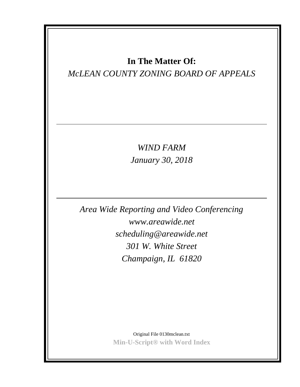# **In The Matter Of:**

# *McLEAN COUNTY ZONING BOARD OF APPEALS*

*WIND FARM January 30, 2018*

*Area Wide Reporting and Video Conferencing www.areawide.net scheduling@areawide.net 301 W. White Street Champaign, IL 61820*

> Original File 0130mclean.txt **Min-U-Script® with Word Index**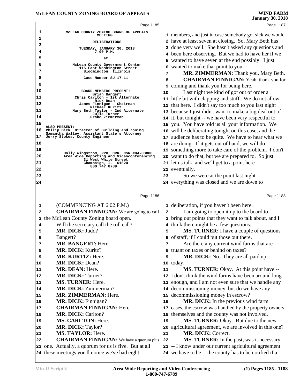|          | Page 1185                                                                             | Page 1187                                                                                            |
|----------|---------------------------------------------------------------------------------------|------------------------------------------------------------------------------------------------------|
| 1        | MCLEAN COUNTY ZONING BOARD OF APPEALS                                                 | 1 members, and just in case somebody got sick we would                                               |
| 2        | <b>MEETING</b>                                                                        | 2 have at least seven at closing. So, Mary Beth has                                                  |
| 3        | DELIBERATIONS                                                                         | 3 done very well. She hasn't asked any questions and                                                 |
| 4        | TUESDAY, JANUARY 30, 2018<br>$7:00$ $P.M.$                                            | 4 been here observing. But we had to have her if we                                                  |
| 5        | at                                                                                    | 5 wanted to have seven at the end possibly. I just                                                   |
| 6        | McLean County Government Center                                                       | 6 wanted to make that point to you.                                                                  |
| 7        | 115 East Washington Street<br>Bloomington, Illinois                                   | MR. ZIMMERMAN: Thank you, Mary Beth.<br>7                                                            |
| 8        | Case Number SU-17-11                                                                  | <b>CHAIRMAN FINNIGAN:</b> Yeah, thank you for<br>8                                                   |
| 9        |                                                                                       | <b>9</b> coming and thank you for being here.                                                        |
| 10       | BOARD MEMBERS PRESENT:                                                                | Last night we kind of got out of order a<br>10                                                       |
| 11       | Brian Bangert<br>Chris Carlton - 1st Alternate                                        | 11 little bit with clapping and stuff. We do not allow                                               |
| 12       | Rick Dean<br>James Finnigan - Chairman                                                | 12 that here. I didn't say too much to you last night                                                |
| 13       | Michael Kuritz<br>Mary Beth Taylor - 2nd Alternate                                    | 13 because I just didn't want to make a big deal out of                                              |
| 14       | Julia Turner<br>Drake Zimmerman                                                       | 14 it, but tonight -- we have been very respectful to                                                |
| 15       |                                                                                       |                                                                                                      |
| 16       | ALSO PRESENT:<br>Philip Dick, Director of Building and Zoning                         | 15 you. You have told us all your information. We                                                    |
| 17       | Samantha Walley, Assistant State's Attorney<br>Jerry Stokes, County Engineer          | 16 will be deliberating tonight on this case, and the                                                |
| 18       |                                                                                       | 17 audience has to be quite. We have to hear what we                                                 |
| 19       |                                                                                       | 18 are doing. If it gets out of hand, we will do                                                     |
| 20       | Holly Wingstrom, RPR, CRR, CSR #84-03888<br>Area Wide Reporting and Videoconferencing | 19 something more to take care of the problem. I don't                                               |
| 21       | 31 West White Street                                                                  | 20 want to do that, but we are prepared to. So just<br>21 let us talk, and we'll get to a point here |
|          | Champaign, IL 61820<br>800.747.6789                                                   | 22 eventually.                                                                                       |
| 22<br>23 |                                                                                       |                                                                                                      |
|          |                                                                                       | So we were at the point last night<br>23                                                             |
| 24       |                                                                                       | 24 everything was closed and we are down to                                                          |
|          | Page 1186                                                                             | Page 1188                                                                                            |
| 1        | (COMMENCING AT 6:02 P.M.)                                                             | 1 deliberation, if you haven't been here.                                                            |
| 2        | <b>CHAIRMAN FINNIGAN:</b> We are going to call                                        | I am going to open it up to the board to<br>2                                                        |
| 3        | the McLean County Zoning board open.                                                  | 3 bring out points that they want to talk about, and I                                               |
| 4        | Will the secretary call the roll call?                                                | 4 think there might be a few questions.                                                              |
| 5        | MR. DICK: Judd?                                                                       | MS. TURNER: I have a couple of questions<br>5                                                        |
| 6        | Bangert?                                                                              | 6 of staff, if I could put those out there.                                                          |
| 7        | <b>MR. BANGERT: Here.</b>                                                             | Are there any current wind farms that are<br>7                                                       |
| 8        | MR. DICK: Kuritz?                                                                     | 8 truant on taxes or behind on taxes?                                                                |
| 9        | MR. KURTIZ: Here.                                                                     | <b>MR. DICK:</b> No. They are all paid up<br>9                                                       |
| 10       | MR. DICK: Dean?                                                                       | 10 today.                                                                                            |
| 11       | MR. DEAN: Here.                                                                       | MS. TURNER: Okay. At this point have --<br>11                                                        |
| 12       | <b>MR. DICK: Turner?</b>                                                              | 12 I don't think the wind farms have been around long                                                |
| 13       | MS. TURNER: Here.                                                                     | 13 enough, and I am not even sure that we handle any                                                 |
| 14       | <b>MR. DICK: Zimmerman?</b>                                                           | 14 decommissioning money, but do we have any                                                         |
| 15       | <b>MR. ZIMMERMAN: Here.</b>                                                           | 15 decommissioning money in escrow?                                                                  |
| 16       | MR. DICK: Finnigan?                                                                   | MR. DICK: In the previous wind farm<br>16                                                            |
| 17       | <b>CHAIRMAN FINNIGAN: Here.</b>                                                       | 17 cases, the escrow was handled by the property owners                                              |
| 18       | <b>MR. DICK: Carlton?</b>                                                             | 18 themselves and the county was not involved.                                                       |
| 19       | MS. CARLTON: Here.                                                                    | MS. TURNER: Okay. But due to the new<br>19                                                           |
| 20       | MR. DICK: Taylor?                                                                     | 20 agricultural agreement, we are involved in this one?                                              |
| 21       | MS. TAYLOR: Here.                                                                     | MR. DICK: Correct.<br>21                                                                             |
| 22       | <b>CHAIRMAN FINNIGAN:</b> We have a quorum plus                                       | MS. TURNER: In the past, was it necessary<br>22                                                      |
|          | 23 one. Actually, a quorum for us is five. But at all                                 | 23 -- I know under our current agricultural agreement                                                |
|          | 24 these meetings you'll notice we've had eight                                       | 24 we have to be -- the county has to be notified if a                                               |
|          |                                                                                       |                                                                                                      |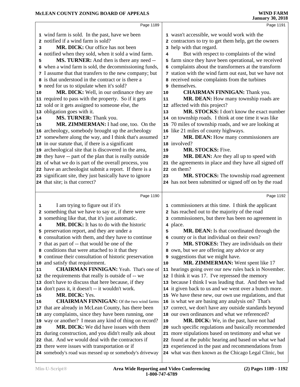|    | Page 1189                                                     |    | Page 1191                                               |
|----|---------------------------------------------------------------|----|---------------------------------------------------------|
|    | 1 wind farm is sold. In the past, have we been                |    | 1 wasn't accessible, we would work with the             |
|    | 2 notified if a wind farm is sold?                            |    | 2 contractors to try to get them help, get the owners   |
| 3  | MR. DICK: Our office has not been                             |    | 3 help with that regard.                                |
|    | 4 notified when they sold, when it sold a wind farm.          | 4  | But with respect to complaints of the wind              |
| 5  | MS. TURNER: And then is there any need --                     | 5  | farm since they have been operational, we received      |
|    | 6 when a wind farm is sold, the decommissioning funds,        | 6  | complaints about the transformers at the transform      |
|    | 7 I assume that that transfers to the new company; but        |    | 7 station with the wind farm out east, but we have not  |
|    | 8 is that understood in the contract or is there a            |    | 8 received noise complaints from the turbines           |
|    | <b>9</b> need for us to stipulate when it's sold?             |    | 9 themselves.                                           |
| 10 | MR. DICK: Well, in our ordinance they are                     | 10 | <b>CHAIRMAN FINNIGAN:</b> Thank you.                    |
|    | 11 required to pass with the property. So if it gets          | 11 | MR. DEAN: How many township roads are                   |
|    | 12 sold or it gets assigned to someone else, the              |    | 12 affected with this project?                          |
|    | 13 obligation goes with it.                                   | 13 | MR. STOCKS: I don't know the exact number               |
| 14 | MS. TURNER: Thank you.                                        |    | 14 on township roads. I think at one time it was like   |
| 15 | MR. ZIMMERMAN: I had one, too. On the                         |    | 15 70 miles of township roads, and we are looking at    |
|    | 16 archeology, somebody brought up the archeology             |    | 16 like 21 miles of county highways.                    |
|    | 17 somewhere along the way, and I think that's assumed        | 17 | MR. DEAN: How many commissioners are                    |
|    | 18 in our statute that, if there is a significant             |    | 18 involved?                                            |
|    | 19 archeological site that is discovered in the area,         | 19 | MR. STOCKS: Five.                                       |
|    | 20 they have -- part of the plan that is really outside       | 20 | MR. DEAN: Are they all up to speed with                 |
|    | 21 of what we do is part of the overall process, you          |    | 21 the agreements in place and they have all signed off |
|    | 22 have an archeologist submit a report. If there is a        |    | 22 on them?                                             |
|    | 23 significant site, they just basically have to ignore       | 23 | MR. STOCKS: The township road agreement                 |
|    | 24 that site; is that correct?                                |    | 24 has not been submitted or signed off on by the road  |
|    |                                                               |    |                                                         |
|    | Page 1190                                                     |    | Page 1192                                               |
| 1  | I am trying to figure out if it's                             |    | 1 commissioners at this time. I think the applicant     |
|    | 2 something that we have to say or, if there were             |    | 2 has reached out to the majority of the road           |
|    | 3 something like that, that it's just automatic.              |    | 3 commissioners, but there has been no agreement in     |
| 4  | MR. DICK: It has to do with the historic                      |    | 4 place.                                                |
| 5  | preservation report, and they are under a                     | 5  | MR. DEAN: Is that coordinated through the               |
|    | 6 consultation with them, and they have to continue           |    | 6 county or is that individual on their own?            |
|    | 7 that as part of -- that would be one of the                 | 7  | MR. STOKES: They are individuals on their               |
|    | 8 conditions that were attached to it that they               |    | 8 own, but we are offering any advice or any            |
|    | <b>9</b> continue their consultation of historic preservation | 9  | suggestions that we might have.                         |
| 10 | and satisfy that requirement.                                 | 10 | MR. ZIMMERMAN: Went spent like 17                       |
| 11 | <b>CHAIRMAN FINNIGAN:</b> Yeah. That's one of                 |    | 11 hearings going over our new rules back in November.  |
|    | 12 the requirements that really is outside of -- we           |    | 12 I think it was 17. I've repressed the memory         |
|    | 13 don't have to discuss that here because, if they           |    | 13 because I think I was leading that. And then we had  |
|    | 14 don't pass it, it doesn't -- it wouldn't work.             |    | 14 it given back to us and we went over a bunch more.   |
| 15 | MR. DICK: Yes.                                                |    | 15 We have these new, our own use regulations, and that |
| 16 | <b>CHAIRMAN FINNIGAN:</b> Of the two wind farms               |    | 16 is what we are basing any analysis on? That's        |
|    | 17 that are already in McLean County, has there been          |    | 17 correct, we don't have any outside standards beyond  |
|    | 18 any complaints, since they have been running, one          |    | 18 our own ordinances and what we referenced?           |
|    | 19 way or another? I mean any kind of thing on record?        | 19 | MR. DICK: We, in the past, have not had                 |
| 20 | MR. DICK: We did have issues with them                        |    | 20 such specific regulations and basically recommended  |
|    | 21 during construction, and you didn't really ask about       | 21 | more stipulations based on testimony and what we        |
|    | 22 that. And we would deal with the contractors if            |    | 22 found at the public hearing and based on what we had |
|    | 23 there were issues with transportation or if                |    | 23 experienced in the past and recommendations from     |
|    | 24 somebody's road was messed up or somebody's driveway       |    | 24 what was then known as the Chicago Legal Clinic, but |
|    |                                                               |    |                                                         |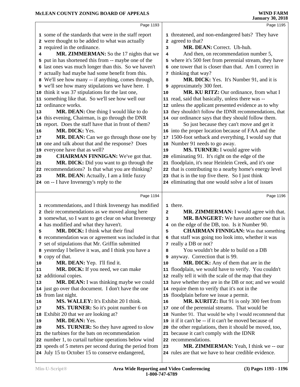|    | Page 1193                                               |              | Page 1195                                               |
|----|---------------------------------------------------------|--------------|---------------------------------------------------------|
|    | 1 some of the standards that were in the staff report   |              | 1 threatened, and non-endangered bats? They have        |
|    | 2 were thought to be added to what was actually         |              | 2 agreed to that?                                       |
|    | 3 required in the ordinance.                            | 3            | MR. DEAN: Correct. Uh-huh.                              |
| 4  | MR. ZIMMERMAN: So the 17 nights that we                 | 4            | And then, on recommendation number 5,                   |
|    | 5 put in has shortened this from -- maybe one of the    |              | 5 where it's 500 feet from perennial stream, they have  |
|    | 6 last ones was much longer than this. So we haven't    |              | 6 one tower that is closer than that. Am I correct in   |
|    | 7 actually had maybe had some benefit from this.        |              | 7 thinking that way?                                    |
|    | 8 We'll see how many -- if anything, comes through,     | 8            | MR. DICK: Yes. It's Number 91, and it is                |
|    | 9 we'll see how many stipulations we have here. I       |              | 9 approximately 300 feet.                               |
|    | 10 think it was 37 stipulations for the last one,       | 10           | MR. KU RITZ: Our ordinance, from what I                 |
|    | 11 something like that. So we'll see how well our       |              | 11 read, said that basically, unless there was --       |
|    | 12 ordinance works.                                     |              | 12 unless the applicant presented evidence as to why    |
| 13 | MR. DEAN: One thing I would like to do                  |              | 13 they shouldn't follow the IDNR recommendations, that |
|    | 14 this evening, Chairman, is go through the DNR        |              | 14 our ordinance says that they should follow them.     |
|    | 15 report. Does the staff have that in front of them?   | 15           | So just because they can't move and get it              |
| 16 | MR. DICK: Yes.                                          |              | 16 into the proper location because of FAA and the      |
| 17 | MR. DEAN: Can we go through those one by                | 17           | 1500-foot setback and everything, I would say that      |
|    | 18 one and talk about that and the response? Does       |              | 18 Number 91 needs to go away.                          |
|    | 19 everyone have that as well?                          | 19           | MS. TURNER: I would agree with                          |
| 20 | <b>CHAIRMAN FINNIGAN:</b> We've got that.               |              | 20 eliminating 91. It's right on the edge of the        |
| 21 | MR. DICK: Did you want to go through the                |              | 21 floodplain, it's near Heinlein Creek, and it's one   |
|    | 22 recommendations? Is that what you are thinking?      |              | 22 that is contributing to a nearby home's energy level |
| 23 | MR. DEAN: Actually, I am a little fuzzy                 |              | 23 that is in the top five there. So I just think       |
|    | 24 on -- I have Invenergy's reply to the                |              | 24 eliminating that one would solve a lot of issues     |
|    |                                                         |              |                                                         |
|    | Page 1194                                               |              | Page 1196                                               |
|    | 1 recommendations, and I think Invenergy has modified   |              | 1 there.                                                |
|    | 2 their recommendations as we moved along here          | $\mathbf{2}$ | MR. ZIMMERMAN: I would agree with that.                 |
|    | 3 somewhat, so I want to get clear on what Invenergy    | з            | MR. BANGERT: We have another one that is                |
|    | 4 has modified and what they haven't.                   |              |                                                         |
|    |                                                         |              | 4 on the edge of the DB, too. Is it Number 90.          |
| 5  | MR. DICK: I think what their final                      | 5            | <b>CHAIRMAN FINNIGAN:</b> Was that something            |
|    | 6 recommendation was or agreement was included in that  |              | 6 that staff was going too look into, whether it was    |
|    | 7 set of stipulations that Mr. Griffin submitted        |              | 7 really a DB or not?                                   |
|    | 8 yesterday I believe it was, and I think you have a    | 8            | You wouldn't be able to build on a DB                   |
|    | <b>9</b> copy of that.                                  |              | 9 anyway. Correction that is 99.                        |
| 10 | MR. DEAN: Yep. I'll find it.                            | 10           | MR. DICK: Any of them that are in the                   |
| 11 | <b>MR. DICK:</b> If you need, we can make               |              | 11 floodplain, we would have to verify. You couldn't    |
|    | 12 additional copies.                                   |              | 12 really tell it with the scale of the map that they   |
| 13 | MR. DEAN: I was thinking maybe we could                 |              | 13 have whether they are in the DB or not; and we would |
|    | 14 just go over that document. I don't have the one     |              | 14 require them to verify that it's not in the          |
|    | 15 from last night.                                     |              | 15 floodplain before we issue a permit.                 |
| 16 | MS. WALLEY: It's Exhibit 20 I think.                    | 16           | MR. KURITZ: But 91 is only 300 feet from                |
| 17 | MS. TURNER: So it's point number 6 on                   |              | 17 one of the perennial streams. That would be          |
| 18 | Exhibit 20 that we are looking at?                      |              | 18 Number 91. That would be why I would recommend that  |
| 19 | MR. DEAN: Yes.                                          |              | 19 it if it can't be -- if it can't be moved because of |
| 20 | <b>MS. TURNER:</b> So they have agreed to slow          |              | 20 the other regulations, then it should be moved, too, |
|    | 21 the turbines for the bats on recommendation          |              | 21 because it can't comply with the IDNR                |
|    | 22 number 1, to curtail turbine operations below wind   |              | 22 recommendations.                                     |
|    | 23 speeds of 5 meters per second during the period from | 23           | <b>MR. ZIMMERMAN:</b> Yeah, I think we -- our           |
|    | 24 July 15 to October 15 to conserve endangered,        |              | 24 rules are that we have to hear credible evidence.    |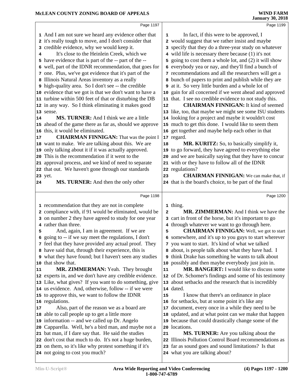|    | Page 1197                                                                                                  |                         | Page 1199                                                                             |  |
|----|------------------------------------------------------------------------------------------------------------|-------------------------|---------------------------------------------------------------------------------------|--|
|    | 1 And I am not sure we heard any evidence other that                                                       | 1                       | In fact, if this were to be approved, I                                               |  |
|    | 2 it's really tough to move, and I don't consider that                                                     |                         | 2 would suggest that we rather insist and maybe                                       |  |
|    | 3 credible evidence, why we would keep it.                                                                 |                         | 3 specify that they do a three-year study on whatever                                 |  |
| 4  | It's close to the Heinlein Creek, which we                                                                 |                         | 4 wild life is necessary there because (1) it's not                                   |  |
|    | 5 have evidence that is part of the -- part of the --                                                      |                         | 5 going to cost them a whole lot, and (2) it will show                                |  |
|    | 6 well, part of the IDNR recommendation, that goes for                                                     |                         | 6 everybody yea or nay, and they'll find a bunch of                                   |  |
|    | 7 one. Plus, we've got evidence that it's part of the                                                      |                         | 7 recommendations and all the researchers will get a                                  |  |
|    | 8 Illinois Natural Areas inventory as a really                                                             |                         | 8 bunch of papers to print and publish while they are                                 |  |
|    | 9 high-quality area. So I don't see -- the credible                                                        |                         | 9 at it. So very little burden and a whole lot of                                     |  |
|    | 10 evidence that we got is that we don't want to have a                                                    |                         | 10 gain for all concerned if we went ahead and approved                               |  |
|    | 11 turbine within 500 feet of that or disturbing the DB                                                    |                         | 11 that. I see no credible evidence to not study this.                                |  |
|    | 12 in any way. So I think eliminating it makes good                                                        | 12                      | <b>CHAIRMAN FINNIGAN:</b> It kind of seemed                                           |  |
|    | 13 sense.                                                                                                  |                         | 13 like, too, that maybe we might see some ISU students                               |  |
| 14 | <b>MS. TURNER:</b> And I think we are a little                                                             |                         | 14 looking for a project and maybe it wouldn't cost                                   |  |
|    | 15 ahead of the game there as far as, should we approve                                                    |                         | 15 much to get this done. I would like to seem them                                   |  |
|    | 16 this, it would be eliminated.                                                                           |                         | 16 get together and maybe help each other in that                                     |  |
| 17 | <b>CHAIRMAN FINNIGAN:</b> That was the point I                                                             |                         | 17 regard.                                                                            |  |
|    | 18 want to make. We are talking about this. We are                                                         | 18                      | <b>MR. KURITZ:</b> So, to basically simplify it,                                      |  |
|    | 19 only talking about it if it was actually approved.                                                      |                         | 19 to go forward, they have agreed to everything else                                 |  |
|    | 20 This is the recommendation if it went to the                                                            |                         | 20 and we are basically saying that they have to concur                               |  |
|    | 21 approval process, and we kind of need to separate<br>22 that out. We haven't gone through our standards |                         | 21 with or they have to follow all of the IDNR<br>22 regulations?                     |  |
|    | 23 yet.                                                                                                    | 23                      | <b>CHAIRMAN FINNIGAN:</b> We can make that, if                                        |  |
| 24 | MS. TURNER: And then the only other                                                                        |                         | 24 that is the board's choice, to be part of the final                                |  |
|    |                                                                                                            |                         |                                                                                       |  |
|    | Page 1198                                                                                                  |                         | Page 1200                                                                             |  |
|    | 1 recommendation that they are not in complete                                                             |                         | 1 thing.                                                                              |  |
|    | 2 compliance with, if 91 would be eliminated, would be                                                     | $\overline{\mathbf{c}}$ | MR. ZIMMERMAN: And I think we have the                                                |  |
|    | 3 on number 2 they have agreed to study for one year                                                       |                         | 3 cart in front of the horse, but it's important to go                                |  |
|    | 4 rather than three.                                                                                       |                         | 4 through whatever we want to go through here.                                        |  |
| 5  | And, again, I am in agreement. If we are                                                                   |                         | <b>CHAIRMAN FINNIGAN:</b> Well, we got to start                                       |  |
| 6  |                                                                                                            | 5                       |                                                                                       |  |
|    | going to -- if we say meet the regulations, I don't                                                        |                         | 6 somewhere, and it's up to you guys to start wherever                                |  |
|    | 7 feel that they have provided any actual proof. They                                                      |                         | 7 you want to start. It's kind of what we talked                                      |  |
|    | 8 have said that, through their experience, this is                                                        |                         | 8 about, is people talk about what they have had. I                                   |  |
|    | 9 what they have found; but I haven't seen any studies                                                     |                         | <b>9</b> think Drake has something he wants to talk about                             |  |
|    | 10 that show that.                                                                                         |                         | 10 possibly and then maybe everybody just join in.                                    |  |
| 11 | <b>MR. ZIMMERMAN:</b> Yeah. They brought                                                                   | 11                      | MR. BANGERT: I would like to discuss some                                             |  |
|    | 12 experts in, and we don't have any credible evidence.                                                    |                         | 12 of Dr. Schomer's findings and some of his testimony                                |  |
|    | 13 Like, what gives? If you want to do something, give                                                     |                         | 13 about setbacks and the research that is incredibly                                 |  |
|    | 14 us evidence. And, otherwise, follow -- if we were                                                       |                         | 14 dated.                                                                             |  |
|    | 15 to approve this, we want to follow the IDNR                                                             | 15                      | I know that there's an ordinance in place                                             |  |
|    | 16 regulations.                                                                                            |                         | 16 for setbacks, but at some point it's like any                                      |  |
| 17 | Also, part of the reason we as a board are                                                                 | 17                      | document, every once in a while they need to be                                       |  |
|    | 18 able to call people up to get a little more                                                             |                         | 18 updated, and at what point can we make that happen                                 |  |
|    | 19 information -- and we called up Dr. Angelo                                                              | 19                      | because that could drastically change some of the                                     |  |
|    | 20 Capparella. Well, he's a bird man, and maybe not a                                                      | 20                      | locations.                                                                            |  |
|    | 21 bat man, if I dare say that. He said the studies                                                        | 21                      | <b>MS. TURNER:</b> Are you talking about the                                          |  |
|    | 22 don't cost that much to do. It's not a huge burden,                                                     | 22                      | Illinois Pollution Control Board recommendations as                                   |  |
|    | 23 on them, so it's like why protest something if it's<br>24 not going to cost you much?                   |                         | 23 far as sound goes and sound limitations? Is that<br>24 what you are talking about? |  |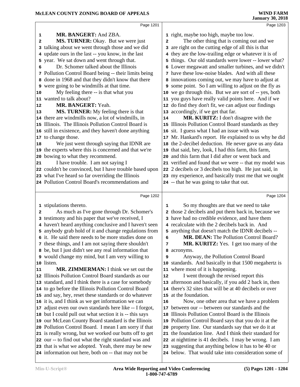| Page 1201                                                                                                   |                                                                                                                                                                                                                                                                                                                                                                                                                                                                                                                                                                                                                                                                                                                                                                                                                                                                                                                                                                                                                              | Page 1203                                                                                                    |
|-------------------------------------------------------------------------------------------------------------|------------------------------------------------------------------------------------------------------------------------------------------------------------------------------------------------------------------------------------------------------------------------------------------------------------------------------------------------------------------------------------------------------------------------------------------------------------------------------------------------------------------------------------------------------------------------------------------------------------------------------------------------------------------------------------------------------------------------------------------------------------------------------------------------------------------------------------------------------------------------------------------------------------------------------------------------------------------------------------------------------------------------------|--------------------------------------------------------------------------------------------------------------|
|                                                                                                             |                                                                                                                                                                                                                                                                                                                                                                                                                                                                                                                                                                                                                                                                                                                                                                                                                                                                                                                                                                                                                              |                                                                                                              |
|                                                                                                             |                                                                                                                                                                                                                                                                                                                                                                                                                                                                                                                                                                                                                                                                                                                                                                                                                                                                                                                                                                                                                              | 1 right, maybe too high, maybe too low.                                                                      |
|                                                                                                             |                                                                                                                                                                                                                                                                                                                                                                                                                                                                                                                                                                                                                                                                                                                                                                                                                                                                                                                                                                                                                              | The other thing that is coming out and we                                                                    |
|                                                                                                             |                                                                                                                                                                                                                                                                                                                                                                                                                                                                                                                                                                                                                                                                                                                                                                                                                                                                                                                                                                                                                              | 3 are right on the cutting edge of all this is that                                                          |
|                                                                                                             |                                                                                                                                                                                                                                                                                                                                                                                                                                                                                                                                                                                                                                                                                                                                                                                                                                                                                                                                                                                                                              | 4 they are the low-trailing edge or whatever it is of                                                        |
|                                                                                                             |                                                                                                                                                                                                                                                                                                                                                                                                                                                                                                                                                                                                                                                                                                                                                                                                                                                                                                                                                                                                                              | 5 things. Our old standards were lower -- lower what?                                                        |
|                                                                                                             |                                                                                                                                                                                                                                                                                                                                                                                                                                                                                                                                                                                                                                                                                                                                                                                                                                                                                                                                                                                                                              | 6 Lower megawatt and smaller turbines, and we didn't                                                         |
|                                                                                                             |                                                                                                                                                                                                                                                                                                                                                                                                                                                                                                                                                                                                                                                                                                                                                                                                                                                                                                                                                                                                                              | 7 have these low-noise blades. And with all these                                                            |
|                                                                                                             |                                                                                                                                                                                                                                                                                                                                                                                                                                                                                                                                                                                                                                                                                                                                                                                                                                                                                                                                                                                                                              | 8 innovations coming out, we may have to adjust at                                                           |
|                                                                                                             |                                                                                                                                                                                                                                                                                                                                                                                                                                                                                                                                                                                                                                                                                                                                                                                                                                                                                                                                                                                                                              | 9 some point. So I am willing to adjust on the fly as                                                        |
|                                                                                                             |                                                                                                                                                                                                                                                                                                                                                                                                                                                                                                                                                                                                                                                                                                                                                                                                                                                                                                                                                                                                                              | 10 we go through this. But we are sort of -- yes, both                                                       |
|                                                                                                             |                                                                                                                                                                                                                                                                                                                                                                                                                                                                                                                                                                                                                                                                                                                                                                                                                                                                                                                                                                                                                              | 11 you guys have really valid points here. And if we                                                         |
|                                                                                                             |                                                                                                                                                                                                                                                                                                                                                                                                                                                                                                                                                                                                                                                                                                                                                                                                                                                                                                                                                                                                                              | 12 do find they don't fit, we can adjust our findings                                                        |
|                                                                                                             |                                                                                                                                                                                                                                                                                                                                                                                                                                                                                                                                                                                                                                                                                                                                                                                                                                                                                                                                                                                                                              | 13 accordingly, if we get that far.                                                                          |
|                                                                                                             | 14                                                                                                                                                                                                                                                                                                                                                                                                                                                                                                                                                                                                                                                                                                                                                                                                                                                                                                                                                                                                                           | MR. KURITZ: I don't disagree with the                                                                        |
|                                                                                                             |                                                                                                                                                                                                                                                                                                                                                                                                                                                                                                                                                                                                                                                                                                                                                                                                                                                                                                                                                                                                                              | 15 Illinois Pollution Control Board standards as they                                                        |
|                                                                                                             | 16                                                                                                                                                                                                                                                                                                                                                                                                                                                                                                                                                                                                                                                                                                                                                                                                                                                                                                                                                                                                                           | sit. I guess what I had an issue with was                                                                    |
|                                                                                                             | 17                                                                                                                                                                                                                                                                                                                                                                                                                                                                                                                                                                                                                                                                                                                                                                                                                                                                                                                                                                                                                           | Mr. Hankard's report. He explained to us why he did                                                          |
| We just went through saying that IDNR are                                                                   |                                                                                                                                                                                                                                                                                                                                                                                                                                                                                                                                                                                                                                                                                                                                                                                                                                                                                                                                                                                                                              | 18 the 2-decibel deduction. He never gave us any data                                                        |
|                                                                                                             |                                                                                                                                                                                                                                                                                                                                                                                                                                                                                                                                                                                                                                                                                                                                                                                                                                                                                                                                                                                                                              | 19 that said, hey, look, I had this farm, this farm,                                                         |
|                                                                                                             |                                                                                                                                                                                                                                                                                                                                                                                                                                                                                                                                                                                                                                                                                                                                                                                                                                                                                                                                                                                                                              | 20 and this farm that I did after or went back and                                                           |
| I have trouble. I am not saying I                                                                           |                                                                                                                                                                                                                                                                                                                                                                                                                                                                                                                                                                                                                                                                                                                                                                                                                                                                                                                                                                                                                              | 21 verified and found that we were -- that my model was                                                      |
|                                                                                                             |                                                                                                                                                                                                                                                                                                                                                                                                                                                                                                                                                                                                                                                                                                                                                                                                                                                                                                                                                                                                                              | 22 2 decibels or 3 decibels too high. He just said, in                                                       |
|                                                                                                             |                                                                                                                                                                                                                                                                                                                                                                                                                                                                                                                                                                                                                                                                                                                                                                                                                                                                                                                                                                                                                              | 23 my experience, and basically trust me that we ought                                                       |
|                                                                                                             |                                                                                                                                                                                                                                                                                                                                                                                                                                                                                                                                                                                                                                                                                                                                                                                                                                                                                                                                                                                                                              | 24 -- that he was going to take that out.                                                                    |
|                                                                                                             |                                                                                                                                                                                                                                                                                                                                                                                                                                                                                                                                                                                                                                                                                                                                                                                                                                                                                                                                                                                                                              |                                                                                                              |
|                                                                                                             |                                                                                                                                                                                                                                                                                                                                                                                                                                                                                                                                                                                                                                                                                                                                                                                                                                                                                                                                                                                                                              |                                                                                                              |
| Page 1202                                                                                                   |                                                                                                                                                                                                                                                                                                                                                                                                                                                                                                                                                                                                                                                                                                                                                                                                                                                                                                                                                                                                                              | Page 1204                                                                                                    |
| 1 stipulations thereto.                                                                                     | 1                                                                                                                                                                                                                                                                                                                                                                                                                                                                                                                                                                                                                                                                                                                                                                                                                                                                                                                                                                                                                            | So my thoughts are that we need to take                                                                      |
| As much as I've gone through Dr. Schomer's                                                                  |                                                                                                                                                                                                                                                                                                                                                                                                                                                                                                                                                                                                                                                                                                                                                                                                                                                                                                                                                                                                                              | 2 those 2 decibels and put them back in, because we                                                          |
| 3 testimony and his paper that we've received, I                                                            |                                                                                                                                                                                                                                                                                                                                                                                                                                                                                                                                                                                                                                                                                                                                                                                                                                                                                                                                                                                                                              | 3 have had no credible evidence, and have them                                                               |
| 4 haven't heard anything conclusive and I haven't seen                                                      |                                                                                                                                                                                                                                                                                                                                                                                                                                                                                                                                                                                                                                                                                                                                                                                                                                                                                                                                                                                                                              | 4 recalculate with the 2 decibels back in. And                                                               |
| 5 anybody grab hold of it and change regulations from                                                       |                                                                                                                                                                                                                                                                                                                                                                                                                                                                                                                                                                                                                                                                                                                                                                                                                                                                                                                                                                                                                              | 5 anything that doesn't match the IDNR decibels --                                                           |
| 6 it. He said there needs to be more studies done on                                                        | 6                                                                                                                                                                                                                                                                                                                                                                                                                                                                                                                                                                                                                                                                                                                                                                                                                                                                                                                                                                                                                            | MR. DEAN: The Pollution Control Board?                                                                       |
| 7 these things, and I am not saying there shouldn't                                                         | 7                                                                                                                                                                                                                                                                                                                                                                                                                                                                                                                                                                                                                                                                                                                                                                                                                                                                                                                                                                                                                            | MR. KURITZ: Yes. I get too many of the                                                                       |
| 8 be, but I just didn't see any real information that                                                       | 8                                                                                                                                                                                                                                                                                                                                                                                                                                                                                                                                                                                                                                                                                                                                                                                                                                                                                                                                                                                                                            | acronyms.                                                                                                    |
| 9 would change my mind, but I am very willing to                                                            | 9                                                                                                                                                                                                                                                                                                                                                                                                                                                                                                                                                                                                                                                                                                                                                                                                                                                                                                                                                                                                                            | Anyway, the Pollution Control Board                                                                          |
| 10 listen.                                                                                                  | 10                                                                                                                                                                                                                                                                                                                                                                                                                                                                                                                                                                                                                                                                                                                                                                                                                                                                                                                                                                                                                           | standards. And basically in that 1500 megahertz is                                                           |
| MR. ZIMMERMAN: I think we set out the                                                                       |                                                                                                                                                                                                                                                                                                                                                                                                                                                                                                                                                                                                                                                                                                                                                                                                                                                                                                                                                                                                                              | 11 where most of it is happening.                                                                            |
| 12 Illinois Pollution Control Board standards as our                                                        | 12                                                                                                                                                                                                                                                                                                                                                                                                                                                                                                                                                                                                                                                                                                                                                                                                                                                                                                                                                                                                                           | I went through the revised report this                                                                       |
| 13 standard, and I think there is a case for somebody                                                       |                                                                                                                                                                                                                                                                                                                                                                                                                                                                                                                                                                                                                                                                                                                                                                                                                                                                                                                                                                                                                              | 13 afternoon and basically, if you add 2 back in, then                                                       |
| 14 to go before the Illinois Pollution Control Board                                                        |                                                                                                                                                                                                                                                                                                                                                                                                                                                                                                                                                                                                                                                                                                                                                                                                                                                                                                                                                                                                                              | 14 there's 32 sites that will be at 40 decibels or over                                                      |
| 15 and say, hey, reset these standards or do whatever                                                       |                                                                                                                                                                                                                                                                                                                                                                                                                                                                                                                                                                                                                                                                                                                                                                                                                                                                                                                                                                                                                              | 15 at the foundation.                                                                                        |
|                                                                                                             | 16                                                                                                                                                                                                                                                                                                                                                                                                                                                                                                                                                                                                                                                                                                                                                                                                                                                                                                                                                                                                                           | Now, one other area that we have a problem                                                                   |
| 16 it is, and I think as we get information we can                                                          | 17                                                                                                                                                                                                                                                                                                                                                                                                                                                                                                                                                                                                                                                                                                                                                                                                                                                                                                                                                                                                                           | between our -- between our standards and the                                                                 |
| 17 adjust even our own standards here like -- I forgot,                                                     | 18                                                                                                                                                                                                                                                                                                                                                                                                                                                                                                                                                                                                                                                                                                                                                                                                                                                                                                                                                                                                                           | Illinois Pollution Control Board is the Illinois                                                             |
| 18 but I could pull out what section it is -- this says                                                     | 19                                                                                                                                                                                                                                                                                                                                                                                                                                                                                                                                                                                                                                                                                                                                                                                                                                                                                                                                                                                                                           |                                                                                                              |
| 19 our McLean County Board standard is the Illinois                                                         | 20                                                                                                                                                                                                                                                                                                                                                                                                                                                                                                                                                                                                                                                                                                                                                                                                                                                                                                                                                                                                                           | Pollution Control Board says that you do it at the                                                           |
| 20 Pollution Control Board. I mean I am sorry if that                                                       |                                                                                                                                                                                                                                                                                                                                                                                                                                                                                                                                                                                                                                                                                                                                                                                                                                                                                                                                                                                                                              | property line. Our standards say that we do it at                                                            |
| 21 is really wrong, but we worked our butts off to get                                                      |                                                                                                                                                                                                                                                                                                                                                                                                                                                                                                                                                                                                                                                                                                                                                                                                                                                                                                                                                                                                                              | 21 the foundation line. And I think their standard for                                                       |
| 22 our -- to find out what the right standard was and<br>23 that is what we adopted. Yeah, there may be new |                                                                                                                                                                                                                                                                                                                                                                                                                                                                                                                                                                                                                                                                                                                                                                                                                                                                                                                                                                                                                              | 22 at nighttime is 41 decibels. I may be wrong. I am<br>23 suggesting that anything below it has to be 40 or |
|                                                                                                             | MR. BANGERT: And ZBA.<br>MS. TURNER: Okay. But we were just<br>3 talking about we went through those and we did<br>4 update ours in the last -- you know, in the last<br>5 year. We sat down and went through that.<br>Dr. Schomer talked about the Illinois<br>7 Pollution Control Board being -- their limits being<br>8 done in 1968 and that they didn't know that there<br>9 were going to be windmills at that time.<br>My feeling there -- is that what you<br>11 wanted to talk about?<br>MR. BANGERT: Yeah.<br>MS. TURNER: My feeling there is that<br>14 there are windmills now, a lot of windmills, in<br>15 Illinois. The Illinois Pollution Control Board is<br>16 still in existence, and they haven't done anything<br>17 to change those.<br>19 the experts where this is concerned and that we're<br>20 bowing to what they recommend.<br>22 couldn't be convinced, but I have trouble based upon<br>23 what I've heard so far overriding the Illinois<br>24 Pollution Control Board's recommendations and | 2                                                                                                            |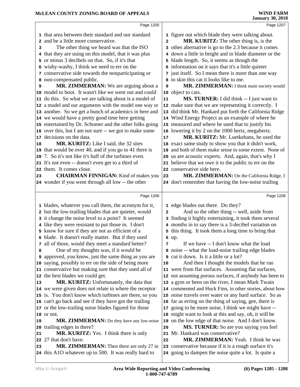|    | Page 1205                                                                                                |                | Page 1207                                                                                                     |
|----|----------------------------------------------------------------------------------------------------------|----------------|---------------------------------------------------------------------------------------------------------------|
|    | 1 that area between their standard and our standard                                                      |                | 1 figure out which blade they were talking about.                                                             |
|    | 2 and be a little more conservative.                                                                     | $\overline{a}$ | MR. KURITZ: The other thing is, is the                                                                        |
| 3  | The other thing we heard was that the ISO                                                                |                | 3 other alternative is go to the 2.3 because it comes                                                         |
|    | 4 that they are using on this model, that it was plus                                                    |                | 4 down a little in height and in blade diameter or the                                                        |
|    | 5 or minus 3 decibels on that. So, if it's that                                                          |                | 5 blade length. So, it seems as though the                                                                    |
|    | 6 wishy-washy, I think we need to err on the                                                             |                | 6 information on it says that it's a little quieter                                                           |
|    | 7 conservative side towards the nonparticipating or                                                      |                | 7 just itself. So I mean there is more than one way                                                           |
|    | 8 non-compensated public.                                                                                |                | 8 to skin this cat it looks like to me.                                                                       |
| 9  | MR. ZIMMERMAN: We are arguing about a                                                                    | 9              | MR. ZIMMERMAN: I think main society would                                                                     |
|    | 10 model to boot. It wasn't like we went out and could                                                   |                | 10 object to cats.                                                                                            |
|    | 11 do this. So what we are talking about is a model of                                                   | 11             | MS. TURNER: I did think -- I just want to                                                                     |
|    | 12 a model and our arguments with the model one way or                                                   |                | 12 make sure that we are representing it correctly. I                                                         |
|    | 13 another. So we get a bunch of academics in here and                                                   |                | 13 did think Mr. Hankard put forth the California Ridge                                                       |
|    | 14 we would have a pretty good time here getting                                                         |                | 14 Wind Energy Project as an example of where he                                                              |
|    | 15 entertained by Dr. Schomer and the other folks going                                                  |                | 15 measured and where he used that to justify his                                                             |
|    | 16 over this, but I am not sure -- we got to make some                                                   |                | 16 lowering it by 2 on the 1000 hertz, megahertz.                                                             |
|    | 17 decisions on the data.                                                                                | 17             | MR. KURITZ: Mr. Luetkehans, he used the                                                                       |
| 18 | MR. KURITZ: Like I said, the 32 sites                                                                    |                | 18 exact same study to show you that it didn't work,                                                          |
|    | 19 that would be over 40, and if you go to 41 there is                                                   | 19             | and both of them make sense to some extent. None of                                                           |
|    | 20 7. So it's not like it's half of the turbines even.                                                   |                | 20 us are acoustic experts. And, again, that's why I                                                          |
|    | 21 It's not even -- doesn't even get to a third of                                                       |                | 21 believe that we owe it to the public to err on the                                                         |
|    | 22 them. It comes close.                                                                                 |                | 22 conservative side here.                                                                                    |
| 23 | <b>CHAIRMAN FINNIGAN:</b> Kind of makes you                                                              | 23             | MR. ZIMMERMAN: On the California Ridge, I                                                                     |
|    | 24 wonder if you went through all low -- the other                                                       |                | 24 don't remember that having the low-noise trailing                                                          |
|    | Page 1206                                                                                                |                | Page 1208                                                                                                     |
|    |                                                                                                          |                |                                                                                                               |
|    |                                                                                                          |                |                                                                                                               |
|    | 1 blades, whatever you call them, the acronym for it,                                                    |                | 1 edge blades out there. Do they?                                                                             |
|    | 2 but the low-trailing blades that are quieter, would                                                    | 2              | And so the other thing -- well, aside from                                                                    |
|    | 3 it change the noise level to a point? It seemed                                                        |                | 3 finding it highly entertaining, it took them several                                                        |
|    | 4 like they were resistant to put those in. I don't                                                      |                | 4 months in to say there is a 3-decibel variation on                                                          |
|    | 5 know for sure if they are not as efficient of a<br>6 blade. It doesn't really matter. But if they used |                | 5 this thing. It took them a long time to bring that                                                          |
|    | 7 all of those, would they meet a standard better?                                                       | 7              | 6 up.<br>If we have -- I don't know what the load                                                             |
| 8  | One of my thoughts was, if it would be                                                                   |                | 8 noise -- what the load-noise trailing edge blades                                                           |
|    | <b>9</b> approved, you know, just the same thing as you are                                              |                | <b>9</b> cut it down. Is it a little or a lot?                                                                |
|    | 10 saying, possibly to err on the side of being more                                                     | 10             | And then I thought the models that he ran                                                                     |
|    | 11 conservative but making sure that they used all of                                                    |                | 11 were from flat surfaces. Assuming flat surfaces,                                                           |
|    | 12 the best blades we could get.                                                                         |                | 12 not assuming porous surfaces, if anybody has been to                                                       |
| 13 | MR. KURITZ: Unfortunately, the data that                                                                 |                | 13 a gym or been on the river, I mean Mark Twain                                                              |
|    | 14 we were given does not relate to where the receptor                                                   |                | 14 commented and Huck Finn, in other stories, about how                                                       |
|    | 15 is. You don't know which turbines are there, so you                                                   |                | 15 noise travels over water or any hard surface. So as                                                        |
|    | 16 can't go back and see if they have got the trailing                                                   |                | 16 far as erring on the thing of saying, gee, there is                                                        |
|    | 17 or the low-trailing noise blades figured for those                                                    | 17             | going to be more noise, I think we might have --                                                              |
|    | 18 or not.                                                                                               |                | 18 might want to look at this and say, oh, it will be                                                         |
| 19 | MR. ZIMMERMAN: Do they have any low-noise                                                                | 19             | on the low edge of that noise. And I don't know.                                                              |
|    | 20 trailing edges in there?                                                                              | 20             | MS. TURNER: So are you saying you feel                                                                        |
| 21 | <b>MR. KURITZ:</b> Yes. I think there is only                                                            | 21             | Mr. Hankard was conservative?                                                                                 |
|    | 22 27 that don't have.                                                                                   | 22             | MR. ZIMMERMAN: Yeah. I think he was                                                                           |
| 23 | <b>MR. ZIMMERMAN:</b> Then there are only 27 in<br>24 this A1O whatever up to 500. It was really hard to |                | 23 conservative because if it is a rough surface it's<br>24 going to dampen the noise quite a lot. Is quite a |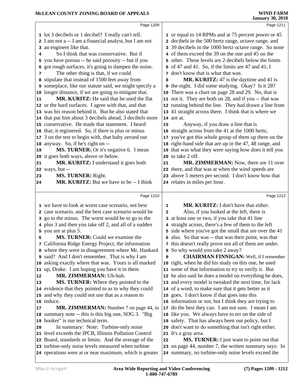|    | Page 1209                                                                                                     |    | Page 1211                                                                                                    |
|----|---------------------------------------------------------------------------------------------------------------|----|--------------------------------------------------------------------------------------------------------------|
|    | 1 lot 3 decibels or 1 decibel? I really can't tell.                                                           |    | 1 or equal to 14 RPMs and at 75 percent power or 45                                                          |
|    | 2 I am not a -- I am a financial analyst, but I am not                                                        |    | 2 decibels in the 500 hertz range, octave range, and                                                         |
| 3  | an engineer like that.                                                                                        |    | 3 39 decibels in the 1000 hertz octave range. So none                                                        |
| 4  | So I think that was conservative. But if                                                                      |    | 4 of them exceed the 39 on the one and 45 on the                                                             |
|    | 5 you have porous -- he said porosity -- but if you                                                           | 5. | other. These levels are 2 decibels below the limits                                                          |
| 6  | got rough surfaces, it's going to dampen the noise.                                                           |    | $\epsilon$ of 47 and 41. So, if the limits are 47 and 41, I                                                  |
| 7  | The other thing is that, if we could                                                                          |    | 7 don't know that is what that was.                                                                          |
|    | 8 stipulate that instead of 1500 feet away from                                                               | 8  | <b>MR. KURITZ:</b> 47 is the daytime and 41 is                                                               |
|    | 9 someplace, like our statute said, we might specify a                                                        |    | <b>9</b> the night. I did some studying. Okay? Is it 28?                                                     |
|    | 10 longer distance, if we are going to mitigate that.                                                         |    | 10 There was a chart on page 28 and 29. No, that is                                                          |
| 11 | <b>MR. KURITZ:</b> He said that he used the flat                                                              |    | 11 not it. They are both on 28, and if you -- that was                                                       |
|    | 12 or the hard surfaces. I agree with that, and that                                                          |    | 12 running behind the line. They had drawn a line from                                                       |
|    | 13 was his reason behind it. But he also stated that                                                          |    | 13 41 straight across there. I think that is where we                                                        |
|    | 14 that put him about 3 decibels ahead, 3 decibels more                                                       |    | 14 are at.                                                                                                   |
|    | 15 conservative. He made that statement. I heard                                                              | 15 | Anyway, if you draw a line that is                                                                           |
|    | 16 that; it registered. So, if there is plus or minus                                                         |    | 16 straight across from the 41 at the 1000 hertz,                                                            |
|    | 17 3 on the test to begin with, that baby zeroed out                                                          |    | 17 you've got this whole group of them up there on the                                                       |
|    | 18 anyway. So, if he's right on --                                                                            |    | 18 right-hand side that are up in the 47, 48 range, and                                                      |
| 19 | MS. TURNER: Or it's negative 6. I mean                                                                        |    | 19 that was what they were saying how does it tell you                                                       |
|    | 20 it goes both ways, above or below.                                                                         |    | 20 to take 2 off.                                                                                            |
| 21 | MR. KURITZ: I understand it goes both                                                                         | 21 | MR. ZIMMERMAN: Now, there are 11 over                                                                        |
|    | <b>22</b> ways, but --                                                                                        |    | 22 there, and that was at when the wind speeds are                                                           |
| 23 | MS. TURNER: Right.                                                                                            |    | 23 above 5 meters per second. I don't know how that                                                          |
| 24 | <b>MR. KURITZ:</b> But we have to be -- I think                                                               |    | 24 relates in miles per hour.                                                                                |
|    |                                                                                                               |    |                                                                                                              |
|    | Page 1210                                                                                                     |    | Page 1212                                                                                                    |
|    |                                                                                                               |    |                                                                                                              |
|    |                                                                                                               |    |                                                                                                              |
|    | 1 we have to look at worst case scenario, not best                                                            | 1  | MR. KURITZ: I don't have that either.                                                                        |
|    | 2 case scenario, and the best case scenario would be                                                          | 2  | Also, if you looked at the left, there is                                                                    |
|    | 3 go to the minus. The worst would be to go to the                                                            |    | 3 at least one or two, if you take that 41 line                                                              |
|    | 4 plus 3 and then you take off 2, and all of a sudden                                                         |    | 4 straight across, there's a few of them to the left                                                         |
|    | 5 you are at plus 5.                                                                                          |    | 5 side where you've got the small that are over the 41                                                       |
| 6  | MS. TURNER: Could we examine the                                                                              |    | 6 also. So that was -- that was their point, was that                                                        |
|    | 7 California Ridge Energy Project, the information                                                            | 8  | 7 this doesn't really prove not all of them are under.                                                       |
|    | 8 where they were in disagreement where Mr. Hankard                                                           |    | So why would you take 2 away?                                                                                |
|    | 9 said? And I don't remember. That is why I am                                                                | 9  | <b>CHAIRMAN FINNIGAN:</b> Well, if I remember                                                                |
|    | 10 asking exactly where that was. Yours is all marked                                                         |    | 10 right, when he did his study on this one, he used                                                         |
| 12 | 11 up, Drake. I am hoping you have it in there.                                                               |    | 11 some of that information to try to verify it. But                                                         |
| 13 | MR. ZIMMERMAN: Uh-huh.                                                                                        |    | 12 he also said he does a model on everything he does,                                                       |
|    | MS. TURNER: Where they pointed to the                                                                         |    | 13 and every model is tweaked the next time, for lack                                                        |
|    | 14 evidence that they pointed to as to why they could                                                         |    | 14 of a word, to make sure that it gets better as it                                                         |
|    | 15 and why they could not use that as a reason to                                                             |    | 15 goes. I don't know if that goes into this                                                                 |
|    | 16 reduce.                                                                                                    |    | 16 information or not, but I think they are trying to                                                        |
| 17 | MR. ZIMMERMAN: Number 7 on page 44, in                                                                        |    | 17 do the best they can. I am not sure. I mean I am                                                          |
|    | 18 summary note -- this is this big one, SOG 3. "Big                                                          |    | 18 like you. We always have to err on the side of                                                            |
|    | 19 honker" is our technical term.                                                                             |    | 19 safety. That has always been our policy, but I                                                            |
| 20 | In summary: Note: Turbine-only noise                                                                          |    | 20 don't want to do something that isn't right either.                                                       |
|    | 21 level exceeds the IPCB, Illinois Pollution Control                                                         |    | 21 It's a gray area.                                                                                         |
|    | 22 Board, standards or limits. And the average of the                                                         | 22 | MS. TURNER: I just want to point out that                                                                    |
|    | 23 turbine-only noise levels measured when turbine<br>24 operations were at or near maximum, which is greater |    | 23 on page 44, number 7, the written summary says: In<br>24 summary, no turbine-only noise levels exceed the |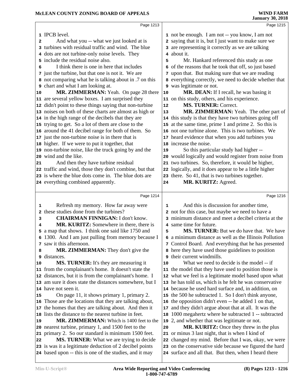|    | Page 1213                                                                                                          |            | Page 1215                                                                                                        |
|----|--------------------------------------------------------------------------------------------------------------------|------------|------------------------------------------------------------------------------------------------------------------|
|    | 1 IPCB level.                                                                                                      |            | 1 not be enough. I am not -- you know, I am not                                                                  |
|    |                                                                                                                    |            | 2 saying that it is, but I just want to make sure we                                                             |
| 2  | And what you -- what we just looked at is<br>3 turbines with residual traffic and wind. The blue                   |            | 3 are representing it correctly as we are talking                                                                |
|    |                                                                                                                    |            | 4 about it.                                                                                                      |
|    | 4 dots are not turbine-only noise levels. They                                                                     |            |                                                                                                                  |
|    | 5 include the residual noise also.                                                                                 | 5          | Mr. Hankard referenced this study as one                                                                         |
| 6  | I think there is one in here that includes                                                                         | 6          | of the reasons that he took that off, so just based                                                              |
|    | 7 just the turbine, but that one is not it. We are                                                                 | 7          | upon that. But making sure that we are reading                                                                   |
|    | 8 not comparing what he is talking about in .7 on this                                                             |            | 8 everything correctly, we need to decide whether that                                                           |
|    | 9 chart and what I am looking at.                                                                                  |            | <b>9</b> was legitimate or not.                                                                                  |
| 10 | MR. ZIMMERMAN: Yeah. On page 28 there                                                                              | ${\bf 10}$ | MR. DEAN: If I recall, he was basing it                                                                          |
|    | 11 are several yellow boxes. I am surprised they                                                                   |            | 11 on this study, others, and his experience.                                                                    |
|    | 12 didn't point to these things saying that non-turbine                                                            | 12         | <b>MS. TURNER: Correct.</b>                                                                                      |
|    | 13 noises on both of these charts are almost as high or                                                            | 13         | MR. ZIMMERMAN: Yeah. The other part of                                                                           |
|    | 14 in the high range of the decibels that they are                                                                 |            | 14 this study is that they have two turbines going off                                                           |
|    | 15 trying to get. So a lot of them are close to the                                                                |            | 15 at the same time, prime 1 and prime 2. So this is                                                             |
|    | 16 around the 41 decibel range for both of them. So                                                                |            | 16 not one turbine alone. This is two turbines. We                                                               |
|    | 17 just the non-turbine noise is in there that is                                                                  |            | 17 heard evidence that when you add turbines you                                                                 |
|    | 18 higher. If we were to put it together, that                                                                     |            | 18 increase the noise.                                                                                           |
|    | 19 non-turbine noise, like the truck going by and the                                                              | 19         | So this particular study had higher --                                                                           |
|    | 20 wind and the like.                                                                                              |            | 20 would logically and would register from noise from                                                            |
| 21 | And then they have turbine residual                                                                                |            | 21 two turbines. So, therefore, it would be higher,                                                              |
|    | 22 traffic and wind, those they don't combine, but that                                                            |            | 22 logically, and it does appear to be a little higher                                                           |
|    | 23 is where the blue dots come in. The blue dots are                                                               |            | 23 there. So 41, that is two turbines together.                                                                  |
|    | 24 everything combined apparently.                                                                                 | 24         | MR. KURITZ: Agreed.                                                                                              |
|    |                                                                                                                    |            |                                                                                                                  |
|    |                                                                                                                    |            |                                                                                                                  |
|    | Page 1214                                                                                                          |            | Page 1216                                                                                                        |
| 1  | Refresh my memory. How far away were                                                                               | 1          | And this is discussion for another time,                                                                         |
|    | 2 these studies done from the turbines?                                                                            |            | 2 not for this case, but maybe we need to have a                                                                 |
| 3  | <b>CHAIRMAN FINNIGAN: I don't know.</b>                                                                            |            | 3 minimum distance and meet a decibel criteria at the                                                            |
| 4  | MR. KURITZ: Somewhere in there, there is                                                                           |            | 4 same time for future.                                                                                          |
|    | 5 a map that shows. I think one said like 1750 and                                                                 | 5          | <b>MS. TURNER:</b> But we do have that. We have                                                                  |
|    | 6 1300. And I am just pulling from memory because I                                                                |            | 6 a minimum distance as well as the Illinois Pollution                                                           |
|    | 7 saw it this afternoon.                                                                                           |            | 7 Control Board. And everything that he has presented                                                            |
| 8  | MR. ZIMMERMAN: They don't give the                                                                                 |            | 8 here they have used those guidelines to position                                                               |
|    | <b>9</b> distances.                                                                                                | 9          | their current windmills.                                                                                         |
| 10 | MS. TURNER: It's they are measuring it                                                                             | 10         | What we need to decide is the model -- if                                                                        |
|    | 11 from the complainant's home. It doesn't state the                                                               |            | 11 the model that they have used to position those is                                                            |
|    | 12 distances, but it is from the complainant's home. I                                                             |            | 12 what we feel is a legitimate model based upon what                                                            |
|    | 13 am sure it does state the distances somewhere, but I                                                            |            | 13 he has told us, which is he felt he was conservative                                                          |
|    | 14 have not seen it.                                                                                               |            | 14 because he used hard surface and, in addition, on                                                             |
| 15 | On page 11, it shows primary 1, primary 2.                                                                         |            | 15 the 500 he subtracted 1. So I don't think anyone,                                                             |
|    | 16 Those are the locations that they are talking about,                                                            |            | 16 the opposition didn't even -- he added 1 on that,                                                             |
|    | 17 the homes that they are talking about. And then it                                                              | 17         | and they didn't argue about that at all. It was the                                                              |
|    | 18 lists the distance to the nearest turbine in feet.                                                              |            | 18 1000 megahertz where he subtracted 1 -- subtracted                                                            |
| 19 | MR. ZIMMERMAN: Which is 1400 feet to the                                                                           |            | 19 2, and whether that was legitimate or not.                                                                    |
|    | 20 nearest turbine, primary 1, and 1500 feet to the                                                                | 20         | MR. KURITZ: Once they threw in the plus                                                                          |
|    | 21 primary 2. So our standard is minimum 1500 feet.                                                                |            | 21 or minus 3 last night, that is when I kind of                                                                 |
| 22 | MS. TURNER: What we are trying to decide                                                                           |            | 22 changed my mind. Before that I was, okay, we were                                                             |
|    | 23 is was it a legitimate deduction of 2 decibel points<br>24 based upon -- this is one of the studies, and it may |            | 23 on the conservative side because we figured the hard<br>24 surface and all that. But then, when I heard there |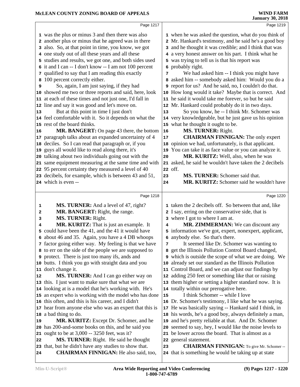|    | Page 1217                                                                                                       |    | Page 1219                                                                                               |  |
|----|-----------------------------------------------------------------------------------------------------------------|----|---------------------------------------------------------------------------------------------------------|--|
|    | 1 was the plus or minus 3 and then there was also                                                               |    | 1 when he was asked the question, what do you think of                                                  |  |
|    | 2 another plus or minus that he agreed was in there                                                             |    | 2 Mr. Hankard's testimony, and he said he's a good boy                                                  |  |
|    | 3 also. So, at that point in time, you know, we got                                                             |    | 3 and he thought it was credible; and I think that was                                                  |  |
|    | 4 one study out of all these years and all these                                                                |    | 4 a very honest answer on his part. I think what he                                                     |  |
|    | 5 studies and results, we got one, and both sides used                                                          |    | 5 was trying to tell us is that his report was                                                          |  |
|    | 6 it and I can -- I don't know -- I am not 100 percent                                                          |    | 6 probably right.                                                                                       |  |
|    | 7 qualified to say that I am reading this exactly                                                               | 7  | We had asked him -- I think you might have                                                              |  |
| 8  | 100 percent correctly either.                                                                                   |    | 8 asked him -- somebody asked him: Would you do a                                                       |  |
| 9  | So, again, I am just saying, if they had                                                                        |    | 9 report for us? And he said, no, I couldn't do that.                                                   |  |
|    | 10 showed me two or three reports and said, here, look                                                          |    | 10 How long would it take? Maybe that is correct. And                                                   |  |
|    | 11 at each of these times and not just one, I'd fall in                                                         |    | 11 he said it would take me forever, so but he said                                                     |  |
|    | 12 line and say it was good and let's move on.                                                                  |    | 12 Mr. Hankard could probably do it in two days.                                                        |  |
| 13 | But at this point in time I just don't                                                                          | 13 | So you know, he -- I think Mr. Schomer was                                                              |  |
|    | 14 feel comfortable with it. So it depends on what the                                                          |    | 14 very knowledgeable, but he just gave us his opinion                                                  |  |
|    | 15 rest of the board thinks.                                                                                    |    | 15 what he thought it ought to be.                                                                      |  |
| 16 | MR. BANGERT: On page 43 there, the bottom                                                                       | 16 | MS. TURNER: Right.                                                                                      |  |
|    | 17 paragraph talks about an expanded uncertainty of 4                                                           | 17 | <b>CHAIRMAN FINNIGAN:</b> The only expert                                                               |  |
|    | 18 deciles. So I can read that paragraph or, if you                                                             | 18 | opinion we had, unfortunately, is that applicant.                                                       |  |
|    | 19 guys all would like to read along there, it's                                                                |    | 19 You can take it as face value or you can analyze it.                                                 |  |
|    | 20 talking about two individuals going out with the                                                             | 20 | MR. KURITZ: Well, also, when he was                                                                     |  |
|    | 21 same equipment measuring at the same time and with                                                           |    | 21 asked, he said he wouldn't have taken the 2 decibels                                                 |  |
|    | 22 95 percent certainty they measured a level of 40                                                             |    | 22 off.                                                                                                 |  |
|    | 23 decibels, for example, which is between 43 and 51,                                                           | 23 | MS. TURNER: Schomer said that.                                                                          |  |
|    | 24 which is even --                                                                                             | 24 | MR. KURITZ: Schomer said he wouldn't have                                                               |  |
|    | Page 1218                                                                                                       |    | Page 1220                                                                                               |  |
|    |                                                                                                                 |    |                                                                                                         |  |
|    |                                                                                                                 |    |                                                                                                         |  |
| 1  | MS. TURNER: And a level of 47, right?                                                                           |    | 1 taken the 2 decibels off. So between that and, like                                                   |  |
| 2  | MR. BANGERT: Right, the range.                                                                                  |    | 2 I say, erring on the conservative side, that is                                                       |  |
| 3  | MS. TURNER: Right.                                                                                              | 4  | 3 where I got to where I am at.                                                                         |  |
| 4  | MR. KURITZ: That is just an example. It                                                                         |    | MR. ZIMMERMAN: We can discount any                                                                      |  |
|    | 5 could have been the 41, and the 41 it would have                                                              |    | 5 information we've got, expert, nonexpert, applicant,                                                  |  |
|    | 6 about 46 and 35. Again, you have a 4 DB whoops                                                                | 7  | 6 anybody else. So that's there.                                                                        |  |
|    | 7 factor going either way. My feeling is that we have                                                           | 8  | It seemed like Dr. Schomer was wanting to<br>get the Illinois Pollution Control Board changed,          |  |
|    | 8 to err on the side of the people we are supposed to<br><b>9</b> protect. There is just too many ifs, ands and |    | 9 which is outside the scope of what we are doing. We                                                   |  |
|    | 10 butts. I think you go with straight data and you                                                             | 10 | already set our standard as the Illinois Pollution                                                      |  |
| 11 | don't change it.                                                                                                | 11 | Control Board, and we can adjust our findings by                                                        |  |
| 12 | MS. TURNER: And I can go either way on                                                                          |    | 12 adding 250 feet or something like that or raising                                                    |  |
|    | 13 this. I just want to make sure that what we are                                                              |    | 13 them higher or setting a higher standard now. It is                                                  |  |
|    | 14 looking at is a model that he's working with. He's                                                           |    | 14 totally within our prerogative here.                                                                 |  |
|    | 15 an expert who is working with the model who has done                                                         | 15 | I think Schomer -- while I love                                                                         |  |
|    | 16 this often, and this is his career, and I didn't                                                             |    | 16 Dr. Schomer's testimony, I like what he was saying.                                                  |  |
|    | 17 hear from anyone else who was an expert that this is                                                         |    | 17 He was basically saying -- Hankard said I think, in                                                  |  |
|    | 18 a bad thing to do.                                                                                           |    | 18 his words, he's a good boy, always definitely a man,                                                 |  |
| 19 | MR. KURITZ: Except Dr. Schomer, and he                                                                          |    | 19 and he's pretty reliable at that. And Dr. Schomer                                                    |  |
|    | 20 has 200-and-some books on this, and he said you                                                              |    | 20 seemed to say, hey, I would like the noise levels to                                                 |  |
| 21 | ought to be at 3,000 -- 3250 feet, was it?                                                                      |    | 21 be lower across the board. That is almost as a                                                       |  |
| 22 | <b>MS. TURNER:</b> Right. He said he thought                                                                    |    | 22 general statement.                                                                                   |  |
| 24 | 23 that, but he didn't have any studies to show that.<br><b>CHAIRMAN FINNIGAN:</b> He also said, too,           | 23 | <b>CHAIRMAN FINNIGAN:</b> To give Mr. Schomer --<br>24 that is something he would be taking up at state |  |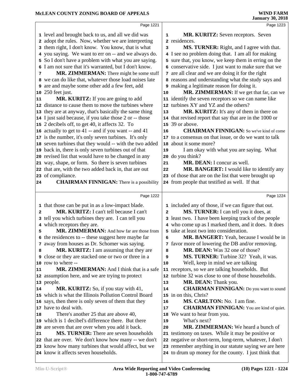|              | Page 1221                                               |              | Page 1223                                               |
|--------------|---------------------------------------------------------|--------------|---------------------------------------------------------|
|              | 1 level and brought back to us, and all we did was      | 1            | <b>MR. KURITZ:</b> Seven receptors. Seven               |
|              | 2 adopt the rules. Now, whether we are interpreting     |              | 2 residences.                                           |
|              | 3 them right, I don't know. You know, that is what      | 3            | MS. TURNER: Right, and I agree with that.               |
|              | 4 you saying. We want to err on -- and we always do.    |              | 4 I see no problem doing that. I am all for making      |
|              | 5 So I don't have a problem with what you are saying.   |              | 5 sure that, you know, we keep them in erring on the    |
|              | 6 I am not sure that it's warranted, but I don't know.  |              | 6 conservative side. I just want to make sure that we   |
| 7            | MR. ZIMMERMAN: There might be some stuff                |              | 7 are all clear and we are doing it for the right       |
|              | 8 we can do like that, whatever those load noises late  |              | 8 reasons and understanding what the study says and     |
|              | 9 are and maybe some other add a few feet, add          |              | 9 making a legitimate reason for doing it.              |
| 10           | 250 feet just.                                          | 10           | MR. ZIMMERMAN: If we get that far, can we               |
| 11           | MR. KURITZ: If you are going to add                     |              | 11 identify the seven receptors so we can name like     |
|              | 12 distance to cause them to move the turbines where    |              | 12 turbines XY and YZ and the others?                   |
|              |                                                         |              |                                                         |
|              | 13 they are at anyway, that's basically the same thing  | 13           | MR. KURITZ: It's any of them in there on                |
|              | 14 I just said because, if you take those 2 or -- those |              | 14 that revised report that say that are in the 1000 or |
|              | 15 2 decibels off, to get 40, it affects 32. To         |              | 15 39 or above.                                         |
|              | 16 actually to get to 41 -- and if you want -- and 41   | 16           | <b>CHAIRMAN FINNIGAN:</b> So we've kind of come         |
|              | 17 is the number, it's only seven turbines. It's only   |              | 17 to a consensus on that issue, or do we want to talk  |
|              | 18 seven turbines that they would -- with the two added | 18           | about it some more?                                     |
|              | 19 back in, there is only seven turbines out of that    | 19           | I am okay with what you are saying. What                |
|              | 20 revised list that would have to be changed in any    | 20           | do you think?                                           |
|              | 21 way, shape, or form. So there is seven turbines      | 21           | MR. DEAN: I concur as well.                             |
|              | 22 that are, with the two added back in, that are out   | 22           | MR. BANGERT: I would like to identify any               |
|              | 23 of compliance.                                       |              | 23 of those that are on the list that were brought up   |
| 24           | <b>CHAIRMAN FINNIGAN:</b> There is a possibility        |              | 24 from people that testified as well. If that          |
|              | Page 1222                                               |              | Page 1224                                               |
|              | 1 that those can be put in as a low-impact blade.       |              | 1 included any of those, if we can figure that out.     |
| $\mathbf{z}$ | MR. KURITZ: I can't tell because I can't                | $\mathbf{z}$ | MS. TURNER: I can tell you it does, at                  |
|              | 3 tell you which turbines they are. I can tell you      |              | 3 least two. I have been keeping track of the people    |
|              | 4 which receptors they are.                             |              | 4 who come up as I marked them, and it does. It does    |
| 5            | MR. ZIMMERMAN: And how far are those from               |              | 5 take at least two into consideration.                 |
|              | 6 the residences to -- these suggest here maybe far     | 6            | MR. BANGERT: Yeah, because I would be in                |
|              | 7 away from houses as Dr. Schomer was saying.           |              | 7 favor more of lowering the DB and/or removing.        |
| 8            | MR. KURITZ: I am assuming that they are                 | 8            | MR. DEAN: Was 32 one of those?                          |
| 9            | close or they are stacked one or two or three in a      | 9            | MS. TURNER: Turbine 32? Yeah, it was.                   |
|              | 10 row to where --                                      | 10           | Well, keep in mind we are talking                       |
| 11           | <b>MR. ZIMMERMAN:</b> And I think that is a safe        |              | 11 receptors, so we are talking households. But         |
| 12           | assumption here, and we are trying to protect           |              | 12 turbine 32 was close to one of those households.     |
| 13           | people.                                                 | 13           | MR. DEAN: Thank you.                                    |
| 14           | MR. KURITZ: So, if you stay with 41,                    | 14           | <b>CHAIRMAN FINNIGAN:</b> Do you want to sound          |
| 15           | which is what the Illinois Pollution Control Board      |              | 15 in on this, Chris?                                   |
|              | 16 says, then there is only seven of them that they     | 16           | MS. CARLTON: No. I am fine.                             |
| 17           | have to deal with.                                      | 17           | <b>CHAIRMAN FINNIGAN:</b> You are kind of quiet.        |
| 18           | There's another 25 that are above 40,                   | 18           | We want to hear from you.                               |
| 19           | which is 1 decibel's difference there. But there        | 19           | What's next?                                            |
| 20           | are seven that are over when you add it back.           | 20           | MR. ZIMMERMAN: We heard a bunch of                      |
| 21           | <b>MS. TURNER:</b> There are seven households           |              | 21 testimony on taxes. While it may be positive or      |
| 22           | that are over. We don't know how many -- we don't       |              | 22 negative or short-term, long-term, whatever, I don't |
|              | 23 know how many turbines that would affect, but we     |              | 23 remember anything in our statute saying we are here  |
|              |                                                         |              |                                                         |
|              | 24 know it affects seven households.                    |              | 24 to drum up money for the county. I just think that   |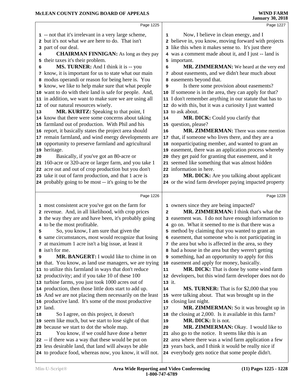|    | Page 1225                                                                                                        |                | Page 1227                                                                                                  |
|----|------------------------------------------------------------------------------------------------------------------|----------------|------------------------------------------------------------------------------------------------------------|
|    | 1 -- not that it's irrelevant in a very large scheme,                                                            | 1              | Now, I believe in clean energy, and I                                                                      |
|    | 2 but it's not what we are here to do. That isn't                                                                |                | 2 believe in, you know, moving forward with projects                                                       |
| 3  | part of our deal.                                                                                                |                | 3 like this when it makes sense to. It's just there                                                        |
| 4  | <b>CHAIRMAN FINNIGAN:</b> As long as they pay                                                                    | 4              | was a comment made about it, and I just -- land is                                                         |
| 5  | their taxes it's their problem.                                                                                  | 5              | important.                                                                                                 |
| 6  | MS. TURNER: And I think it is -- you                                                                             | 6              | MR. ZIMMERMAN: We heard at the very end                                                                    |
|    | 7 know, it is important for us to state what our main                                                            | 7              | about easements, and we didn't hear much about                                                             |
|    | 8 modus operandi or reason for being here is. You                                                                | 8              | easements beyond that.                                                                                     |
|    | <b>9</b> know, we like to help make sure that what people                                                        | 9              | Is there some provision about easements?                                                                   |
|    | 10 want to do with their land is safe for people. And,                                                           |                | 10 If someone is in the area, they can apply for that?                                                     |
|    | 11 in addition, we want to make sure we are using all                                                            |                | 11 I don't remember anything in our statute that has to                                                    |
|    | 12 of our natural resources wisely.                                                                              |                | 12 do with this, but it was a curiosity I just wanted                                                      |
| 13 | MR. KURITZ: Speaking to that point, I                                                                            |                | 13 to ask about.                                                                                           |
|    | 14 know that there were some concerns about taking                                                               | 14             | MR. DICK: Could you clarify that                                                                           |
|    | 15 farmland out of production. With Phil and his                                                                 |                | 15 question, please?                                                                                       |
|    | 16 report, it basically states the project area should                                                           | 16             | <b>MR. ZIMMERMAN:</b> There was some mention                                                               |
|    | 17 remain farmland, and wind energy developments are                                                             | 17             | that, if someone who lives there, and they are a                                                           |
|    | 18 opportunity to preserve farmland and agricultural                                                             |                | 18 nonparticipating member, and wanted to grant an                                                         |
|    | 19 heritage.                                                                                                     |                | 19 easement, there was an application process whereby                                                      |
| 20 | Basically, if you've got an 80-acre or                                                                           | 20             | they get paid for granting that easement, and it                                                           |
|    | 21 160-acre or 320-acre or larger farm, and you take 1                                                           |                | 21 seemed like something that was almost hidden                                                            |
|    | 22 acre out and out of crop production but you don't                                                             |                | 22 information in here.                                                                                    |
|    | 23 take it out of farm production, and that 1 acre is                                                            | 23             | MR. DICK: Are you talking about applicant                                                                  |
|    | 24 probably going to be most -- it's going to be the                                                             |                | 24 or the wind farm developer paying impacted property                                                     |
|    |                                                                                                                  |                |                                                                                                            |
|    | Page 1226                                                                                                        |                | Page 1228                                                                                                  |
|    | 1 most consistent acre you've got on the farm for                                                                |                | 1 owners since they are being impacted?                                                                    |
|    | 2 revenue. And, in all likelihood, with crop prices                                                              | $\overline{a}$ | MR. ZIMMERMAN: I think that's what the                                                                     |
|    | 3 the way they are and have been, it's probably going                                                            | 3              | easement was. I do not have enough information to                                                          |
|    | 4 to be the most profitable.                                                                                     |                | go on. What it seemed to me is that there was a                                                            |
| 5  |                                                                                                                  | 4              |                                                                                                            |
|    | So, you know, I am sure that given the                                                                           |                | 5 method by claiming that you wanted to grant an                                                           |
|    | 6 same circumstances, most would recognize that losing                                                           |                | 6 easement, that someone who is not participating in                                                       |
|    | 7 at maximum 1 acre isn't a big issue, at least it                                                               |                | 7 the area but who is affected in the area, so they                                                        |
|    | 8 isn't for me.                                                                                                  |                | 8 had a house in the area but they weren't getting                                                         |
| 9  | MR. BANGERT: I would like to chime in on                                                                         |                | <b>9</b> something, had an opportunity to apply for this                                                   |
|    | 10 that. You know, as land use managers, we are trying                                                           | 10             | easement and apply for money, basically.                                                                   |
|    | 11 to utilize this farmland in ways that don't reduce                                                            | 11             | MR. DICK: That is done by some wind farm                                                                   |
|    | 12 productivity; and if you take 10 of these 100                                                                 |                | 12 developers, but this wind farm developer does not do                                                    |
|    | 13 turbine farms, you just took 1000 acres out of                                                                | 13 it.         |                                                                                                            |
|    | 14 production, then those little dots start to add up.                                                           | 14             | MS. TURNER: That is for \$2,000 that you                                                                   |
|    | 15 And we are not placing them necessarily on the least                                                          |                | 15 were talking about. That was brought up in the                                                          |
|    | 16 productive land. It's some of the most productive                                                             |                | 16 closing last night.                                                                                     |
|    | 17 land.                                                                                                         | 17             | MR. ZIMMERMAN: So it was brought up in                                                                     |
| 18 | So I agree, on this project, it doesn't                                                                          | 18             | the closing at 2,000. Is it available in this farm?                                                        |
|    | 19 seem like much, but we start to lose sight of that                                                            | 19             | MR. DICK: It is not.                                                                                       |
|    | 20 because we start to dot the whole map.                                                                        | 20             | MR. ZIMMERMAN: Okay. I would like to                                                                       |
| 21 | You know, if we could have done a better                                                                         | 21             | also go to the notice. It seems like this is an                                                            |
|    | 22 -- if there was a way that these would be put on                                                              | 22             | area where there was a wind farm application a few                                                         |
|    | 23 less desirable land, that land will always be able<br>24 to produce food, whereas now, you know, it will not. |                | 23 years back, and I think it would be really nice if<br>24 everybody gets notice that some people didn't. |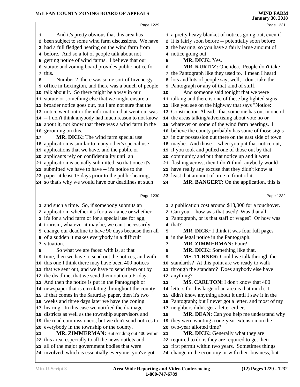|    | Page 1229                                                                                                     |      | Page 1231                                                                                                       |  |
|----|---------------------------------------------------------------------------------------------------------------|------|-----------------------------------------------------------------------------------------------------------------|--|
| 1  | And it's pretty obvious that this area has<br>2 been subject to some wind farm discussions. We have           |      | 1 a pretty heavy blanket of notices going out, even if<br>2 it is fairly soon before -- potentially soon before |  |
|    | 3 had a full fledged hearing on the wind farm from                                                            |      | 3 the hearing, so you have a fairly large amount of                                                             |  |
| 4  | before. And so a lot of people talk about not                                                                 |      | 4 notice going out.                                                                                             |  |
| 5  | getting notice of wind farms. I believe that our                                                              | 5    | MR. DICK: Yes.                                                                                                  |  |
|    | 6 statute and zoning board provides public notice for                                                         | 6    | MR. KURITZ: One idea. People don't take                                                                         |  |
|    | 7 this.                                                                                                       |      | 7 the Pantograph like they used to. I mean I heard                                                              |  |
| 8  | Number 2, there was some sort of Invenergy                                                                    |      | 8 lots and lots of people say, well, I don't take the                                                           |  |
|    | office in Lexington, and there was a bunch of people                                                          |      | <b>9</b> Pantograph or any of that kind of stuff.                                                               |  |
|    | 10 talk about it. So there might be a way in our                                                              | $10$ | And someone said tonight that we were                                                                           |  |
|    | 11 statute or something else that we might ensure a                                                           |      | 11 talking and there is one of these big lighted signs                                                          |  |
|    | 12 broader notice goes out, but I am not sure that the                                                        |      | 12 like you see on the highway that says "Notice:                                                               |  |
|    | 13 notice went out or the information that went out was                                                       |      | 13 Construction Ahead," that someone has out in one of                                                          |  |
|    | 14 -- I don't think anybody had much reason to not know                                                       |      | 14 the areas talking/advertising about vote no or                                                               |  |
|    | 15 about it, not know that there was a wind farm in the                                                       |      | 15 whatever on some of the wind farm hearings. I                                                                |  |
|    | 16 grooming on this.                                                                                          |      | 16 believe the county probably has some of those signs                                                          |  |
| 17 | MR. DICK: The wind farm special use                                                                           |      | 17 in our possession out there on the east side of town                                                         |  |
|    | 18 application is similar to many other's special use                                                         |      | 18 maybe. And those -- when you put that notice out,                                                            |  |
| 19 | applications that we have, and the public or                                                                  |      | 19 if you took and pulled one of those out by that                                                              |  |
| 20 | applicants rely on confidentiality until an                                                                   |      | 20 community and put that notice up and it went                                                                 |  |
| 21 | application is actually submitted, so that once it's                                                          |      | 21 flashing across, then I don't think anybody would                                                            |  |
|    | 22 submitted we have to have -- it's notice to the                                                            |      | 22 have really any excuse that they didn't know at                                                              |  |
|    | 23 paper at least 15 days prior to the public hearing,                                                        |      | 23 least that amount of time in front of it.                                                                    |  |
|    | 24 so that's why we would have our deadlines at such                                                          | 24   | MR. BANGERT: On the application, this is                                                                        |  |
|    |                                                                                                               |      |                                                                                                                 |  |
|    | Page 1230                                                                                                     |      | Page 1232                                                                                                       |  |
|    |                                                                                                               |      |                                                                                                                 |  |
|    | 1 and such a time. So, if somebody submits an                                                                 |      | 1 a publication cost around \$18,000 for a touchover.                                                           |  |
|    | 2 application, whether it's for a variance or whether                                                         |      | 2 Can you -- how was that used? Was that all                                                                    |  |
|    | 3 it's for a wind farm or for a special use for agg,                                                          |      | 3 Pantograph, or is that staff or wages? Or how was                                                             |  |
|    | 4 tourism, whatever it may be, we can't necessarily<br>5 change our deadline to have 90 days because then all | 5    | 4 that?                                                                                                         |  |
|    | 6 of a sudden it makes everybody in a difficult                                                               |      | MR. DICK: I think it was four full pages<br>6 in the legal notice in the Pantograph.                            |  |
|    | 7 situation.                                                                                                  | 7    | <b>MR. ZIMMERMAN: Four?</b>                                                                                     |  |
| 8  | So what we are faced with is, at that                                                                         | 8    | <b>MR. DICK:</b> Something like that.                                                                           |  |
|    | <b>9</b> time, then we have to send out the notices, and with                                                 | 9    | MS. TURNER: Could we talk through the                                                                           |  |
|    | 10 this one I think there may have been 400 notices                                                           |      | 10 standards? At this point are we ready to walk                                                                |  |
|    | 11 that we sent out, and we have to send them out by                                                          | 11   | through the standard? Does anybody else have                                                                    |  |
|    | 12 the deadline, that we send them out on a Friday.                                                           | 12   | anything?                                                                                                       |  |
|    | 13 And then the notice is put in the Pantograph or                                                            | 13   | MS. CARLTON: I don't know that 400                                                                              |  |
|    | 14 newspaper that is circulating throughout the county.                                                       |      | 14 letters for this large of an area is that much. I                                                            |  |
|    | 15 If that comes in the Saturday paper, then it's two                                                         |      | 15 didn't know anything about it until I saw it in the                                                          |  |
|    | 16 weeks and three days later we have the zoning                                                              |      | 16 Pantograph; but I never got a letter, and most of my                                                         |  |
|    | 17 hearing. In this case we notified the drainage                                                             |      | 17 neighbors didn't get a letter either.                                                                        |  |
|    | 18 districts as well as the township supervisors and                                                          | 18   | MR. DEAN: Can you help me understand why                                                                        |  |
|    | 19 the road commissioners, but we don't send notices to                                                       | 19   | they were wanting a one-year extension on the                                                                   |  |
| 20 | everybody in the township or the county.                                                                      |      | 20 two-year allotted time?                                                                                      |  |
| 21 | MR. ZIMMERMAN: But sending out 400 within                                                                     | 21   | MR. DICK: Generally what they are                                                                               |  |
|    | 22 this area, especially to all the news outlets and                                                          |      | 22 required to do is they are required to get their                                                             |  |
|    | 23 all of the major government bodies that were<br>24 involved, which is essentially everyone, you've got     |      | 23 first permit within two years. Sometimes things<br>24 change in the economy or with their business, but      |  |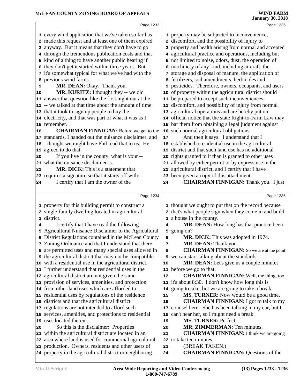|    | Page 1233                                                     |      | Page 1235                                                                         |
|----|---------------------------------------------------------------|------|-----------------------------------------------------------------------------------|
|    | 1 every wind application that we've taken so far has          |      | 1 property may be subjected to inconvenience,                                     |
|    | 2 made this request and at least one of them expired          |      | 2 discomfort, and the possibility of injury to                                    |
|    | 3 anyway. But it means that they don't have to go             |      | 3 property and health arising from normal and accepted                            |
|    | 4 through the tremendous publication costs and that           |      | 4 agricultural practice and operations, including but                             |
|    | 5 kind of a thing to have another public hearing if           |      | 5 not limited to noise, odors, dust, the operation of                             |
|    | 6 they don't get it started within three years. But           |      | 6 machinery of any kind, including aircraft, the                                  |
|    | 7 it's somewhat typical for what we've had with the           |      | 7 storage and disposal of manure, the application of                              |
|    | 8 previous wind farms.                                        |      | 8 fertilizers, soil amendments, herbicides and                                    |
| 9  | MR. DEAN: Okay. Thank you.                                    |      | 9 pesticides. Therefore, owners, occupants, and users                             |
| 10 | MR. KURITZ: I thought they -- we did                          |      | 10 of property within the agricultural district should                            |
|    | 11 answer that question like the first night out at the       |      | 11 be prepared to accept such inconveniences,                                     |
|    | 12 -- we talked at that time about the amount of time         |      | 12 discomfort, and possibility of injury from normal                              |
|    | 13 that it took to sign up people to buy the                  |      | 13 agricultural operations and are hereby put on                                  |
|    | 14 electricity, and that was part of what it was as I         |      | 14 official notice that the state Right-to-Farm Law may                           |
|    | 15 remember.                                                  |      | 15 bar them from obtaining a legal judgment against                               |
| 16 | <b>CHAIRMAN FINNIGAN:</b> Before we get to the                |      | 16 such normal agricultural obligations.                                          |
|    | 17 standards, I handed out the nuisance disclaimer, and       | $17$ | And then it says: I understand that I                                             |
|    | 18 I thought we might have Phil read that to us. He           |      | 18 established a residential use in the agricultural                              |
|    | 19 agreed to do that.                                         | 19   | district and that such land use has no additional                                 |
| 20 | If you live in the county, what is your --                    | 20   | rights granted to it than is granted to other uses                                |
|    | 21 what the nuisance disclaimer is.                           |      | 21 allowed by either permit or by express use in the                              |
| 22 | <b>MR. DICK:</b> This is a statement that                     |      | 22 agricultural district, and I certify that I have                               |
|    | 23 requires a signature so that it starts off with:           |      | 23 been given a copy of this attachment.                                          |
| 24 | I certify that I am the owner of the                          | 24   | <b>CHAIRMAN FINNIGAN:</b> Thank you. I just                                       |
|    |                                                               |      |                                                                                   |
|    |                                                               |      |                                                                                   |
|    | Page 1234                                                     |      | Page 1236                                                                         |
|    | 1 property for this building permit to construct a            |      | 1 thought we ought to put that on the record because                              |
|    | 2 single-family dwelling located in agricultural              |      |                                                                                   |
|    | 3 district.                                                   |      | 2 that's what people sign when they come in and build<br>3 a house in the county. |
| 4  | I certify that I have read the following                      | 4    | MR. DEAN: How long has that practice been                                         |
|    | 5 Agricultural Nuisance Disclaimer to the Agricultural        |      | 5 going on?                                                                       |
|    | 6 District Regulations contained in the McLean County         | 6    | MR. DICK: This was adopted in 1974.                                               |
|    | 7 Zoning Ordinance and that I understand that there           | 7    | MR. DEAN: Thank you.                                                              |
|    | 8 are permitted uses and many special uses allowed in         | 8    | <b>CHAIRMAN FINNIGAN:</b> So we are at the point                                  |
|    | <b>9</b> the agricultural district that may not be compatible |      | <b>9</b> we can start talking about the standards.                                |
|    | 10 with a residential use in the agricultural district.       | 10   | <b>MR. DEAN:</b> Let's give us a couple minutes                                   |
|    | 11 I further understand that residential uses in the          |      | 11 before we go to that.                                                          |
|    | 12 agricultural district are not given the same               | 12   | <b>CHAIRMAN FINNIGAN:</b> Well, the thing, too,                                   |
|    | 13 provision of services, amenities, and protection           |      | 13 it's about 8:30. I don't know how long this is                                 |
|    | 14 from other land uses which are afforded to                 |      | 14 going to take, but we are going to take a break.                               |
|    | 15 residential uses by regulations of the residence           | 15   | MS. TURNER: Now would be a good time.                                             |
|    | 16 districts and that the agricultural district               | 16   | <b>CHAIRMAN FINNIGAN:</b> I got to talk to my                                     |
|    | 17 regulations are not intended to afford such                | 17   | counsel here. She has been talking in my ear, but I                               |
|    | 18 services, amenities, and protections to residential        | 18   | can't hear her, so I might need a break.                                          |
|    | 19 uses located therein.                                      | 19   | MS. TURNER: Perfect.                                                              |
| 20 | So this is the disclaimer: Properties                         | 20   | MR. ZIMMERMAN: Ten minutes.                                                       |
|    | 21 within the agricultural district are located in an         | 21   | <b>CHAIRMAN FINNIGAN:</b> I think we are going                                    |
|    | 22 area where land is used for commercial agricultural        |      | 22 to take ten minutes.                                                           |
|    | 23 production. Owners, residents and other users of           | 23   | (BREAK TAKEN.)                                                                    |
|    | 24 property in the agricultural district or neighboring       | 24   | <b>CHAIRMAN FINNIGAN: Questions of the</b>                                        |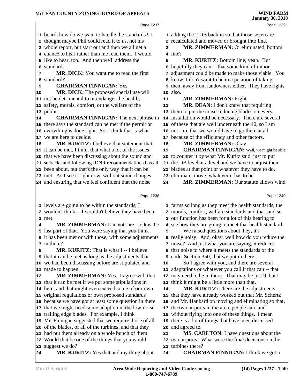|    | Page 1237                                                   |    | Page 1239                                              |
|----|-------------------------------------------------------------|----|--------------------------------------------------------|
|    | 1 board, how do we want to handle the standards? I          |    | 1 adding the 2 DB back in so that those seven are      |
|    | 2 thought maybe Phil could read it to us, not his           |    | 2 recalculated and moved or brought into line.         |
|    | 3 whole report, but start out and then we all get a         | 3  | MR. ZIMMERMAN: Or eliminated, bottom                   |
|    | 4 chance to hear rather than me read them. I would          |    | 4 line?                                                |
|    | 5 like to hear, too. And then we'll address the             | 5  | MR. KURITZ: Bottom line, yeah. But                     |
|    | 6 standard.                                                 | 6  | hopefully they can -- that some kind of minor          |
| 7  | MR. DICK: You want me to read the first                     | 7  | adjustment could be made to make those viable. You     |
| 8  | standard?                                                   |    | 8 know, I don't want to be in a position of taking     |
| 9  | <b>CHAIRMAN FINNIGAN: Yes.</b>                              | 9  | them away from landowners either. They have rights     |
| 10 | MR. DICK: The proposed special use will                     |    | 10 also.                                               |
|    | 11 not be detrimental to or endanger the health,            | 11 | MR. ZIMMERMAN: Right.                                  |
|    | 12 safety, morals, comfort, or the welfare of the           | 12 | MR. DEAN: I don't know that requiring                  |
|    | 13 public.                                                  |    | 13 them to put the noise-reducing blades on every      |
| 14 | <b>CHAIRMAN FINNIGAN:</b> The next phrase in                |    | 14 installation would be necessary. There are several  |
|    | 15 there says the standard can be met if the permit or      |    | 15 of these that are well underneath the 40, so I am   |
|    | 16 everything is done right. So, I think that is what       |    | 16 not sure that we would have to go there at all      |
|    | 17 we are here to decide.                                   |    | 17 because of the efficiency and other factors.        |
| 18 | MR. KURITZ: I believe that statement that                   | 18 | MR. ZIMMERMAN: Okay.                                   |
|    | 19 it can be met, I think that what a lot of the issues     | 19 | <b>CHAIRMAN FINNIGAN:</b> Well, we might be able       |
|    | 20 that we have been discussing about the sound and         |    | 20 to counter it by what Mr. Kuritz said, just to put  |
|    | 21 setbacks and following IDNR recommendations has all      |    | 21 the DB level at a level and we have to adjust their |
|    | 22 been about, but that's the only way that it can be       |    | 22 blades at that point or whatever they have to do,   |
|    | 23 met. As I see it right now, without some changes         |    | 23 eliminate, move, whatever it has to be.             |
|    | 24 and ensuring that we feel confident that the noise       | 24 | MR. ZIMMERMAN: Our statute allows wind                 |
|    |                                                             |    |                                                        |
|    | Page 1238                                                   |    | Page 1240                                              |
|    | 1 levels are going to be within the standards, I            |    | 1 farms so long as they meet the health standards, the |
|    | 2 wouldn't think -- I wouldn't believe they have been       |    | 2 morals, comfort, welfare standards and that, and so  |
|    | 3 met.                                                      |    | 3 our function has been for a lot of this hearing to   |
| 4  | MR. ZIMMERMAN: I am not sure I follow the                   |    | 4 see how they are going to meet that health standard. |
|    | 5 last part of that. You were saying that you think         | 5  | We raised questions about, hey, it's                   |
|    | 6 it has been met or with those, with some adjustments      |    | 6 really noisy. And, okay, well how do you reduce the  |
|    | 7 in there?                                                 |    | 7 noise? And just what you are saying, it reduces      |
| 8  | <b>MR. KURITZ:</b> That is what I -- I believe              |    | 8 that noise to where it meets the standards of the    |
|    | <b>9</b> that it can be met as long as the adjustments that |    | <b>9</b> code, Section 350, that we put in there.      |
|    | 10 we had been discussing before are stipulated and         | 10 | So I agree with you, and there are several             |
|    | 11 made to happen.                                          | 11 | adaptations or whatever you call it that can -- that   |
| 12 | <b>MR. ZIMMERMAN:</b> Yes. I agree with that,               |    | 12 may need to be in there. That may be just 9, but I  |
|    | 13 that it can be met if we put some stipulations in        |    | 13 think it might be a little more than that.          |
|    | 14 here, and that might even exceed some of our own         | 14 | <b>MR. KURITZ:</b> There are the adjustments           |
|    | 15 original regulations or own proposed standards           |    | 15 that they have already worked out that Mr. Schertz  |
|    | 16 because we have got at least some question in there      | 16 | and Mr. Hankard on moving and eliminating so that,     |
|    | 17 that we might need some adaption in the low-noise        |    | 17 the two airports in the area, people can land       |
|    | 18 trailing edge blades. For example, I think               | 18 | without flying into one of these things. I mean        |
|    | 19 Mr. Finnigan suggested that we require those of all      |    | 19 there is a lot of things that have been discussed   |
|    | 20 of the blades, of all of the turbines, and that they     | 20 | and agreed to.                                         |
|    | 21 had put them already on a whole bunch of them.           | 21 | <b>MS. CARLTON:</b> I have questions about the         |
|    | 22 Would that be one of the things that you would           |    | 22 two airports. What were the final decisions on the  |
|    | 23 suggest we do?                                           |    | 23 turbines there?                                     |
| 24 | <b>MR. KURITZ:</b> Yes that and my thing about              | 24 | <b>CHAIRMAN FINNIGAN:</b> I think we got a             |
|    |                                                             |    |                                                        |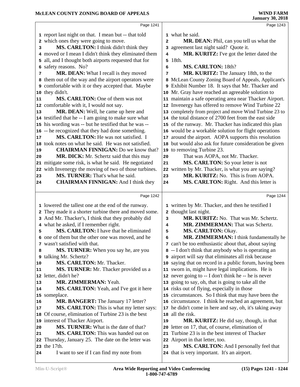|    | Page 1241                                                                                  |                | Page 1243                                                                                |  |
|----|--------------------------------------------------------------------------------------------|----------------|------------------------------------------------------------------------------------------|--|
|    | 1 report last night on that. I mean but -- that told                                       |                | 1 what he said.                                                                          |  |
|    | 2 which ones they were going to move.                                                      | $\overline{a}$ | MR. DEAN: Phil, can you tell us what the                                                 |  |
| 3  | MS. CARLTON: I think didn't think they                                                     |                | 3 agreement last night said? Quote it.                                                   |  |
|    | 4 moved or I mean I didn't think they eliminated them                                      | 4              | MR. KURITZ: I've got the letter dated the                                                |  |
|    | 5 all, and I thought both airports requested that for                                      |                | 5 18th.                                                                                  |  |
|    | 6 safety reasons. No?                                                                      | 6              | MS. CARLTON: 18th?                                                                       |  |
| 7  | MR. DEAN: What I recall is they moved                                                      | 7              | MR. KURITZ: The January 18th, to the                                                     |  |
|    | 8 them out of the way and the airport operators were                                       |                | 8 McLean County Zoning Board of Appeals, Applicant's                                     |  |
|    | 9 comfortable with it or they accepted that. Maybe                                         |                | 9 Exhibit Number 18. It says that Mr. Thacker and                                        |  |
|    | 10 they didn't.                                                                            |                | 10 Mr. Gray have reached an agreeable solution to                                        |  |
| 11 | MS. CARLTON: One of them was not                                                           |                | 11 maintain a safe operating area near Thacker Airport.                                  |  |
|    | 12 comfortable with it, I would not say.                                                   |                | 12 Invenergy has offered to remove Wind Turbine 22                                       |  |
| 13 | MR. DEAN: Well, he came up here and                                                        |                | 13 completely from project and move Wind Turbine 23 to                                   |  |
|    | 14 testified that he -- I am going to make sure what                                       |                | 14 the total distance of 2700 feet from the east side                                    |  |
|    | 15 his wording was -- but he testified that he was --                                      |                | 15 of the runway. Mr. Thacker has indicated this plan                                    |  |
|    | 16 -- he recognized that they had done something.                                          |                | 16 would be a workable solution for flight operations                                    |  |
| 17 | MS. CARLTON: He was not satisfied. I                                                       |                | 17 around the airport. AOPA supports this resolution                                     |  |
|    | 18 took notes on what he said. He was not satisfied.                                       |                | 18 but would also ask for future consideration be given                                  |  |
| 19 | <b>CHAIRMAN FINNIGAN:</b> Do we know that?                                                 |                | 19 to removing Turbine 23.                                                               |  |
| 20 | MR. DICK: Mr. Schertz said that this may                                                   | 20             | That was AOPA, not Mr. Thacker.<br>MS. CARLTON: So your letter is not                    |  |
|    | 21 mitigate some risk, is what he said. He negotiated                                      | 21             |                                                                                          |  |
| 23 | 22 with Invenergy the moving of two of those turbines.<br>MS. TURNER: That's what he said. | 23             | 22 written by Mr. Thacker, is what you are saying?<br>MR. KURITZ: No. This is from AOPA. |  |
| 24 | <b>CHAIRMAN FINNIGAN:</b> And I think they                                                 | 24             | MS. CARLTON: Right. And this letter is                                                   |  |
|    |                                                                                            |                |                                                                                          |  |
|    |                                                                                            |                |                                                                                          |  |
|    | Page 1242                                                                                  |                | Page 1244                                                                                |  |
|    | 1 lowered the tallest one at the end of the runway.                                        |                | 1 written by Mr. Thacker, and then he testified I                                        |  |
|    | 2 They made it a shorter turbine there and moved some.                                     |                | 2 thought last night.                                                                    |  |
|    | 3 And Mr. Thacker's, I think that they probably did                                        | 3              | MR. KURITZ: No. That was Mr. Schertz.                                                    |  |
|    | 4 what he asked, if I remember right.                                                      | 4              | MR. ZIMMERMAN: That was Schertz.                                                         |  |
| 5  | MS. CARLTON: I have that he eliminated                                                     | 5              | MS. CARLTON: Okay.                                                                       |  |
|    | 6 one of them but the other one was moved, and he                                          | 6              | MR. ZIMMERMAN: I think fundamentally he                                                  |  |
|    | 7 wasn't satisfied with that.                                                              |                | 7 can't be too enthusiastic about that, about saying                                     |  |
| 8  | MS. TURNER: When you say he, are you                                                       |                | 8 -- I don't think that anybody who is operating an                                      |  |
| 9  | talking Mr. Schertz?                                                                       |                | <b>9</b> airport will say that eliminates all risk because                               |  |
| 10 | MS. CARLTON: Mr. Thacker.                                                                  |                | 10 saying that on record in a public forum, having been                                  |  |
| 11 | MS. TURNER: Mr. Thacker provided us a                                                      |                | 11 sworn in, might have legal implications. He is                                        |  |
|    | 12 letter, didn't he?                                                                      |                | 12 never going to -- I don't think he -- he is never                                     |  |
| 13 | MR. ZIMMERMAN: Yeah.                                                                       |                | 13 going to say, oh, that is going to take all the                                       |  |
| 14 | MS. CARLTON: Yeah, and I've got it here                                                    |                | 14 risks out of flying, especially in those                                              |  |
|    | 15 someplace.                                                                              |                | 15 circumstances. So I think that may have been the                                      |  |
| 16 | MR. BANGERT: The January 17 letter?                                                        |                | 16 circumstance. I think he reached an agreement, but                                    |  |
| 17 | MS. CARLTON: This is what my letter says:                                                  |                | 17 he didn't come in here and say, oh, it's taking away                                  |  |
|    | 18 Of course, elimination of Turbine 23 is the best                                        | 18             | all the risk.                                                                            |  |
|    | 19 interest of Thacker Airport.                                                            | 19             | MR. KURITZ: He did say, though, in that                                                  |  |
| 20 | <b>MS. TURNER:</b> What is the date of that?                                               | 20             | letter on 17, that, of course, elimination of                                            |  |
| 21 | MS. CARLTON: This was handed out on                                                        |                | 21 Turbine 23 is in the best interest of Thacker                                         |  |
|    | 22 Thursday, January 25. The date on the letter was                                        |                | 22 Airport in that letter, too.                                                          |  |
| 24 | 23 the 17th.<br>I want to see if I can find my note from                                   | 23             | MS. CARLTON: And I personally feel that<br>24 that is very important. It's an airport.   |  |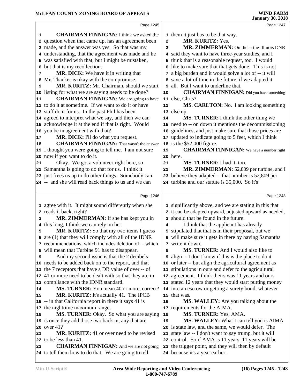|    | Page 1245                                                                                              |                | Page 1247                                                                                                   |
|----|--------------------------------------------------------------------------------------------------------|----------------|-------------------------------------------------------------------------------------------------------------|
| 1  | <b>CHAIRMAN FINNIGAN:</b> I think we asked the                                                         |                | 1 them it just has to be that way.                                                                          |
|    | 2 question when that came up, has an agreement been                                                    | $\overline{a}$ | MR. KURITZ: Yes.                                                                                            |
|    | 3 made, and the answer was yes. So that was my                                                         | 3              | MR. ZIMMERMAN: On the -- the Illinois DNR                                                                   |
|    | 4 understanding, that the agreement was made and he                                                    |                | 4 said they want to have three-year studies, and I                                                          |
|    | 5 was satisfied with that; but I might be mistaken,                                                    |                | 5 think that is a reasonable request, too. I would                                                          |
|    | 6 but that is my recollection.                                                                         |                | 6 like to make sure that that gets done. This is not                                                        |
| 7  | MR. DICK: We have it in writing that                                                                   |                | 7 a big burden and it would solve a lot of -- it will                                                       |
| 8  | Mr. Thacker is okay with the compromise.                                                               |                | 8 save a lot of time in the future, if we adapted it                                                        |
| 9  | MR. KURITZ: Mr. Chairman, should we start                                                              |                | all. But I want to underline that.                                                                          |
|    | 10 listing for what we are saying needs to be done?                                                    | $10$           | <b>CHAIRMAN FINNIGAN:</b> Did you have something                                                            |
| 11 | <b>CHAIRMAN FINNIGAN:</b> We are going to have                                                         |                | 11 else, Chris?                                                                                             |
|    | 12 to do it at sometime. If we want to do it or have                                                   | 12             | MS. CARLTON: No. I am looking something                                                                     |
|    | 13 staff do it for us. In the past Phil has been                                                       |                | 13 else up.                                                                                                 |
|    | 14 agreed to interpret what we say, and then we can                                                    | 14             | MS. TURNER: I think the other thing we                                                                      |
|    | 15 acknowledge it at the end if that is right. Would                                                   |                | 15 need to -- on down it mentions the decommissioning                                                       |
|    | 16 you be in agreement with that?                                                                      | 16             | guidelines, and just make sure that those prices are                                                        |
| 17 | MR. DICK: I'll do what you request.                                                                    | 17             | updated to indicate going to 5 feet, which I think                                                          |
| 18 | <b>CHAIRMAN FINNIGAN:</b> That wasn't the answer                                                       |                | 18 is the \$52,000 figure.                                                                                  |
|    | 19 I thought you were going to tell me. I am not sure                                                  | 19             | <b>CHAIRMAN FINNIGAN:</b> We have a number right                                                            |
|    | 20 now if you want to do it.                                                                           |                | 20 here.                                                                                                    |
| 21 | Okay. We got a volunteer right here, so                                                                | 21             | MS. TURNER: I had it, too.                                                                                  |
|    | 22 Samantha is going to do that for us. I think it                                                     | 22             | MR. ZIMMERMAN: 52,809 per turbine, and I                                                                    |
|    | 23 just frees us up to do other things. Somebody can                                                   |                | 23 believe they adapted -- that number is 52,809 per                                                        |
|    | 24 -- and she will read back things to us and we can                                                   |                | 24 turbine and our statute is 35,000. So it's                                                               |
|    |                                                                                                        |                |                                                                                                             |
|    | Page 1246                                                                                              |                | Page 1248                                                                                                   |
|    |                                                                                                        |                |                                                                                                             |
|    |                                                                                                        |                |                                                                                                             |
|    | 1 agree with it. It might sound differently when she                                                   |                | 1 significantly above, and we are stating in this that                                                      |
| 3  | 2 reads it back, right?<br>MR. ZIMMERMAN: If she has kept you in                                       |                | 2 it can be adapted upward, adjusted upward as needed,<br>3 should that be found in the future.             |
| 4  | this long, I think we can rely on her.                                                                 | 4              | I think that the applicant has already                                                                      |
| 5  | MR. KURITZ: So that my two items I guess                                                               |                |                                                                                                             |
|    | 6 are (1) that they will comply with all of the IDNR                                                   |                | 5 stipulated that that is in their proposal, but we<br>6 will make sure it gets in there by having Samantha |
|    | 7 recommendations, which includes deletion of -- which                                                 |                | 7 write it down.                                                                                            |
|    | 8 will mean that Turbine 91 has to disappear.                                                          | 8              | <b>MS. TURNER:</b> And I would also like to                                                                 |
| 9  | And my second issue is that the 2 decibels                                                             |                | <b>9</b> align -- I don't know if this is the place to do it                                                |
|    | 10 needs to be added back on to the report, and that                                                   |                | 10 or later -- but align the agricultural agreement as                                                      |
|    | 11 the 7 receptors that have a DB value of over -- of                                                  | 11             | stipulations in ours and defer to the agricultural                                                          |
|    | 12 41 or more need to be dealt with so that they are in                                                | 12             | agreement. I think theirs was 11 years and ours                                                             |
|    | 13 compliance with the IDNR standard.                                                                  |                | 13 stated 12 years that they would start putting money                                                      |
| 14 | <b>MS. TURNER:</b> You mean 40 or more, correct?                                                       |                | 14 into an escrow or getting a surety bond, whatever                                                        |
| 15 | MR. KURITZ: It's actually 41. The IPCB                                                                 |                | 15 that was.                                                                                                |
|    | 16 -- in that California report in there it says 41 is                                                 | 16             | <b>MS. WALLEY:</b> Are you talking about the                                                                |
|    | 17 the nighttime maximum range.                                                                        | 17             | requirements for the AIMA.                                                                                  |
| 18 | MS. TURNER: Okay. So what you are saying                                                               | 18             | MS. TURNER: Yes, AMA.                                                                                       |
|    | 19 is once they add those two back in, any that are                                                    | 19             | MS. WALLEY: What I can tell you is AIMA                                                                     |
|    | 20 over 41?                                                                                            |                | 20 is state law, and the same, we would defer. The                                                          |
| 21 | <b>MR. KURITZ:</b> 41 or over need to be revised                                                       |                | 21 state law -- I don't want to say trump, but it will                                                      |
|    | 22 to be less than 41.                                                                                 |                | 22 control. So if AMA is 11 years, 11 years will be                                                         |
| 23 | <b>CHAIRMAN FINNIGAN:</b> And we are not going<br>24 to tell them how to do that. We are going to tell | 23             | the trigger point, and they will then by default<br>24 because it's a year earlier.                         |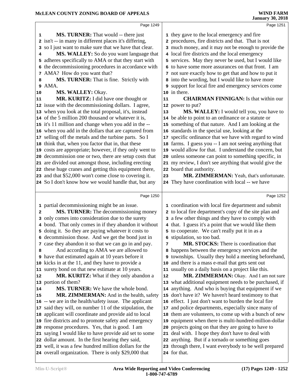|                |                                                         |    | <b>January 30, 2018</b>                                     |
|----------------|---------------------------------------------------------|----|-------------------------------------------------------------|
|                | Page 1249                                               |    | Page 1251                                                   |
| 1              | <b>MS. TURNER:</b> That would -- there just             |    | 1 they gave to the local emergency and fire                 |
|                | 2 isn't -- in many in different places it's differing,  |    | 2 procedures, fire districts and that. That is not          |
|                | 3 so I just want to make sure that we have that clear.  |    | 3 much money, and it may not be enough to provide the       |
| 4              | MS. WALLEY: So do you want language that                |    | 4 local fire districts and the local emergency              |
|                | 5 adheres specifically to AMA or that they start with   |    | 5 services. May they never be used, but I would like        |
|                | 6 the decommissioning procedures in accordance with     |    | 6 to have some more assurances on that front. I am          |
|                | 7 AMA? How do you want that?                            |    | 7 not sure exactly how to get that and how to put it        |
| 8              | MS. TURNER: That is fine. Strictly with                 |    | 8 into the wording, but I would like to have more           |
|                | 9 AMA.                                                  |    | 9 support for local fire and emergency services come        |
| 10             | MS. WALLEY: Okay.                                       |    | 10 in there.                                                |
| 11             | MR. KURITZ: I did have one thought or                   | 11 | <b>CHAIRMAN FINNIGAN:</b> Is that within our                |
|                | 12 issue with the decommissioning dollars. I agree,     |    | 12 power to put?                                            |
|                | 13 when you look at the total proposal, it's, instead   | 13 | MS. WALLEY: I would tell you, you have to                   |
|                | 14 of the 5 million 200 thousand or whatever it is,     |    | 14 be able to point to an ordinance or a statute or         |
|                | 15 it's 11 million and change when you add in the --    |    | 15 something of that nature. And I am looking at the        |
|                | 16 when you add in the dollars that are captured from   |    | 16 standards in the special use, looking at the             |
|                | 17 selling off the metals and the turbine parts. So I   |    | 17 specific ordinance that we have with regard to wind      |
|                | 18 think that, when you factor that in, that these      |    | 18 farms. I guess you -- I am not seeing anything that      |
|                | 19 costs are appropriate; however, if they only went to |    | 19 would allow for that. I understand the concern, but      |
|                | 20 decommission one or two, there are setup costs that  |    | 20 unless someone can point to something specific, in       |
|                | 21 are divided out amongst those, including erecting    |    | 21 my review, I don't see anything that would give the      |
|                | 22 these huge cranes and getting this equipment there,  |    | 22 board that authority.                                    |
|                | 23 and that \$52,000 won't come close to covering it.   | 23 | MR. ZIMMERMAN: Yeah, that's unfortunate.                    |
|                | 24 So I don't know how we would handle that, but any    |    | 24 They have coordination with local -- we have             |
|                | Page 1250                                               |    | Page 1252                                                   |
|                | 1 partial decommissioning might be an issue.            |    | 1 coordination with local fire department and submit        |
| $\overline{a}$ | MS. TURNER: The decommissioning money                   |    | 2 to local fire department's copy of the site plan and      |
|                | 3 only comes into consideration due to the surety       |    | 3 a few other things and they have to comply with           |
|                | 4 bond. That only comes in if they abandon it without   |    | 4 that. I guess it's a point that we would like them        |
|                | 5 doing it. So they are paying whatever it costs to     |    | 5 to cooperate. We can't really put it in as a              |
|                | 6 decommission those. And we get the bond just in       |    | <b>6</b> stipulation, so too bad.                           |
|                | 7 case they abandon it so that we can go in and pay.    | 7  | MR. STOCKS: There is coordination that                      |
| 8              | And according to AMA we are allowed to                  |    | 8 happens between the emergency services and the            |
| 9              | have that estimated again at 10 years before it         |    | <b>9</b> townships. Usually they hold a meeting beforehand, |
|                | 10 kicks in at the 11, and they have to provide a       |    | 10 and there is a mass e-mail that gets sent out            |
|                | 11 surety bond on that new estimate at 10 years.        |    | 11 usually on a daily basis on a project like this.         |
| 12             | <b>MR. KURITZ:</b> What if they only abandon a          | 12 | MR. ZIMMERMAN: Okay. And I am not sure                      |
|                | 13 portion of them?                                     |    | 13 what additional equipment needs to be purchased, if      |
| 14             | <b>MS. TURNER:</b> We have the whole bond.              |    | 14 anything. And who is buying that equipment if we         |
| 15             | MR. ZIMMERMAN: And in the health, safety                |    | 15 don't have it? We haven't heard testimony to that        |
|                | 16 -- we are in the health/safety issue. The applicant  |    | 16 effect. I just don't want to burden the local fire       |
| 17             | said they will, on number 11 of the stipulation, the    | 17 | and police departments, especially since many of            |
| 18             | applicant will coordinate and provide aid to local      |    | 18 them are volunteers, to come up with a bunch of new      |
|                | 19 fire districts and to promote safety and emergency   |    | 19 equipment when there is multi-hundred-million-dollar     |
|                | 20 response procedures. Yes, that is good. I am         |    | 20 projects going on that they are going to have to         |
|                | 21 saying I would like to have provide aid set to some  |    | 21 deal with. I hope they don't have to deal with           |

- saying I would like to have provide aid set to some
- dollar amount. In the first hearing they said,
- well, it was a few hundred million dollars for the overall organization. There is only \$29,000 that

**1-800-747-6789**

 anything. But if a tornado or something goes through there, I want everybody to be well prepared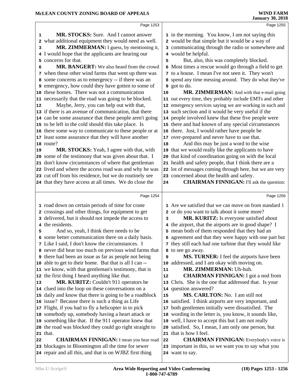|                                            | Page 1253                                                                                                                                                                                                                                                                                                                                                                                                                                                                                                                                                                                                                                                                                                                                                                                                                                                                                                                                                                                                                                                                                                                                                                                                                                                        |                                                                      | Page 1255                                                                                                                                                                                                                                                                                                                                                                                                                                                                                                                                                                                                                                                                                                                                                                                                                                                                                                                                                                                                                                                                                                                                                                          |
|--------------------------------------------|------------------------------------------------------------------------------------------------------------------------------------------------------------------------------------------------------------------------------------------------------------------------------------------------------------------------------------------------------------------------------------------------------------------------------------------------------------------------------------------------------------------------------------------------------------------------------------------------------------------------------------------------------------------------------------------------------------------------------------------------------------------------------------------------------------------------------------------------------------------------------------------------------------------------------------------------------------------------------------------------------------------------------------------------------------------------------------------------------------------------------------------------------------------------------------------------------------------------------------------------------------------|----------------------------------------------------------------------|------------------------------------------------------------------------------------------------------------------------------------------------------------------------------------------------------------------------------------------------------------------------------------------------------------------------------------------------------------------------------------------------------------------------------------------------------------------------------------------------------------------------------------------------------------------------------------------------------------------------------------------------------------------------------------------------------------------------------------------------------------------------------------------------------------------------------------------------------------------------------------------------------------------------------------------------------------------------------------------------------------------------------------------------------------------------------------------------------------------------------------------------------------------------------------|
| 1<br>2<br>3<br>5.<br>6<br>${\bf 12}$<br>19 | <b>MR. STOCKS:</b> Sure. And I cannot answer<br>what additional equipment they would need as well.<br>MR. ZIMMERMAN: I guess, by mentioning it,<br>4 I would hope that the applicants are hearing our<br>concerns for that.<br>MR. BANGERT: We also heard from the crowd<br>7 when these other wind farms that went up there was<br>8 some concerns as to emergency -- if there was an<br>9 emergency, how could they have gotten to some of<br>10 these homes. There was not a communication<br>11 necessarily that the road was going to be blocked.<br>Maybe, Jerry, you can help out with that,<br>13 if there is an avenue of communication, that there<br>14 can be some assurance that these people aren't going<br>15 to be left in the cold should this take place. Is<br>16 there some way to communicate to these people or at<br>17 least some assurance that they will have another<br>18 route?<br>MR. STOCKS: Yeah, I agree with that, with<br>20 some of the testimony that was given about that. I<br>21 don't know circumstances of where that gentleman<br>22 lived and where the access road was and why he was<br>23 cut off from his residence, but we do routinely see                                                                    | 5<br>10<br>18<br>21                                                  | 1 in the morning. You know, I am not saying this<br>2 would be that simple but it would be a way of<br>3 communicating through the radio or somewhere and<br>4 would be helpful.<br>But, also, this was completely blocked.<br>6 Most times a rescue would go through a field to get<br>7 to a house. I mean I've not seen it. They won't<br>8 spend any time messing around. They do what they've<br>9 got to do.<br>MR. ZIMMERMAN: And with that e-mail going<br>11 out every time, they probably include EMTs and other<br>12 emergency services saying we are working in such and<br>13 such section and it would be very useful if the<br>14 people involved knew that these five people were<br>15 there and had known of any special circumstances<br>16 there. Just, I would rather have people be<br>17 over-prepared and never have to use that.<br>And this may be just a word to the wise<br>19 that we would really like the applicants to have<br>20 that kind of coordination going on with the local<br>health and safety people, that I think there are a<br>22 lot of messages coming through here, but we are very<br>23 concerned about the health and safety. |
|                                            | 24 that they have access at all times. We do close the                                                                                                                                                                                                                                                                                                                                                                                                                                                                                                                                                                                                                                                                                                                                                                                                                                                                                                                                                                                                                                                                                                                                                                                                           | 24                                                                   | <b>CHAIRMAN FINNIGAN:</b> I'll ask the question:                                                                                                                                                                                                                                                                                                                                                                                                                                                                                                                                                                                                                                                                                                                                                                                                                                                                                                                                                                                                                                                                                                                                   |
|                                            | Page 1254                                                                                                                                                                                                                                                                                                                                                                                                                                                                                                                                                                                                                                                                                                                                                                                                                                                                                                                                                                                                                                                                                                                                                                                                                                                        |                                                                      | Page 1256                                                                                                                                                                                                                                                                                                                                                                                                                                                                                                                                                                                                                                                                                                                                                                                                                                                                                                                                                                                                                                                                                                                                                                          |
| 5<br>13<br>22                              | 1 road down on certain periods of time for crane<br>2 crossings and other things, for equipment to get<br>3 delivered, but it should not impede the access to<br>4 the residents.<br>And so, yeah, I think there needs to be<br>6 some better communication there on a daily basis.<br>7 Like I said, I don't know the circumstances. I<br>8 never did hear too much on previous wind farms that<br><b>9</b> there had been an issue as far as people not being<br>10 able to get to their home. But that is all I can --<br>11 we know, with that gentleman's testimony, that is<br>12 the first thing I heard anything like that.<br>MR. KURITZ: Couldn't 911 operators be<br>14 clued into the loop on these conversations on a<br>15 daily and know that there is going to be a roadblock<br>16 issue? Because there is such a thing as Life<br>17 Flight, if you had to fly a helicopter in to pick<br>18 somebody up, somebody having a heart attack or<br>19 something like that. If the 911 operator knew that<br>20 the road was blocked they could go right straight to<br>21 that.<br><b>CHAIRMAN FINNIGAN:</b> I mean you hear road<br>23 blockages in Bloomington all the time for sewer<br>24 repair and all this, and that is on WJBZ first thing | 3<br>9<br>10<br>${\bf 11}$<br>12<br>15<br>17<br>18<br>20<br>21<br>22 | 1 Are we satisfied that we can move on from standard 1<br>2 or do you want to talk about it some more?<br>MR. KURITZ: Is everyone satisfied about<br>4 the airport, that the airports are in good shape? I<br>5 mean both of them responded that they had an<br>6 agreement and that they were happy with one part but<br>7 they still each had one turbine that they would like<br>8 to see go away.<br><b>MS. TURNER:</b> I feel the airports have been<br>addressed, and I am okay with moving on.<br>MR. ZIMMERMAN: Uh-huh.<br><b>CHAIRMAN FINNIGAN:</b> I got a nod from<br>13 Chris. She is the one that addressed that. Is your<br>14 question answered?<br>MS. CARLTON: No. I am still not<br>16 satisfied. I think airports are very important, and<br>both gentlemen initially were dissatisfied. The<br>wording in the letter is, you know, it sounds like,<br>19 well, I have to accept this but I am not really<br>satisfied. So, I mean, I am only one person, but<br>that is how I feel.<br><b>CHAIRMAN FINNIGAN:</b> Everybody's voice is<br>23 important in this, so we want you to say what you<br>24 want to say.                                               |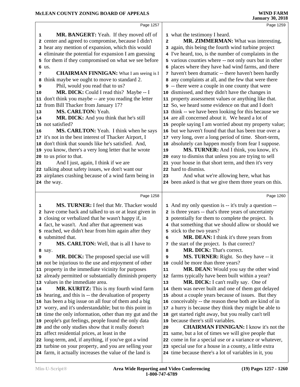|    | Page 1257                                               |                         | Page 1259                                               |  |
|----|---------------------------------------------------------|-------------------------|---------------------------------------------------------|--|
| 1  | MR. BANGERT: Yeah. If they moved off of                 |                         | 1 what the testimony I heard.                           |  |
|    | 2 center and agreed to compromise, because I didn't     | $\overline{\mathbf{c}}$ | MR. ZIMMERMAN: What was interesting,                    |  |
|    | 3 hear any mention of expansion, which this would       |                         | 3 again, this being the fourth wind turbine project     |  |
|    | 4 eliminate the potential for expansion I am guessing   |                         | 4 I've heard, too, is the number of complaints in the   |  |
|    | 5 for them if they compromised on what we see before    |                         | 5 various counties where -- not only ours but in other  |  |
|    | 6 us.                                                   |                         | 6 places where they have had wind farms, and there      |  |
| 7  | <b>CHAIRMAN FINNIGAN:</b> What I am seeing is I         |                         | 7 haven't been dramatic -- there haven't been hardly    |  |
| 8  | think maybe we ought to move to standard 2.             |                         | 8 any complaints at all, and the few that were there    |  |
| 9  | Phil, would you read that to us?                        |                         | <b>9</b> -- there were a couple in one county that were |  |
| 10 | MR. DICK: Could I read this? Maybe -- I                 |                         | 10 dismissed, and they didn't have the changes in       |  |
|    | 11 don't think you maybe -- are you reading the letter  |                         | 11 property assessment values or anything like that.    |  |
|    | 12 from Bill Thacker from January 17?                   |                         | 12 So, we heard some evidence on that and I don't       |  |
| 13 | MS. CARLTON: Yeah.                                      |                         | 13 think -- we have been looking for this because we    |  |
| 14 | MR. DICK: And you think that he's still                 |                         | 14 are all concerned about it. We heard a lot of        |  |
|    | 15 not satisfied?                                       |                         | 15 people saying I am worried about my property value;  |  |
| 16 | MS. CARLTON: Yeah. I think when he says                 |                         | 16 but we haven't found that that has been true over a  |  |
|    | 17 it's not in the best interest of Thacker Airport, I  |                         | 17 very long, over a long period of time. Short-term,   |  |
|    | 18 don't think that sounds like he's satisfied. And,    |                         | 18 absolutely can happen mostly from fear I suppose.    |  |
|    | 19 you know, there's a very long letter that he wrote   | 19                      | MS. TURNER: And I think, you know, it's                 |  |
|    | 20 to us prior to that.                                 |                         | 20 easy to dismiss that unless you are trying to sell   |  |
| 21 | And I just, again, I think if we are                    |                         | 21 your house in that short term, and then it's very    |  |
|    | 22 talking about safety issues, we don't want our       |                         | 22 hard to dismiss.                                     |  |
|    | 23 airplanes crashing because of a wind farm being in   | 23                      | And what we're allowing here, what has                  |  |
|    | 24 the way.                                             |                         | 24 been asked is that we give them three years on this. |  |
|    |                                                         |                         |                                                         |  |
|    |                                                         |                         |                                                         |  |
|    | Page 1258                                               |                         | Page 1260                                               |  |
| 1  | MS. TURNER: I feel that Mr. Thacker would               |                         | 1 And my only question is -- it's truly a question --   |  |
|    | 2 have come back and talked to us or at least given in  |                         | 2 is three years -- that's three years of uncertainty   |  |
|    | 3 closing or verbalized that he wasn't happy if, in     |                         | 3 potentially for them to complete the project. Is      |  |
|    | 4 fact, he wasn't. And after that agreement was         |                         | 4 that something that we should allow or should we      |  |
|    | 5 reached, we didn't hear from him again after they     |                         | 5 stick to the two years?                               |  |
|    | 6 submitted that.                                       | 6                       | MR. DEAN: I think it's three years from                 |  |
| 7  | MS. CARLTON: Well, that is all I have to                |                         | 7 the start of the project. Is that correct?            |  |
|    | 8 say.                                                  | 8                       | MR. DICK: That's correct.                               |  |
| 9  | MR. DICK: The proposed special use will                 | 9                       | MS. TURNER: Right. So they have -- it                   |  |
|    | 10 not be injurious to the use and enjoyment of other   |                         | 10 could be more than three years?                      |  |
|    | 11 property in the immediate vicinity for purposes      | 11                      | MR. DEAN: Would you say the other wind                  |  |
|    | 12 already permitted or substantially diminish property |                         | 12 farms typically have been built within a year?       |  |
|    | 13 values in the immediate area.                        | 13                      | MR. DICK: I can't really say. One of                    |  |
|    | MR. KURITZ: This is my fourth wind farm                 |                         | 14 them was never built and one of them got delayed     |  |
|    | 15 hearing, and this is -- the devaluation of property  |                         | 15 about a couple years because of issues. But they     |  |
|    | 16 has been a big issue on all four of them and a big   |                         | 16 conceivably -- the reason these both are kind of in  |  |
|    | 17 worry, and it's understandable; but to this point in | 17                      | a hurry is because they think they might be able to     |  |
|    | 18 time the only information, other than my gut and the |                         | 18 get started right away, but you really can't tell    |  |
|    | 19 people's gut feelings, people found the only data    |                         | 19 because there's still variables.                     |  |
|    | 20 and the only studies show that it really doesn't     | 20                      | <b>CHAIRMAN FINNIGAN: I know it's not the</b>           |  |
|    | 21 affect residential prices, at least in the           |                         | 21 same, but a lot of times we will give people that    |  |
| 14 | 22 long-term, and, if anything, if you've got a wind    |                         | 22 come in for a special use or a variance or whatever, |  |
|    | 23 turbine on your property, and you are selling your   |                         | 23 special use for a house in a county, a little extra  |  |
|    | 24 farm, it actually increases the value of the land is |                         | 24 time because there's a lot of variables in it, you   |  |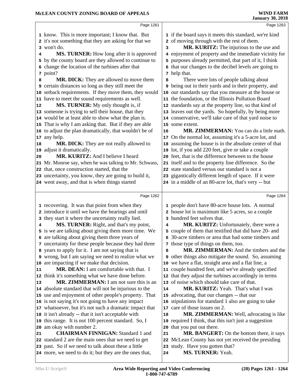|    | Page 1261                                                                                                     |    | Page 1263                                                                      |  |
|----|---------------------------------------------------------------------------------------------------------------|----|--------------------------------------------------------------------------------|--|
|    | 1 know. This is more important; I know that. But                                                              |    | 1 if the board says it meets this standard, we're kind                         |  |
|    | 2 it's not something that they are asking for that we                                                         |    | 2 of moving through with the rest of them.                                     |  |
|    | 3 won't do.                                                                                                   | 3  | MR. KURITZ: The injurious to the use and                                       |  |
| 4  | <b>MS. TURNER:</b> How long after it is approved                                                              |    | 4 enjoyment of property and the immediate vicinity for                         |  |
|    | 5 by the county board are they allowed to continue to                                                         |    | 5 purposes already permitted, that part of it, I think                         |  |
|    | 6 change the location of the turbines after that                                                              |    | 6 that our changes to the decibel levels are going to                          |  |
|    | 7 point?                                                                                                      |    | 7 help that.                                                                   |  |
| 8  | MR. DICK: They are allowed to move them                                                                       | 8  | There were lots of people talking about                                        |  |
|    | 9 certain distances so long as they still meet the                                                            |    | 9 being out in their yards and in their property, and                          |  |
|    | 10 setback requirements. If they move them, they would                                                        |    | 10 our standards say that you measure at the house or                          |  |
|    | 11 have to meet the sound requirements as well.                                                               |    | 11 the foundation, or the Illinois Pollution Board                             |  |
| 12 | MS. TURNER: My only thought is, if                                                                            |    | 12 standards say at the property line, so that kind of                         |  |
|    | 13 someone is trying to sell their house, that they                                                           |    | 13 leaves out the yards. So hopefully, by being more                           |  |
|    | 14 would be at least able to show what the plan is.                                                           |    | 14 conservative, we'll take care of that yard noise to                         |  |
|    | 15 That is why I am asking that. But if they are able                                                         |    | 15 some extent.                                                                |  |
|    | 16 to adjust the plan dramatically, that wouldn't be of                                                       | 16 | MR. ZIMMERMAN: You can do a little math.                                       |  |
| 17 | any help.                                                                                                     |    | 17 On the normal lot, assuming it's a 5-acre lot, and                          |  |
| 18 | MR. DICK: They are not really allowed to                                                                      |    | 18 assuming the house is in the absolute center of that                        |  |
|    | 19 adjust it dramatically.                                                                                    |    | 19 lot, if you add 220 feet, give or take a couple                             |  |
| 20 | MR. KURITZ: And I believe I heard                                                                             |    | 20 feet, that is the difference between to the house                           |  |
|    | 21 Mr. Monroe say, when he was talking to Mr. Schwass,                                                        |    | 21 itself and to the property line difference. So the                          |  |
|    | 22 that, once construction started, that the                                                                  |    | 22 state standard versus our standard is not a                                 |  |
|    | 23 uncertainty, you know, they are going to build it,                                                         |    | 23 gigantically different length of space. If it were                          |  |
|    | 24 went away, and that is when things started                                                                 |    | 24 in a middle of an 80-acre lot, that's very -- but                           |  |
|    |                                                                                                               |    |                                                                                |  |
|    | Page 1262                                                                                                     |    | Page 1264                                                                      |  |
|    |                                                                                                               |    |                                                                                |  |
|    | 1 recovering. It was that point from when they                                                                |    | 1 people don't have 80-acre house lots. A normal                               |  |
|    | 2 introduce it until we have the hearings and until                                                           |    | 2 house lot is maximum like 5 acres, so a couple                               |  |
|    | 3 they start it where the uncertainty really lied.                                                            |    | 3 hundred feet solves that.                                                    |  |
| 4  | MS. TURNER: Right, and that's my point,                                                                       | 4  | MR. KURITZ: Unfortunately, there were a                                        |  |
|    | 5 is we are talking about giving them more time. We                                                           |    | 5 couple of them that testified that did have 20- and                          |  |
|    | 6 are talking about giving them three years of                                                                |    | 6 30-acre timbers or area that had some timbers and                            |  |
|    | 7 uncertainty for these people because they had three<br>8 years to apply for it. I am not saying that is     | 8  | 7 those type of things on them, too.<br>MR. ZIMMERMAN: And the timbers and the |  |
|    | 9 wrong, but I am saying we need to realize what we                                                           |    | <b>9</b> other things also mitigate the sound. So, assuming                    |  |
| 10 | are impacting if we make that decision.                                                                       |    | 10 we have a flat, straight area and a flat line, a                            |  |
| 11 | MR. DEAN: I am comfortable with that. I                                                                       |    | 11 couple hundred feet, and we've already specified                            |  |
|    | 12 think it's something what we have done before.                                                             |    | 12 that they adjust the turbines accordingly in terms                          |  |
| 13 | MR. ZIMMERMAN: I am not sure this is an                                                                       |    | 13 of noise which should take care of that.                                    |  |
|    | 14 absolute standard that will not be injurious to the                                                        | 14 | MR. KURITZ: Yeah. That's what I was                                            |  |
|    | 15 use and enjoyment of other people's property. That                                                         |    | 15 advocating, that our changes -- that our                                    |  |
|    | 16 is not saying it's not going to have any impact                                                            |    | 16 stipulations for standard 1 also are going to take                          |  |
|    | 17 whatsoever, but it's not such a dramatic impact that                                                       |    | 17 care of those issues on 2.                                                  |  |
|    | 18 it isn't already -- that it isn't acceptable with                                                          | 18 | <b>MR. ZIMMERMAN:</b> Well, advocating is like                                 |  |
|    | 19 this range. It is not 100 percent standard. So, I                                                          |    | 19 required I think, that this isn't just a suggestion                         |  |
| 20 | am okay with number 2.                                                                                        |    | 20 that you put out there.                                                     |  |
| 21 | <b>CHAIRMAN FINNIGAN: Standard 1 and</b>                                                                      | 21 | <b>MR. BANGERT:</b> On the bottom there, it says                               |  |
|    | 22 standard 2 are the main ones that we need to get                                                           |    | 22 McLean County has not yet received the presiding                            |  |
|    | 23 past. So if we need to talk about these a little<br>24 more, we need to do it; but they are the ones that, | 24 | 23 study. Have you gotten that?<br>MS. TURNER: Yeah.                           |  |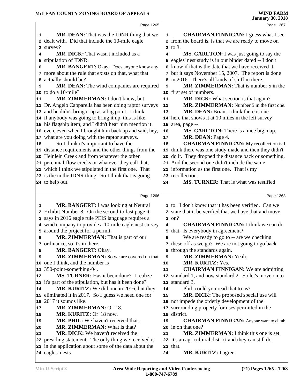|                             | Page 1265                                                                                                                                                                                                                                                                                                                                                                                                                                                                                                                                                                    |                                  | Page 1267                                                                                                                                                                                                                                                                                                                                                                                                                                                                                                                                                                                                |
|-----------------------------|------------------------------------------------------------------------------------------------------------------------------------------------------------------------------------------------------------------------------------------------------------------------------------------------------------------------------------------------------------------------------------------------------------------------------------------------------------------------------------------------------------------------------------------------------------------------------|----------------------------------|----------------------------------------------------------------------------------------------------------------------------------------------------------------------------------------------------------------------------------------------------------------------------------------------------------------------------------------------------------------------------------------------------------------------------------------------------------------------------------------------------------------------------------------------------------------------------------------------------------|
| 1<br>4<br>6<br>8<br>9<br>11 | MR. DEAN: That was the IDNR thing that we<br>2 dealt with. Did that include the 10-mile eagle<br>3 survey?<br>MR. DICK: That wasn't included as a<br>5 stipulation of IDNR.<br>MR. BANGERT: Okay. Does anyone know any<br>7 more about the rule that exists on that, what that<br>actually should be?<br>MR. DEAN: The wind companies are required<br>10 to do a 10-mile?<br>MR. ZIMMERMAN: I don't know, but<br>12 Dr. Angelo Capparella has been doing raptor surveys<br>13 and he didn't bring it up as a big point. I think                                              | 1<br>4<br>9<br>11<br>12<br>13    | <b>CHAIRMAN FINNIGAN:</b> I guess what I see<br>2 from the board is, is that we are ready to move on<br>$3$ to $3$ .<br>MS. CARLTON: I was just going to say the<br>5 eagles' nest study is in our binder dated -- I don't<br>6 know if that is the date that we have received it,<br>7 but it says November 15, 2007. The report is done<br>8 in 2016. There's all kinds of stuff in there.<br><b>MR. ZIMMERMAN:</b> That is number 5 in the<br>10 first set of numbers.<br>MR. DICK: What section is that again?<br>MR. ZIMMERMAN: Number 5 in the first one.<br>MR. DEAN: Brian, I think there is one |
| 18                          | 14 if anybody was going to bring it up, this is like<br>15 his flagship item; and I didn't hear him mention it<br>16 even, even when I brought him back up and said, hey,<br>17 what are you doing with the raptor surveys.<br>So I think it's important to have the<br>19 distance requirements and the other things from the<br>20 Heinlein Creek and from whatever the other<br>21 perennial-flow creeks or whatever they call that,<br>22 which I think we stipulated in the first one. That<br>23 is the in the IDNR thing. So I think that is going<br>24 to help out. | 16<br>17<br>18<br>19<br>20<br>24 | 14 here that shows it at 10 miles in the left survey<br>15 area, page --<br>MS. CARLTON: There is a nice big map.<br>MR. DEAN: Page 4.<br><b>CHAIRMAN FINNIGAN:</b> My recollection is I<br>think there was one study made and then they didn't<br>do it. They dropped the distance back or something.<br>21 And the second one didn't include the same<br>22 information as the first one. That is my<br>23 recollection.<br>MS. TURNER: That is what was testified                                                                                                                                     |
|                             | Page 1266                                                                                                                                                                                                                                                                                                                                                                                                                                                                                                                                                                    |                                  | Page 1268                                                                                                                                                                                                                                                                                                                                                                                                                                                                                                                                                                                                |
| 1<br>6                      | MR. BANGERT: I was looking at Neutral<br>2 Exhibit Number 8. On the second-to-last page it<br>3 says in 2016 eagle rule PEIS language requires a<br>4 wind company to provide a 10-mile eagle nest survey<br>5 around the project for a permit.<br>MR. ZIMMERMAN: That is part of our<br>7 ordinance, so it's in there.                                                                                                                                                                                                                                                      | 4<br>6                           | 1 to. I don't know that it has been verified. Can we<br>2 state that it be verified that we have that and move<br>$3$ on?<br><b>CHAIRMAN FINNIGAN: I think we can do</b><br>5 that. Is everybody in agreement?<br>We are ready to go to -- are we checking<br>7 these off as we go? We are not going to go back                                                                                                                                                                                                                                                                                          |
| 8<br>9                      | MR. BANGERT: Okay.<br>MR. ZIMMERMAN: So we are covered on that                                                                                                                                                                                                                                                                                                                                                                                                                                                                                                               | 8<br>9                           | through the standards again.<br>MR. ZIMMERMAN: Yeah.                                                                                                                                                                                                                                                                                                                                                                                                                                                                                                                                                     |
|                             |                                                                                                                                                                                                                                                                                                                                                                                                                                                                                                                                                                              |                                  |                                                                                                                                                                                                                                                                                                                                                                                                                                                                                                                                                                                                          |
| 11<br>12<br>14<br>17<br>18  | 10 one I think, and the number is<br>350-point-something-04.<br><b>MS. TURNER:</b> Has it been done? I realize<br>13 it's part of the stipulation, but has it been done?<br>MR. KURITZ: We did one in 2016, but they<br>15 eliminated it in 2017. So I guess we need one for<br>16 2017 it sounds like.<br>MR. ZIMMERMAN: Or '18.<br>MR. KURITZ: Or '18 now.<br><b>MR. PHIL:</b> We haven't received that.                                                                                                                                                                   | 10<br>11<br>14<br>15<br>17<br>18 | MR. KURITZ: Yes.<br><b>CHAIRMAN FINNIGAN:</b> We are admitting<br>12 standard 1, and now standard 2. So let's move on to<br>13 standard 3.<br>Phil, could you read that to us?<br>MR. DICK: The proposed special use will<br>16 not impede the orderly development of the<br>surrounding property for uses permitted in the<br>district.<br><b>CHAIRMAN FINNIGAN:</b> Anyone want to climb                                                                                                                                                                                                               |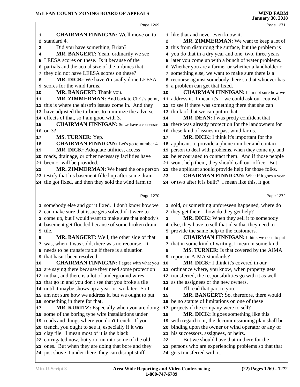|              | Page 1269                                                                                                   |                         | Page 1271                                                                          |
|--------------|-------------------------------------------------------------------------------------------------------------|-------------------------|------------------------------------------------------------------------------------|
| 1            | <b>CHAIRMAN FINNIGAN:</b> We'll move on to                                                                  |                         | <b>1</b> like that and never even know it.                                         |
| $\mathbf{2}$ | standard 4.                                                                                                 | $\overline{\mathbf{2}}$ | MR. ZIMMERMAN: We want to keep a lot of                                            |
| 3            | Did you have something, Brian?                                                                              |                         | 3 this from disturbing the surface, but the problem is                             |
| 4            | MR. BANGERT: Yeah, ordinarily we see                                                                        |                         | 4 you do that in a dry year and one, two, three years                              |
| 5            | LEESA scores on these. Is it because of the                                                                 |                         | 5 later you come up with a bunch of water problems.                                |
| 6            | partials and the actual size of the turbines that                                                           |                         | 6 Whether you are a farmer or whether a landholder or                              |
|              | 7 they did not have LEESA scores on these?                                                                  |                         | 7 something else, we want to make sure there is a                                  |
| 8            | MR. DICK: We haven't usually done LEESA                                                                     |                         | 8 recourse against somebody there so that whoever has                              |
| 9            | scores for the wind farms.                                                                                  |                         | <b>9</b> a problem can get that fixed.                                             |
| 10           | MR. BANGERT: Thank you.                                                                                     | 10                      | <b>CHAIRMAN FINNIGAN:</b> I am not sure how we                                     |
| 11           | MR. ZIMMERMAN: And back to Chris's point,                                                                   |                         | 11 address it. I mean it's -- we could ask our counsel                             |
|              | 12 this is where the airstrip issues come in. And they                                                      |                         | 12 to see if there was something there that she can                                |
|              | 13 have adjusted the turbines to minimize the adverse                                                       | 13                      | think of that we can put in that.                                                  |
|              | 14 effects of that, so I am good with 3.                                                                    | 14                      | MR. DEAN: I was pretty confident that                                              |
| 15           | <b>CHAIRMAN FINNIGAN:</b> So we have a consensus                                                            |                         | 15 there was already protection for the landowners for                             |
|              | 16 on 3?                                                                                                    | 16                      | these kind of issues in past wind farms.                                           |
| 17           | MS. TURNER: Yep.                                                                                            | 17                      | MR. DICK: I think it's important for the                                           |
| 18           | <b>CHAIRMAN FINNIGAN:</b> Let's go to number 4.                                                             | 18                      | applicant to provide a phone number and contact                                    |
| 19           | MR. DICK: Adequate utilities, access                                                                        | 19                      | person to deal with problems, when they come up, and                               |
|              | 20 roads, drainage, or other necessary facilities have                                                      |                         | 20 be encouraged to contact them. And if those people                              |
| 21           | been or will be provided.                                                                                   |                         | 21 won't help them, they should call our office. But                               |
| 22           | <b>MR. ZIMMERMAN:</b> We heard the one person                                                               | 22                      | the applicant should provide help for those folks.                                 |
|              | 23 testify that his basement filled up after some drain                                                     | 23                      | <b>CHAIRMAN FINNIGAN:</b> What if it goes a year                                   |
|              | 24 tile got fixed, and then they sold the wind farm to                                                      |                         | 24 or two after it is built? I mean like this, it got                              |
|              |                                                                                                             |                         |                                                                                    |
|              |                                                                                                             |                         |                                                                                    |
|              | Page 1270                                                                                                   |                         | Page 1272                                                                          |
|              | 1 somebody else and got it fixed. I don't know how we                                                       |                         | 1 sold, or something unforeseen happened, where do                                 |
|              | 2 can make sure that issue gets solved if it were to                                                        |                         | 2 they get their -- how do they get help?                                          |
|              | 3 come up, but I would want to make sure that nobody's                                                      | з                       | MR. DICK: When they sell it to somebody                                            |
|              | 4 basement get flooded because of some broken drain                                                         |                         | 4 else, they have to sell that idea that they need to                              |
|              | 5 tile.                                                                                                     |                         | 5 provide the same help to the customers.                                          |
| 6            | MR. BANGERT: Well, the other side of that                                                                   | 6                       | <b>CHAIRMAN FINNIGAN:</b> I think we need to put                                   |
|              | 7 was, when it was sold, there was no recourse. It                                                          |                         | 7 that in some kind of writing, I mean in some kind.                               |
|              | 8 needs to be transferrable if there is a situation                                                         |                         | MS. TURNER: Is that covered by the AIMA                                            |
| 9            | that hasn't been resolved.                                                                                  |                         | 9 report or AIMA standards?                                                        |
| 10           | <b>CHAIRMAN FINNIGAN:</b> I agree with what you                                                             | 10                      | MR. DICK: I think it's covered in our                                              |
|              | 11 are saying there because they need some protection                                                       |                         | 11 ordinance where, you know, when property gets                                   |
|              | 12 in that, and there is a lot of underground wires                                                         |                         | 12 transferred, the responsibilities go with it as well                            |
|              | 13 that go in and you don't see that you broke a tile                                                       |                         | 13 as the assignees or the new owners.                                             |
|              | 14 until it maybe shows up a year or two later. So I                                                        | 14                      | I'll read that part to you.                                                        |
|              | 15 am not sure how we address it, but we ought to put                                                       | 15                      | MR. BANGERT: So, therefore, there would                                            |
|              | 16 something in there for that.                                                                             |                         | 16 be no statute of limitations on one of these                                    |
| 17           | MR. KURITZ: Especially when you are doing                                                                   | 17                      | projects if the company were to sell?                                              |
|              | 18 some of the boring type wire installations under                                                         | 18                      | MR. DICK: It goes something like this                                              |
|              | 19 roads and things where you don't trench. If you                                                          |                         | 19 with regard to it, the decommissioning plan shall be                            |
|              | 20 trench, you ought to see it, especially if it was                                                        | 20                      | binding upon the owner or wind operator or any of                                  |
|              | 21 clay tile. I mean most of it is the black                                                                |                         | 21 his successors, assignees, or heirs.                                            |
|              | 22 corrugated now, but you run into some of the old                                                         | 22                      | But we should have that in there for the                                           |
|              | 23 ones. But when they are doing that bore and they<br>24 just shove it under there, they can disrupt stuff | 23                      | persons who are experiencing problems so that that<br>24 gets transferred with it. |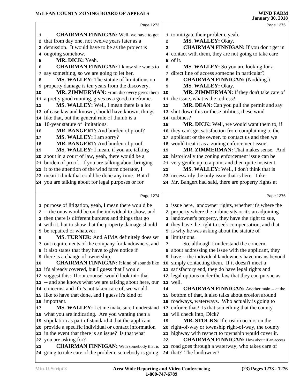|    | Page 1273                                                                                                     |                | Page 1275                                                                     |
|----|---------------------------------------------------------------------------------------------------------------|----------------|-------------------------------------------------------------------------------|
| 1  | <b>CHAIRMAN FINNIGAN:</b> Well, we have to get                                                                |                | 1 to mitigate their problem, yeah.                                            |
|    | that from day one, not twelve years later as a                                                                | $\overline{a}$ | MS. WALLEY: Okay.                                                             |
| 3  | demission. It would have to be as the project is                                                              | 3              | <b>CHAIRMAN FINNIGAN:</b> If you don't get in                                 |
| 4  | ongoing somehow.                                                                                              |                | 4 contact with them, they are not going to take care                          |
| 5  | MR. DICK: Yeah.                                                                                               |                | 5 of it.                                                                      |
| 6  | <b>CHAIRMAN FINNIGAN:</b> I know she wants to                                                                 | 6              | <b>MS. WALLEY:</b> So you are looking for a                                   |
| 7  | say something, so we are going to let her.                                                                    | 7              | direct line of access someone in particular?                                  |
| 8  | MS. WALLEY: The statute of limitations on                                                                     | 8              | <b>CHAIRMAN FINNIGAN: (Nodding.)</b>                                          |
| 9  | property damage is ten years from the discovery.                                                              | 9              | MS. WALLEY: Okay.                                                             |
| 10 | MR. ZIMMERMAN: From discovery gives them                                                                      | 10             | MR. ZIMMERMAN: If they don't take care of                                     |
|    | 11 a pretty good running, gives us a good timeframe.                                                          |                | 11 the issue, what is the redress?                                            |
| 12 | MS. WALLEY: Well, I mean there is a lot                                                                       | 12             | MR. DEAN: Can you pull the permit and say                                     |
|    | 13 of case law and known, should have known, things                                                           | 13             | shut down this or these utilities, these wind                                 |
|    | 14 like that, but the general rule of thumb is a                                                              |                | 14 turbines?                                                                  |
|    | 15 10-year statute of limitations.                                                                            | 15             | MR. DICK: Well, we would want them to, if                                     |
| 16 | MR. BANGERT: And burden of proof?                                                                             | 16             | they can't get satisfaction from complaining to the                           |
| 17 | MS. WALLEY: I am sorry?                                                                                       | 17             | applicant or the owner, to contact us and then we                             |
| 18 | MR. BANGERT: And burden of proof.                                                                             | 18             | would treat it as a zoning enforcement issue.                                 |
| 19 | MS. WALLEY: I mean, if you are talking                                                                        | 19             | MR. ZIMMERMAN: That makes sense. And                                          |
|    | 20 about in a court of law, yeah, there would be a                                                            |                | 20 historically the zoning enforcement issue can be                           |
|    | 21 burden of proof. If you are talking about bringing                                                         |                | 21 very gentle up to a point and then quite insistent.                        |
|    | 22 it to the attention of the wind farm operator, I                                                           | 22             | MS. WALLEY: Well, I don't think that is                                       |
|    | 23 mean I think that could be done any time. But if                                                           |                | 23 necessarily the only issue that is here. Like                              |
|    | 24 you are talking about for legal purposes or for                                                            |                | 24 Mr. Bangert had said, there are property rights at                         |
|    |                                                                                                               |                |                                                                               |
|    |                                                                                                               |                |                                                                               |
|    | Page 1274                                                                                                     |                | Page 1276                                                                     |
|    |                                                                                                               |                |                                                                               |
|    | 1 purpose of litigation, yeah, I mean there would be                                                          |                | 1 issue here, landowner rights, whether it's where the                        |
|    | 2 -- the onus would be on the individual to show, and<br>3 then there is different burdens and things that go |                | 2 property where the turbine sits or it's an adjoining                        |
|    |                                                                                                               |                | 3 landowner's property, they have the right to sue,                           |
|    | 4 with it, but to show that the property damage should<br>5 be repaired or whatever.                          |                | 4 they have the right to seek compensation, and that                          |
| 6  | MS. TURNER: And AIMA definitely does set                                                                      |                | 5 is why he was asking about the statute of<br>6 limitations.                 |
|    | 7 out requirements of the company for landowners, and                                                         | 7              | So, although I understand the concern                                         |
|    | 8 it also states that they have to give notice if                                                             |                | about addressing the issue with the applicant, they                           |
|    | <b>9</b> there is a change of ownership.                                                                      |                | have -- the individual landowners have means beyond                           |
| 10 | <b>CHAIRMAN FINNIGAN:</b> It kind of sounds like                                                              | 10             | simply contacting them. If it doesn't meet a                                  |
|    | 11 it's already covered, but I guess that I would                                                             |                | 11 satisfactory end, they do have legal rights and                            |
|    | 12 suggest this: If our counsel would look into that                                                          |                | 12 legal options under the law that they can pursue as                        |
|    | 13 -- and she knows what we are talking about here, our                                                       |                | 13 well.                                                                      |
|    | 14 concerns, and if it's not taken care of, we would                                                          | 14             | <b>CHAIRMAN FINNIGAN:</b> Another main -- at the                              |
|    | 15 like to have that done, and I guess it's kind of                                                           |                | 15 bottom of that, it also talks about erosion around                         |
|    | 16 important.                                                                                                 |                | 16 roadways, waterways. Who actually is going to                              |
| 17 | MS. WALLEY: Let me make sure I understand                                                                     | $17 \,$        | enforce that? Is that something that the county                               |
|    | 18 what you are indicating. Are you wanting then a                                                            |                | 18 will check into, Dick?                                                     |
|    | 19 stipulation as part of standard 4 that the applicant                                                       | 19             | MR. STOCKS: If erosion occurs on the                                          |
|    | 20 provide a specific individual or contact information                                                       |                | 20 right-of-way or township right-of-way, the county                          |
|    | 21 in the event that there is an issue? Is that what                                                          |                | 21 highway with respect to township would cover it.                           |
|    | 22 you are asking for?                                                                                        | 22             | <b>CHAIRMAN FINNIGAN:</b> How about if an access                              |
| 23 | <b>CHAIRMAN FINNIGAN:</b> With somebody that is<br>24 going to take care of the problem, somebody is going    |                | 23 road goes through a waterway, who takes care of<br>24 that? The landowner? |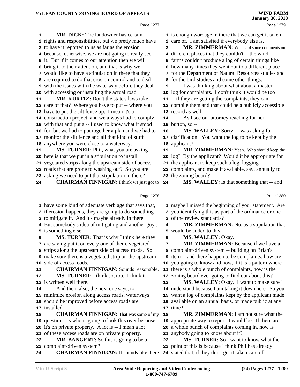|    | Page 1277                                                     |    | Page 1279                                                   |  |
|----|---------------------------------------------------------------|----|-------------------------------------------------------------|--|
|    | <b>MR. DICK:</b> The landowner has certain<br>1               |    | 1 is enough wordage in there that we can get it taken       |  |
|    | 2 rights and responsibilities, but we pretty much have        |    | 2 care of. I am satisfied if everybody else is.             |  |
|    | 3 to have it reported to us as far as the erosion             | 3  | MR. ZIMMERMAN: We heard some comments on                    |  |
|    | 4 because, otherwise, we are not going to really see          |    | 4 different places that they couldn't -- the wind           |  |
|    | 5 it. But if it comes to our attention then we will           |    | 5 farms couldn't produce a log of certain things like       |  |
|    | 6 bring it to their attention, and that is why we             |    | 6 how many times they went out to a different place         |  |
|    | 7 would like to have a stipulation in there that they         |    | 7 for the Department of Natural Resources studies and       |  |
|    | 8 are required to do that erosion control and to deal         |    | 8 for the bird studies and some other things.               |  |
|    | 9 with the issues with the waterway before they deal          | 9  | I was thinking about what about a master                    |  |
|    | 10 with accessing or installing the actual road.              |    | 10 log for complaints. I don't think it would be too        |  |
| 11 | <b>MR. KURTIZ:</b> Don't the state's laws take                |    | 11 -- if they are getting the complaints, they can          |  |
|    | 12 care of that? Where you have to put -- where you           |    | 12 compile them and that could be a publicly accessible     |  |
|    | 13 have to put the silt fence up. I mean it's a               |    | 13 record as well.                                          |  |
|    | 14 construction project, and we always had to comply          | 14 | As I see our attorney reaching for her                      |  |
|    | 15 with that and put a -- I used to know what it stood        |    | 15 button, so --                                            |  |
|    | 16 for, but we had to put together a plan and we had to       |    |                                                             |  |
|    | 17 monitor the silt fence and all that kind of stuff          | 16 | MS. WALLEY: Sorry. I was asking for                         |  |
|    |                                                               | 17 | clarification. You want the log to be kept by the           |  |
|    | 18 anywhere you were close to a waterway.                     | 18 | applicant?                                                  |  |
| 19 | MS. TURNER: Phil, what you are asking                         | 19 | MR. ZIMMERMAN: Yeah. Who should keep the                    |  |
|    | 20 here is that we put in a stipulation to install            | 20 | log? By the applicant? Would it be appropriate for          |  |
|    | 21 vegetated strips along the upstream side of access         |    | 21 the applicant to keep such a log, logging                |  |
|    | 22 roads that are prone to washing out? So you are            |    | 22 complaints, and make it available, say, annually to      |  |
|    | 23 asking we need to put that stipulation in there?           |    | 23 the zoning board?                                        |  |
| 24 | <b>CHAIRMAN FINNIGAN:</b> I think we just got to              | 24 | MS. WALLEY: Is that something that -- and                   |  |
|    | Page 1278                                                     |    | Page 1280                                                   |  |
|    |                                                               |    |                                                             |  |
|    |                                                               |    |                                                             |  |
|    | 1 have some kind of adequate verbiage that says that,         |    | 1 maybe I missed the beginning of your statement. Are       |  |
|    | 2 if erosion happens, they are going to do something          |    | 2 you identifying this as part of the ordinance or one      |  |
|    | 3 to mitigate it. And it's maybe already in there.            |    | 3 of the review standards?                                  |  |
|    | 4 But somebody's idea of mitigating and another guy's         | 4  | MR. ZIMMERMAN: No, as a stipulation that                    |  |
|    | 5 is something else.                                          |    | 5 would be added to this.                                   |  |
|    | MS. TURNER: That is why I think here they<br>6                | 6  | MS. WALLEY: Okay.                                           |  |
|    | 7 are saying put it on every one of them, vegetated           | 7  | MR. ZIMMERMAN: Because if we have a                         |  |
|    | 8 strips along the upstream side of access roads. So          |    | 8 complaint-driven system -- building on Brian's            |  |
|    | <b>9</b> make sure there is a vegetated strip on the upstream |    | <b>9</b> item -- and there happen to be complaints, how are |  |
|    | 10 side of access roads.                                      |    | 10 you going to know and how, if it is a pattern where      |  |
| 11 | <b>CHAIRMAN FINNIGAN:</b> Sounds reasonable.                  |    | 11 there is a whole bunch of complaints, how is the         |  |
| 12 | MS. TURNER: I think so, too. I think it                       |    | 12 zoning board ever going to find out about this?          |  |
|    | 13 is written well there.                                     | 13 | MS. WALLEY: Okay. I want to make sure I                     |  |
| 14 | And then, also, the next one says, to                         |    | 14 understand because I am taking it down here. So you      |  |
|    | 15 minimize erosion along access roads, waterways             |    | 15 want a log of complaints kept by the applicant made      |  |
|    | 16 should be improved before access roads are                 |    | 16 available on an annual basis, or made public at any      |  |
|    | 17 installed.                                                 |    | 17 time?                                                    |  |
| 18 | <b>CHAIRMAN FINNIGAN:</b> That was some of my                 | 18 | MR. ZIMMERMAN: I am not sure what the                       |  |
|    | 19 questions, is who is going to look this over because       | 19 | appropriate way to report it would be. If there are         |  |
|    | 20 it's on private property. A lot is -- I mean a lot         | 20 | a whole bunch of complaints coming in, how is               |  |
|    | 21 of these access roads are on private property.             |    | 21 anybody going to know about it?                          |  |
| 22 | MR. BANGERT: So this is going to be a                         | 22 | MS. TURNER: So I want to know what the                      |  |
|    | 23 complaint-driven system?                                   |    | 23 point of this is because I think Phil has already        |  |
| 24 | <b>CHAIRMAN FINNIGAN:</b> It sounds like there                |    | 24 stated that, if they don't get it taken care of          |  |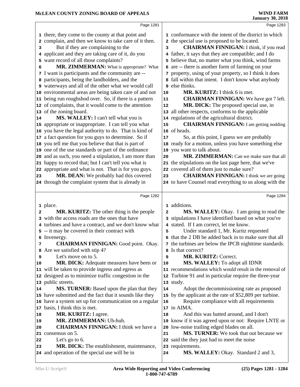|              | Page 1281                                                             |            | Page 1283                                                                                        |  |
|--------------|-----------------------------------------------------------------------|------------|--------------------------------------------------------------------------------------------------|--|
|              | 1 there, they come to the county at that point and                    |            | 1 conformance with the intent of the district in which                                           |  |
|              | 2 complain, and then we know to take care of it then.                 |            | 2 the special use is proposed to be located.                                                     |  |
| 3            | But if they are complaining to the                                    | 3          | <b>CHAIRMAN FINNIGAN:</b> I think, if you read                                                   |  |
|              | 4 applicant and they are taking care of it, do you                    |            | 4 father, it says that they are compatible; and I do                                             |  |
|              | 5 want record of all those complaints?                                |            | 5 believe that, no matter what you think, wind farms                                             |  |
| 6            | MR. ZIMMERMAN: What is appropriate? What                              |            | 6 are -- there is another form of farming on your                                                |  |
|              | 7 I want is participants and the community are --                     |            | 7 property, using of your property, so I think it does                                           |  |
|              | 8 participants, being the landholders, and the                        |            | 8 fall within that intent. I don't know what anybody                                             |  |
|              | 9 waterways and all of the other what we would call                   |            | <b>9</b> else thinks.                                                                            |  |
|              | 10 environmental areas are being taken care of and not                | 10         | MR. KURITZ: I think 6 is met.                                                                    |  |
|              | 11 being run roughshod over. So, if there is a pattern                | ${\bf 11}$ | <b>CHAIRMAN FINNIGAN:</b> We have got 7 left.                                                    |  |
|              | 12 of complaints, that it would come to the attention                 | 12         | MR. DICK: The proposed special use, in                                                           |  |
|              | 13 of the zoning board.                                               |            | 13 all other respects, conforms to the applicable                                                |  |
| 14           | MS. WALLEY: I can't tell what you is                                  |            | 14 regulations of the agricultural district.                                                     |  |
|              | 15 appropriate or inappropriate. I can tell you what                  | 15         | <b>CHAIRMAN FINNIGAN:</b> I am getting nodding                                                   |  |
|              | 16 you have the legal authority to do. That is kind of                |            | 16 of heads.                                                                                     |  |
|              | 17 a fact question for you guys to determine. So if                   | 17         | So, at this point, I guess we are probably                                                       |  |
|              | 18 you tell me that you believe that that is part of                  |            | 18 ready for a motion, unless you have something else                                            |  |
|              | 19 one of the use standards or part of the ordinance                  |            | 19 you want to talk about.                                                                       |  |
|              | 20 and as such, you need a stipulation, I am more than                | 20         | MR. ZIMMERMAN: Can we make sure that all                                                         |  |
|              | 21 happy to record that; but I can't tell you what is                 |            | 21 the stipulations on the last page here, that we've                                            |  |
|              | 22 appropriate and what is not. That is for you guys.                 |            | 22 covered all of them just to make sure?                                                        |  |
| 23           | MR. DEAN: We probably had this covered                                | 23         | <b>CHAIRMAN FINNIGAN:</b> I think we are going                                                   |  |
|              | 24 through the complaint system that is already in                    |            | 24 to have Counsel read everything to us along with the                                          |  |
|              | Page 1282                                                             |            | Page 1284                                                                                        |  |
|              |                                                                       |            |                                                                                                  |  |
|              | 1 place.                                                              |            | 1 additions.                                                                                     |  |
| $\mathbf{z}$ | <b>MR. KURITZ:</b> The other thing is the people                      | 2          | MS. WALLEY: Okay. I am going to read the                                                         |  |
|              | 3 with the access roads are the ones that have                        |            | 3 stipulations I have identified based on what you've<br>4 stated. If I am correct, let me know. |  |
|              | 4 turbines and have a contract, and we don't know what                |            |                                                                                                  |  |
|              | 5 -- it may be covered in their contract with                         | 5          | Under standard 1, Mr. Kuritz requested<br>6 that the 2 DB be added back in to make sure that all |  |
|              | 6 Invenergy.<br><b>CHAIRMAN FINNIGAN:</b> Good point. Okay.           |            |                                                                                                  |  |
| 7            | 8 Are we satisfied with stip 4?                                       |            | 7 the turbines are below the IPCB night time standards.<br>8 Is that correct?                    |  |
| 9            | Let's move on to 5.                                                   | 9          | MR. KURITZ: Correct.                                                                             |  |
| 10           | <b>MR. DICK:</b> Adequate measures have been or                       | 10         | MS. WALLEY: To adopt all IDNR                                                                    |  |
|              | 11 will be taken to provide ingress and egress as                     |            | 11 recommendations which would result in the removal of                                          |  |
|              | 12 designed as to minimize traffic congestion in the                  |            | 12 Turbine 91 and in particular require the three-year                                           |  |
|              | 13 public streets.                                                    |            | 13 study.                                                                                        |  |
| 14           | MS. TURNER: Based upon the plan that they                             | 14         | Adopt the decommissioning rate as proposed                                                       |  |
|              |                                                                       |            | 15 by the applicant at the rate of \$52,809 per turbine.                                         |  |
|              |                                                                       |            |                                                                                                  |  |
|              | 15 have submitted and the fact that it sounds like they               |            |                                                                                                  |  |
|              | 16 have a system set up for communication on a regular                | 16         | Require compliance with all requirements<br>17 in AIMA.                                          |  |
| 18           | 17 basis, I think this is met.                                        | 18         |                                                                                                  |  |
| 19           | MR. KURITZ: I agree.                                                  |            | And this was batted around, and I don't                                                          |  |
| 20           | MR. ZIMMERMAN: Uh-huh.<br><b>CHAIRMAN FINNIGAN:</b> I think we have a |            | 19 know if it was agreed upon or not: Require LNTE or                                            |  |
|              | 21 consensus on 5.                                                    | 21         | 20 low-noise trailing edged blades on all.<br>MS. TURNER: We took that out because we            |  |
| 22           | Let's go to 6.                                                        |            | 22 said the they just had to meet the noise                                                      |  |
| 23           | MR. DICK: The establishment, maintenance,                             |            | 23 requirements.                                                                                 |  |
|              | 24 and operation of the special use will be in                        | 24         | MS. WALLEY: Okay. Standard 2 and 3,                                                              |  |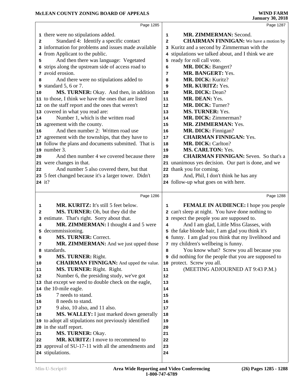|          | Page 1285                                                                     |                | Page 1287                                           |  |
|----------|-------------------------------------------------------------------------------|----------------|-----------------------------------------------------|--|
|          | 1 there were no stipulations added.                                           | 1              | MR. ZIMMERMAN: Second.                              |  |
| 2        | Standard 4: Identify a specific contact                                       | $\overline{a}$ | <b>CHAIRMAN FINNIGAN:</b> We have a motion by       |  |
|          | 3 information for problems and issues made available                          |                | 3 Kuritz and a second by Zimmerman with the         |  |
|          | 4 from Applicant to the public.                                               |                | 4 stipulations we talked about, and I think we are  |  |
| 5        | And then there was language: Vegetated                                        |                | 5 ready for roll call vote.                         |  |
| 6        | strips along the upstream side of access road to                              | 6              | MR. DICK: Bangert?                                  |  |
| 7        | avoid erosion.                                                                | 7              | <b>MR. BANGERT: Yes.</b>                            |  |
| 8        | And there were no stipulations added to                                       | 8              | MR. DICK: Kuritz?                                   |  |
|          | 9 standard 5, 6 or 7.                                                         | 9              | MR. KURITZ: Yes.                                    |  |
| 10       | MS. TURNER: Okay. And then, in addition                                       | 10             | MR. DICK: Dean?                                     |  |
|          | 11 to those, I think we have the ones that are listed                         | 11             | MR. DEAN: Yes.                                      |  |
|          | 12 on the staff report and the ones that weren't                              | 12             | <b>MR. DICK: Turner?</b>                            |  |
|          | 13 covered in what you read are:                                              | 13             | MS. TURNER: Yes.                                    |  |
| 14       | Number 1, which is the written road                                           | 14             | MR. DICK: Zimmerman?                                |  |
|          | 15 agreement with the county.                                                 | 15             | MR. ZIMMERMAN: Yes.                                 |  |
| 16       | And then number 2: Written road use                                           | 16             | MR. DICK: Finnigan?                                 |  |
|          | 17 agreement with the townships, that they have to                            | 17             | <b>CHAIRMAN FINNIGAN: Yes.</b>                      |  |
|          | 18 follow the plans and documents submitted. That is                          | 18             | <b>MR. DICK: Carlton?</b>                           |  |
|          | 19 number 3.                                                                  | 19             | <b>MS. CARLTON: Yes.</b>                            |  |
| 20       | And then number 4 we covered because there                                    | 20             | <b>CHAIRMAN FINNIGAN:</b> Seven. So that's a        |  |
|          | 21 were changes in that.                                                      |                | 21 unanimous yes decision. Our part is done, and we |  |
| 22       | And number 5 also covered there, but that                                     |                | 22 thank you for coming.                            |  |
|          | 23 5 feet changed because it's a larger tower. Didn't                         | 23             | And, Phil, I don't think he has any                 |  |
|          | 24 it?                                                                        |                | 24 follow-up what goes on with here.                |  |
|          |                                                                               |                |                                                     |  |
|          |                                                                               |                |                                                     |  |
|          | Page 1286                                                                     |                | Page 1288                                           |  |
|          |                                                                               |                |                                                     |  |
| 1        | MR. KURITZ: It's still 5 feet below.                                          | 1              | <b>FEMALE IN AUDIENCE:</b> I hope you people        |  |
| 2        | MS. TURNER: Oh, but they did the                                              |                | 2 can't sleep at night. You have done nothing to    |  |
| 3        | estimate. That's right. Sorry about that.                                     |                | 3 respect the people you are supposed to.           |  |
| 4        | MR. ZIMMERMAN: I thought 4 and 5 were                                         | 4              | And I am glad, Little Miss Glasses, with            |  |
| 5        | decommissioning.                                                              |                | 5 the fake blonde hair, I am glad you think it's    |  |
| 6        | <b>MS. TURNER: Correct.</b>                                                   |                | 6 funny. I am glad you think that my livelihood and |  |
| 7        | MR. ZIMMERMAN: And we just upped those                                        |                | 7 my children's wellbeing is funny.                 |  |
| 8        | standards.                                                                    | 8<br>9         | You know what? Screw you all because you            |  |
| 9        | MS. TURNER: Right.                                                            |                | did nothing for the people that you are supposed to |  |
| 10<br>11 | <b>CHAIRMAN FINNIGAN:</b> And upped the value.                                | 11             | 10 protect. Screw you all.                          |  |
| 12       | MS. TURNER: Right. Right.                                                     | 12             | (MEETING ADJOURNED AT 9:43 P.M.)                    |  |
|          | Number 6, the presiding study, we've got                                      | 13             |                                                     |  |
|          | 13 that except we need to double check on the eagle,<br>14 the 10-mile eagle. | 14             |                                                     |  |
| 15       | 7 needs to stand.                                                             | 15             |                                                     |  |
| 16       | 8 needs to stand.                                                             | 16             |                                                     |  |
| 17       | 9 also, 10 also, and 11 also.                                                 | 17             |                                                     |  |
| 18       | MS. WALLEY: I just marked down generally                                      | 18             |                                                     |  |
|          | 19 to adopt all stipulations not previously identified                        | 19             |                                                     |  |
|          | 20 in the staff report.                                                       | 20             |                                                     |  |
| 21       | MS. TURNER: Okay.                                                             | 21             |                                                     |  |
| 22       | MR. KURITZ: I move to recommend to                                            | 22             |                                                     |  |
|          | 23 approval of SU-17-11 with all the amendments and                           | 23             |                                                     |  |
|          | 24 stipulations.                                                              | 24             |                                                     |  |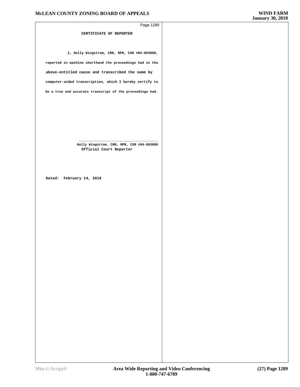| Page 1289                                                            |  |
|----------------------------------------------------------------------|--|
| CERTIFICATE OF REPORTER                                              |  |
|                                                                      |  |
|                                                                      |  |
| I, Holly Wingstrom, CRR, RPR, CSR #84-003888,                        |  |
| reported in machine shorthand the proceedings had in the             |  |
| above-entitled cause and transcribed the same by                     |  |
| computer-aided transcription, which I hereby certify to              |  |
| be a true and accurate transcript of the proceedings had.            |  |
|                                                                      |  |
|                                                                      |  |
|                                                                      |  |
|                                                                      |  |
|                                                                      |  |
| Holly Wingstrom, CRR, RPR, CSR #84-003888<br>Official Court Reporter |  |
|                                                                      |  |
|                                                                      |  |
|                                                                      |  |
| Dated: February 14, 2018                                             |  |
|                                                                      |  |
|                                                                      |  |
|                                                                      |  |
|                                                                      |  |
|                                                                      |  |
|                                                                      |  |
|                                                                      |  |
|                                                                      |  |
|                                                                      |  |
|                                                                      |  |
|                                                                      |  |
|                                                                      |  |
|                                                                      |  |
|                                                                      |  |
|                                                                      |  |
|                                                                      |  |
|                                                                      |  |
|                                                                      |  |
|                                                                      |  |
|                                                                      |  |
|                                                                      |  |
|                                                                      |  |
|                                                                      |  |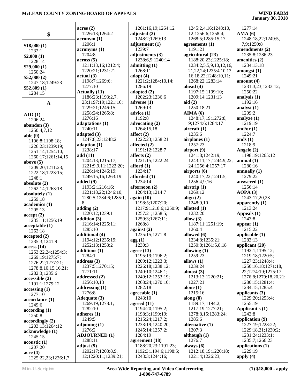|                             | acres(2)                                 | 1261:16,19;1264:12                       | 1245:2,4,16;1248:10,                   | 1277:14                       |
|-----------------------------|------------------------------------------|------------------------------------------|----------------------------------------|-------------------------------|
| \$                          | 1226:13;1264:2                           | adjusted $(2)$                           | 12;1256:6;1258:4;                      | AMA(6)                        |
|                             | $\arcsin(1)$                             | 1248:2;1269:13                           | 1268:5;1285:15,17                      | 1248:18,22;1249:5,            |
| \$18,000(1)                 | 1206:1                                   | adjustment (1)                           | agreements $(1)$                       | 7,9;1250:8                    |
| 1232:1                      | acronyms (1)                             | 1239:7                                   | 1191:21                                | amendments (2)                |
| \$2,000(1)                  | 1204:8                                   | adjustments (3)                          | agricultural (23)                      | 1235:8;1286:23                |
| 1228:14                     | $\arccos(5)$                             | 1238:6,9;1240:14                         | 1188:20,23;1225:18;                    | amenities (2)                 |
| \$29,000(1)                 | 1211:13,16;1212:4;                       | admitting $(1)$                          | 1234:2,5,5,9,10,12,16,                 | 1234:13,18                    |
| 1250:24                     | 1220:21;1231:21                          | 1268:11                                  | 21, 22, 24; 1235: 4, 10, 13,           | amongst(1)                    |
| \$52,000(2)                 | actual(3)                                | adopt $(4)$                              | 16, 18, 22; 1248: 10, 11;              | 1249:21                       |
| 1247:18;1249:23             | 1198:7;1269:6;                           | 1221:2;1284:10,14;                       | 1268:22;1283:14                        | amount $(4)$                  |
| \$52,809(1)                 | 1277:10                                  | 1286:19                                  | ahead $(4)$                            | 1231:3,23;1233:12;            |
| 1284:15                     | <b>Actually (11)</b>                     | adopted $(2)$                            | 1197:15;1199:10;                       | 1250:22                       |
|                             | 1186:23;1193:2,7,                        | 1202:23;1236:6                           | 1209:14;1231:13                        | analysis $(1)$                |
| $\mathbf{A}$                | 23;1197:19;1221:16;                      | adverse $(1)$                            | aid $(2)$                              | 1192:16                       |
|                             | 1229:21;1246:15;                         | 1269:13                                  | 1250:18,21                             | analyst $(1)$                 |
| A10(1)                      | 1258:24;1265:8;                          | advice $(1)$                             | AIMA(6)                                | 1209:2                        |
| 1206:24                     | 1276:16                                  | 1192:8                                   | 1248:17,19;1272:8,                     | analyze $(1)$                 |
| abandon $(3)$               | adaptations (1)                          | advocating $(2)$                         | 9;1274:6;1284:17                       | 1219:19                       |
| 1250:4,7,12                 | 1240:11                                  | 1264:15,18                               | aircraft $(1)$                         | and/or $(1)$                  |
| able $(9)$                  | adapted (3)                              | affect $(2)$                             | 1235:6                                 | 1224:7                        |
| 1196:8;1198:18;             | 1247:8,23;1248:2                         | 1222:23;1258:21                          | airplanes $(1)$<br>1257:23             | ands $(1)$                    |
| 1226:23;1239:19;            | adaption $(1)$<br>1238:17                | affected $(2)$                           |                                        | 1218:9                        |
| 1251:14;1254:10;            | add(11)                                  | 1191:12;1228:7<br>affects $(2)$          | airport (9)<br>1241:8;1242:19;         | Angelo (2)<br>1198:19;1265:12 |
| 1260:17;1261:14,15          | 1204:13;1215:17;                         | 1221:15;1222:24                          | 1243:11,17;1244:9,22,                  | annual $(1)$                  |
| above $(5)$                 | 1221:9,9,11;1222:20;                     | afford $(1)$                             | 24;1256:4;1257:17                      | 1280:16                       |
| 1209:20;1211:23;            | 1226:14;1246:19;                         | 1234:17                                  | airports $(6)$                         | annually $(1)$                |
| 1222:18;1223:15;            | 1249:15,16;1263:19                       | afforded $(1)$                           | 1240:17,22;1241:5;                     | 1279:22                       |
| 1248:1                      | added (9)                                | 1234:14                                  | 1256:4,9,16                            | answered $(1)$                |
| absolute $(2)$              | 1193:2;1216:16;                          | afternoon $(2)$                          | airstrip $(1)$                         | 1256:14                       |
| 1262:14;1263:18             | 1221:18,22;1246:10;                      | 1204:13;1214:7                           | 1269:12                                | AOPA(3)                       |
| absolutely $(1)$<br>1259:18 | 1280:5;1284:6;1285:1,                    | again $(10)$                             | align $(2)$                            | 1243:17,20,23                 |
| academics(1)                | 8                                        | 1198:5;1207:20;                          | 1248:9,10                              | apparently $(1)$              |
| 1205:13                     | adding $(2)$                             | 1217:9;1218:6;1250:9;                    | allotted $(1)$                         | 1213:24                       |
| accept(2)                   | 1220:12;1239:1                           | 1257:21;1258:5;                          | 1232:20                                | Appeals (1)                   |
| 1235:11;1256:19             | addition (3)                             | 1259:3;1267:11;                          | allow $(3)$                            | 1243:8                        |
| acceptable(1)               | 1216:14;1225:11;                         | 1268:8                                   | 1187:11;1251:19;                       | appear $(1)$                  |
| 1262:18                     | 1285:10                                  | against $(2)$                            | 1260:4                                 | 1215:22                       |
| accepted(2)                 | additional (4)                           | 1235:15;1271:8                           | allowed (6)                            | applicable $(1)$              |
| 1235:3;1241:9               | 1194:12;1235:19;                         | agg(1)                                   | 1234:8;1235:21;                        | 1283:13                       |
| access(14)                  | 1252:13;1253:2                           | 1230:3                                   |                                        |                               |
| 1253:22,24;1254:3;          |                                          |                                          | 1250:8;1261:5,8,18                     | applicant (20)                |
|                             | additions (1)                            | agree $(13)$                             | allowing $(1)$                         | 1192:1;1195:12;               |
| 1269:19;1275:7;             | 1284:1                                   | 1195:19;1196:2;                          | 1259:23                                | 1219:18;1220:5;               |
| 1276:22;1277:21;            | address $(3)$                            | 1209:12;1223:3;                          | allows $(1)$                           | 1227:23;1248:4;               |
| 1278:8, 10, 15, 16, 21;     | 1237:5;1270:15;                          | 1226:18;1238:12;                         | 1239:24                                | 1250:16,18;1271:18,           |
| 1282:3;1285:6               | 1271:11                                  | 1240:10;1246:1;                          | almost $(3)$                           | 22;1274:19;1275:17;           |
| accessible (2)              | addressed $(2)$                          | 1249:12;1253:19;                         | 1213:13;1220:21;                       | 1276:8;1279:18,20,21;         |
| 1191:1;1279:12              | 1256:10,13                               | 1268:24;1270:10;                         | 1227:21                                | 1280:15;1281:4;               |
| accessing(1)                | addressing (1)                           | 1282:18                                  | alone $(1)$                            | 1284:15;1285:4                |
| 1277:10                     | 1276:8                                   | agreeable $(1)$                          | 1215:16                                | applicants $(3)$              |
| accordance(1)               | Adequate (3)                             | 1243:10                                  | along $(8)$                            | 1229:20;1253:4;               |
| 1249:6                      | 1269:19;1278:1;                          | agreed $(11)$                            | 1189:17;1194:2;                        | 1255:19                       |
| according(1)                | 1282:10<br>adheres $(1)$                 | 1194:20;1195:2;<br>1198:3;1199:19;       | 1217:19;1277:21;<br>1278:8,15;1283:24; | Applicant's (1)<br>1243:8     |
| 1250:8                      | 1249:5                                   | 1215:24;1217:2;                          | 1285:6                                 | application (9)               |
| accordingly(2)              | adjoining $(1)$                          | 1233:19;1240:20;                         | alternative (1)                        | 1227:19;1228:22;              |
| 1203:13;1264:12             | 1276:2                                   | 1245:14;1257:2;                          | 1207:3                                 | 1229:18,21;1230:2;            |
| acknowledge (1)             | <b>ADJOURNED (1)</b>                     | 1284:19                                  | although $(1)$                         | 1231:24;1233:1;               |
| 1245:15                     | 1288:11                                  | agreement (18)                           | 1276:7                                 | 1235:7;1266:23                |
| acoustic(1)<br>1207:20      | adjust $(9)$                             | 1188:20,23;1191:23;                      | always $(6)$                           | applications (1)              |
| $\arccos(4)$                | 1202:17;1203:8,9,<br>12;1220:11;1239:21; | 1192:3;1194:6;1198:5;<br>1243:3;1244:16; | 1212:18,19;1220:18;<br>1221:4;1226:23; | 1229:19<br>apply $(4)$        |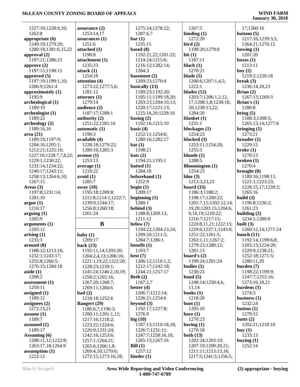| 1227:10;1228:9,10;          | assurance $(2)$                            | 1275:24;1278:22;          | 1267:5                                       | 17;1260:16                    |
|-----------------------------|--------------------------------------------|---------------------------|----------------------------------------------|-------------------------------|
| 1262:8                      | 1253:14,17                                 | 1287:6,7                  | binding $(1)$                                | bottom $(5)$                  |
| appropriate $(6)$           | assurances $(1)$                           | bar(1)                    | 1272:20                                      | 1217:16;1239:3,5;             |
| 1249:19;1279:20;            | 1251:6                                     | 1235:15                   | bird(2)                                      | 1264:21;1276:15               |
| 1280:19;1281:6,15,22        | attached (1)                               | based $(8)$               | 1198:20;1279:8                               | bowing $(1)$                  |
| approval $(2)$              | 1190:8                                     | 1192:21,22;1201:22;       | bit(1)                                       | 1201:20                       |
| 1197:21;1286:23             | attachment (1)                             | 1214:24;1215:6;           | 1187:11                                      | boxes $(1)$                   |
| approve $(2)$               | 1235:23                                    | 1216:12;1282:14;          | black $(1)$                                  | 1213:11                       |
| 1197:15;1198:15             | attack $(1)$                               | 1284:3                    | 1270:21                                      | boy $(2)$                     |
| approved (5)                | 1254:18                                    | basement (2)              | blade $(5)$                                  | 1219:2;1220:18                |
| 1197:19;1199:1,10;          | attention $(4)$                            | 1269:23;1270:4            | 1206:6;1207:1,4,5;                           | break $(3)$                   |
| 1206:9;1261:4               | 1273:22;1277:5,6;                          | basically (13)            | 1222:1                                       | 1236:14,18,23                 |
| approximately (1)           | 1281:12                                    | 1189:23;1192:20;          | blades $(12)$                                | Brian $(2)$                   |
| 1195:9                      | attorney $(1)$                             | 1195:11;1199:18,20;       | 1203:7;1206:1,2,12,                          | 1267:13;1269:3                |
| archeological (1)           | 1279:14                                    | 1203:23;1204:10,13;       | 17;1208:1,8;1238:18,                         | Brian's $(1)$                 |
| 1189:19                     | audience (2)                               | 1220:17;1221:13;          | 20;1239:13,22;                               | 1280:8                        |
| archeologist (1)            | 1187:17;1288:1                             | 1225:16,20;1228:10        | 1284:20                                      | bring (5)                     |
| 1189:22                     | authority $(2)$                            | basing $(2)$              | blanket $(1)$                                | 1188:3;1208:5;                |
| archeology (2)              | 1251:22;1281:16                            | 1192:16;1215:10           | 1231:1                                       | 1265:13,14;1277:6             |
| 1189:16,16                  | automatic (1)                              | basis $(4)$               | blockages (1)                                | bringing $(1)$                |
| area(21)                    | 1190:3                                     | 1252:11;1254:6;           | 1254:23                                      | 1273:21                       |
| 1189:19;1197:9;             | available (4)                              | 1280:16;1282:17           | blocked (3)                                  | $broadcast (1)$               |
| 1204:16;1205:1;             | 1228:18;1279:22;                           | bat(1)                    | 1253:11;1254:20;                             | 1229:12                       |
| 1212:21;1225:16;            | 1280:16;1285:3                             | 1198:21                   | 1255:5                                       | broken(1)                     |
| 1227:10;1228:7,7,8,22;      | avenue $(1)$                               | $\text{bats}(2)$          | blonde $(1)$                                 | 1270:13                       |
| 1229:1;1230:22;             | 1253:13                                    | 1194:21;1195:1            | 1288:5                                       | broken(1)                     |
| 1232:14;1234:22;            | average $(1)$                              | batted $(1)$              | <b>Bloomington</b> (1)                       | 1270:4                        |
| 1240:17;1243:11;            | 1210:22                                    | 1284:18                   | 1254:23                                      | brought $(8)$                 |
| 1258:13;1264:6,10;          | avoid (1)                                  | beforehand (1)            | blue $(3)$                                   | 1189:16;1198:11;              |
| 1267:15                     | 1285:7                                     | 1252:9                    | 1213:3,23,23                                 | 1221:1;1223:23;               |
|                             |                                            |                           |                                              |                               |
|                             |                                            |                           |                                              |                               |
| Areas $(3)$                 | away $(10)$                                | begin $(1)$<br>1209:17    | board $(33)$                                 | 1228:15,17;1239:2;<br>1265:16 |
| 1197:8;1231:14;             | 1195:18;1209:8;                            |                           | 1186:3;1188:2;                               |                               |
| 1281:10                     | 1212:8;1214:1;1222:7;<br>1239:9;1244:17;   | beginning $(1)$<br>1280:1 | 1198:17;1200:22;<br>1201:7,15;1202:12,14,    | build $(3)$<br>1196:8;1236:2; |
| argue(1)<br>1216:17         |                                            | behind $(3)$              | 19,20;1203:15;1204:6,                        | 1261:23                       |
|                             | 1256:8;1260:18;<br>1261:24                 | 1188:8;1209:13;           | 9, 18, 19; 1210: 22;                         | building $(2)$                |
| arguing(1)<br>1205:9        |                                            | 1211:12                   | 1216:7;1217:15;                              | 1234:1;1280:8                 |
|                             | B                                          | below $(7)$               | 1220:8,11,21;1222:15;                        | built $(3)$                   |
| arguments (1)<br>1205:12    |                                            | 1194:22;1204:23,24;       | 1229:6;1237:1;1243:8;                        | 1260:12,14;1271:24            |
| arising $(1)$               | baby $(1)$                                 | 1209:20;1211:5;           | 1251:22;1261:5;                              | bunch $(11)$                  |
| 1235:3                      | 1209:17                                    | 1284:7;1286:1             | 1263:1,11;1267:2;                            | 1192:14;1199:6,8;             |
| around (8)                  | back $(23)$                                | benefit $(1)$             | 1279:23;1280:12;                             | 1205:13;1224:20;              |
| 1188:12;1213:16;            | 1192:11,14;1203:20;                        | 1193:7                    | 1281:13                                      | 1229:9;1238:21;               |
| 1232:1;1243:17;             | 1204:2,4,13;1206:16;                       | best $(7)$                | board's $(2)$                                | 1252:18;1271:5;               |
| 1255:8;1266:5;              | 1221:1,19,22;1222:20;                      | 1206:12;1210:1,2;         | 1199:24;1201:24                              | 1280:11,20                    |
| 1276:15;1284:18             | 1228:23;1239:1;                            | 1212:17;1242:18;          | bodies $(1)$                                 | burden $(7)$                  |
| aside $(1)$                 | 1245:24;1246:2,10,19;                      | 1244:21;1257:17           | 1230:23                                      | 1198:22;1199:9;               |
| 1208:2                      | 1258:2;1265:16;                            | Beth $(2)$                | bond $(5)$                                   | 1247:7;1252:16;               |
| assessment (1)              | 1267:20;1268:7;                            | 1187:2,7                  | 1248:14;1250:4,6,                            | 1273:16,18,21                 |
| 1259:11                     | 1269:11;1284:6                             | better $(4)$              | 11,14                                        | burdens $(1)$                 |
| assigned $(1)$              | bad(2)                                     | 1206:7;1212:14;           | books $(1)$                                  | 1274:3                        |
| 1189:12                     | 1218:18;1252:6                             | 1226:21;1254:6            | 1218:20                                      | business $(1)$                |
| assignees $(2)$             | <b>Bangert</b> (29)                        | beyond $(3)$              | boot $(1)$                                   | 1232:24                       |
| 1272:13,21                  | 1186:6,7;1196:3;                           | 1192:17;1227:8;           | 1205:10                                      | button $(1)$                  |
| assume $(1)$                | 1200:11;1201:1,12;                         | 1276:9                    | bore $(1)$                                   | 1279:15                       |
| 1189:7                      | 1217:16;1218:2;                            | big(10)                   | 1270:23                                      | butts $(2)$                   |
| assumed $(1)$               | 1223:22;1224:6;                            | 1187:13;1210:18,18;       | boring $(1)$                                 | 1202:21;1218:10               |
| 1189:17                     | 1226:9;1231:24;                            | 1226:7;1231:11;           | 1270:18                                      | buy $(1)$                     |
| Assuming (6)                | 1242:16;1253:6;                            | 1247:7;1258:16,16;        | both $(13)$                                  | 1233:13                       |
| 1208:11,12;1222:8;          | 1257:1;1264:21;                            | 1265:13;1267:16           | 1202:24;1203:10;                             | buying $(1)$                  |
| 1263:17,18;1264:9           | 1265:6;1266:1,8;                           | Bill $(1)$                | 1207:19;1209:20,21;                          | 1252:14                       |
| assumption $(1)$<br>1222:12 | 1269:4, 10; 1270:6;<br>1272:15;1273:16,18; | 1257:12<br>binder $(1)$   | 1211:11;1213:13,16;<br>1217:5;1241:5;1256:5, |                               |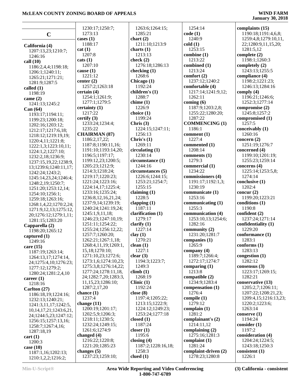|                                     | 1230:17;1250:7;                           | 1263:6;1264:15;           | 1254:14                     | complaints (15)          |
|-------------------------------------|-------------------------------------------|---------------------------|-----------------------------|--------------------------|
|                                     | 1273:13                                   | 1285:21                   | code(1)                     | 1190:18;1191:4,6,8;      |
| $\mathbf C$                         | cases $(1)$                               | chart(2)                  | 1240:9                      | 1259:4,8;1279:10,11,     |
|                                     | 1188:17                                   | 1211:10;1213:9            | cold(1)                     | 22;1280:9,11,15,20;      |
| California (4)                      | cat(1)                                    | charts $(1)$              | 1253:15                     | 1281:5,12                |
| 1207:13,23;1210:7;                  | 1207:8                                    | 1213:13                   | combine (1)                 | complete $(2)$           |
| 1246:16                             | $\text{cats}(1)$                          | check $(2)$               | 1213:22                     | 1198:1;1260:3            |
| call $(10)$                         | 1207:10                                   | 1276:18;1286:13           | combined (1)                | completely (2)           |
| 1186:2,4,4;1198:18;                 | cause $(1)$                               | checking $(1)$            | 1213:24                     | 1243:13;1255:5           |
| 1206:1;1240:11;<br>1265:21;1271:21; | 1221:12                                   | 1268:6                    | comfort (2)                 | compliance (4)           |
| 1281:9;1287:5                       | center $(2)$                              | Chicago (1)               | 1237:12;1240:2              | 1198:2;1221:23;          |
| called $(1)$                        | 1257:2;1263:18                            | 1192:24                   | comfortable (4)             | 1246:13;1284:16          |
| 1198:19                             | certain $(4)$                             | children's (1)            | 1217:14;1241:9,12;          | comply $(4)$             |
| came $(2)$                          | 1254:1;1261:9;                            | 1288:7                    | 1262:11                     | 1196:21;1246:6;          |
| 1241:13;1245:2                      | 1277:1;1279:5                             | chime $(1)$               | coming $(6)$                | 1252:3;1277:14           |
| Can (64)                            | certainty(1)                              | 1226:9                    | 1187:9;1203:2,8;            | compromise (2)           |
| 1193:17;1194:11;                    | 1217:22                                   | choice (1)                | 1255:22;1280:20;            | 1245:8;1257:2            |
| 1199:23;1200:18;                    | certify $(3)$                             | 1199:24                   | 1287:22                     | compromised (1)          |
| 1202:16;1203:12;                    | 1233:24;1234:4;                           | Chris $(3)$               | <b>COMMENCING (1)</b>       | 1257:5                   |
| 1212:17;1217:6,18;                  | 1235:22                                   | 1224:15;1247:11;          | 1186:1                      | conceivably (1)          |
| 1218:12;1219:19,19;                 | <b>CHAIRMAN (87)</b>                      | 1256:13                   | comment (1)                 | 1260:16                  |
| 1220:4,11;1221:8;                   | 1186:2,17,22;                             | Chris's $(1)$             | 1227:4                      | concern $(2)$            |
| 1222:1,3;1223:10,11;                | 1187:8;1190:11,16;                        | 1269:11                   | commented (1)               | 1251:19;1276:7           |
| 1224:1,2;1227:10;                   | 1191:10;1193:14,20;                       | circulating (1)           | 1208:14                     | concerned (4)            |
| 1232:2,18;1236:9;                   | 1196:5;1197:17;                           | 1230:14                   | comments (1)                | 1199:10;1201:19;         |
| 1237:15,19,22;1238:9,               | 1199:12,23;1200:5;                        | circumstance (1)          | 1279:3                      | 1255:23;1259:14          |
| 13;1239:6;1240:11,17;               | 1205:23;1212:9;                           | 1244:16                   | commercial (1)              | concerns $(4)$           |
| 1242:24;1243:2;                     | 1214:3;1218:24;                           | circumstances (5)         | 1234:22                     | 1225:14;1253:5,8;        |
| 1245:14,23,24;1246:4;               | 1219:17;1220:23;                          | 1226:6;1244:15;           | commissioners (4)           | 1274:14                  |
| 1248:2,19;1250:7;                   | 1221:24;1223:16;                          | 1253:21;1254:7;           | 1191:17;1192:1,3;           | conclusive (1)           |
| 1251:20;1253:12,14;                 | 1224:14,17;1225:4;                        | 1255:15                   | 1230:19                     | 1202:4                   |
| 1254:10;1256:1;                     | 1233:16;1235:24;                          | claiming $(1)$            | communicate (1)             | concur $(2)$             |
| 1259:18;1263:16;                    | 1236:8, 12, 16, 21, 24;                   | 1228:5                    | 1253:16                     | 1199:20;1223:21          |
| 1268:1,4,22;1270:2,24;              | 1237:9,14;1239:19;<br>1240:24;1241:19,24; | clapping $(1)$<br>1187:11 | communicating (1)<br>1255:3 | conditions (1)<br>1190:8 |
| 1271:9,12,13;1275:12,               | 1245:1,9,11,18;                           | clarification (1)         | communication (4)           | confident (2)            |
| 20;1276:12;1279:1,11;               | 1246:23;1247:10,19;                       | 1279:17                   | 1253:10,13;1254:6;          | 1237:24;1271:14          |
| 1281:15;1283:20                     | 1251:11;1254:22;                          | clarify $(1)$             | 1282:16                     | confidentiality (1)      |
| Capparella (2)                      | 1255:24;1256:12,22;                       | 1227:14                   | community $(2)$             | 1229:20                  |
| 1198:20;1265:12                     | 1257:7;1260:20;                           | clay(1)                   | 1231:20;1281:7              | conformance (1)          |
| captured $(1)$                      | 1262:21;1267:1,18;                        | 1270:21                   | companies (1)               | 1283:1                   |
| 1249:16<br>care $(15)$              | 1268:4,11,19;1269:1,                      | clean $(1)$               | 1265:9                      | conforms $(1)$           |
| 1187:19;1263:14;                    | 15,18;1270:10;                            | 1227:1                    | company $(4)$               | 1283:13                  |
| 1264:13,17;1274:14,                 | 1271:10,23;1272:6;                        | clear $(3)$               | 1189:7;1266:4;              | congestion $(1)$         |
| 24;1275:4,10;1276:23;               | 1273:1,6;1274:10,23;                      | 1194:3;1223:7;            | 1272:17;1274:7              | 1282:12                  |
| 1277:12;1279:2;                     | 1275:3,8;1276:14,22;                      | 1249:3                    | comparing $(1)$             | consensus $(3)$          |
| 1280:24;1281:2,4,10                 | 1277:24;1278:11,18,                       | climb(1)                  | 1213:8                      | 1223:17;1269:15;         |
| career $(1)$                        | 24;1282:7,20;1283:3,                      | 1268:19                   | compatible (2)              | 1282:21                  |
| 1218:16                             | 11,15,23;1286:10;                         | Clinic(1)                 | 1234:9;1283:4               | conservative (13)        |
| Carlton $(27)$                      | 1287:2,17,20                              | 1192:24                   | compensation (1)            | 1205:2,7;1206:11;        |
| 1186:18,19;1224:16;                 | chance $(1)$                              | close $(8)$               | 1276:4                      | 1207:22;1208:21,23;      |
| 1232:13;1240:21;                    | 1237:4                                    | 1197:4;1205:22;           | compile $(1)$               | 1209:4,15;1216:13,23;    |
| 1241:3,11,17;1242:5,                | change $(11)$                             | 1213:15;1222:9;           | 1279:12                     | 1220:2;1223:6;           |
| 10,14,17,21;1243:6,21,              | 1200:19;1201:17;                          | 1224:12;1249:23;          | complain $(1)$              | 1263:14                  |
| 24;1244:5,23;1247:12;               | 1202:5,9;1206:3;                          | 1253:24;1277:18           | 1281:2                      | conserve $(1)$           |
| 1256:15;1257:13,16;                 | 1218:11;1230:5;                           | closed $(1)$              | complainant's (2)           | 1194:24                  |
| 1258:7;1267:4,16;                   | 1232:24;1249:15;                          | 1187:24                   | 1214:11,12                  | consider(1)              |
| 1287:18,19                          | 1261:6;1274:9                             | closer $(1)$              | complaining $(2)$           | 1197:2                   |
| cart(1)                             | changed $(4)$                             | 1195:6                    | 1275:16;1281:3              | consideration (4)        |
| 1200:3                              | 1216:22;1220:8;                           | closing $(4)$             | complaint $(1)$             | 1204:24;1224:5;          |
| case $(10)$                         | 1221:20;1285:23                           | 1187:2;1228:16,18;        | 1281:24                     | 1243:18;1250:3           |
| 1187:1,16;1202:13;                  | changes $(5)$                             | 1258:3                    | complaint-driven (2)        | consistent $(1)$         |
| 1210:1,2,2;1216:2;                  | 1237:23;1259:10;                          | clued $(1)$               | 1278:23;1280:8              | 1226:1                   |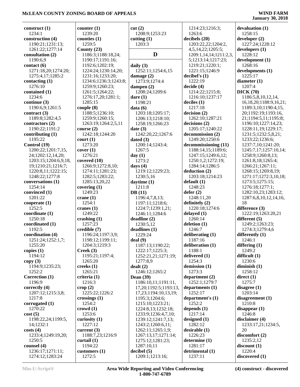| construct $(1)$      | counter $(1)$         | cut(2)                     | 1214:23;1216:3;        | devaluation (1)              |
|----------------------|-----------------------|----------------------------|------------------------|------------------------------|
| 1234:1               | 1239:20               | 1208:9;1253:23             | 1263:6                 | 1258:15                      |
| construction (4)     | counties $(1)$        | cutting $(1)$              | decibels (20)          | develope (2)                 |
| 1190:21;1231:13;     | 1259:5                | 1203:3                     | 1203:22,22;1204:2,     | 1227:24;1228:12              |
| 1261:22;1277:14      | County $(23)$         |                            | 4,5,14,22;1205:5;      | developers(1)                |
|                      |                       | D                          |                        |                              |
| consultation (2)     | 1186:3;1188:18,24;    |                            | 1209:1,14,14;1211:2,3, | 1228:12                      |
| 1190:6,9             | 1190:17;1191:16;      |                            | 5;1213:14;1217:23;     | development (1)              |
| contact(6)           | 1192:6;1202:19;       | daily $(3)$                | 1219:21;1220:1;        | 1268:16                      |
| 1271:18,20;1274:20;  | 1224:24;1230:14,20;   | 1252:11;1254:6,15          | 1221:15;1246:9         | developments (1)             |
| 1275:4,17;1285:2     | 1231:16;1233:20;      | damage $(2)$               | decibel's(1)           | 1225:17                      |
| contacting $(1)$     | 1234:6;1236:3;1243:8; | 1273:9;1274:4              | 1222:19                | diameter $(1)$               |
| 1276:10              | 1259:9;1260:23;       | dampen $(2)$               | decide (4)             | 1207:4                       |
|                      |                       |                            | 1214:22;1215:8;        | DICK(70)                     |
| contained (1)        | 1261:5;1264:22;       | 1208:24;1209:6             |                        |                              |
| 1234:6               | 1276:17,20;1281:1;    | dare $(1)$                 | 1216:10;1237:17        | 1186:5,8,10,12,14,           |
| continue (3)         | 1285:15               | 1198:21                    | deciles(1)             | 16, 18, 20; 1188: 9, 16, 21; |
| 1190:6,9;1261:5      | couple(8)             | data(6)                    | 1217:18                | 1189:3,10;1190:4,15,         |
| contract $(3)$       | 1188:5;1236:10;       | 1203:18;1205:17;           | decision(2)            | 20;1192:19;1193:16,          |
| 1189:8;1282:4,5      | 1259:9;1260:15;       | 1206:13;1218:10;           | 1262:10;1287:21        | 21;1194:5,11;1195:8;         |
| contractors (2)      | 1263:19;1264:2,5,11   | 1258:19;1266:23            | decisions(2)           | 1196:10;1227:14,23;          |
| 1190:22;1191:2       | course $(2)$          | date(3)                    | 1205:17;1240:22        | 1228:11,19;1229:17;          |
|                      |                       |                            |                        |                              |
| contributing $(1)$   | 1242:18;1244:20       | 1242:20,22;1267:6          | decommission (2)       | 1231:5;1232:5,8,21;          |
| 1195:22              | court(1)              | dated $(3)$                | 1249:20;1250:6         | 1233:22;1236:6;              |
| Control (19)         | 1273:20               | 1200:14;1243:4;            | decommissioning (11)   | 1237:7,10;1241:20;           |
| 1200:22;1201:7,15,   | cover(1)              | 1267:5                     | 1188:14,15;1189:6;     | 1245:7,17;1257:10,14;        |
| 24;1202:12,14,20;    | 1276:21               | day $(1)$                  | 1247:15;1249:6,12;     | 1258:9;1260:8,13;            |
| 1203:15;1204:6,9,18, | covered $(10)$        | 1273:2                     | 1250:1,2;1272:19;      | 1261:8,18;1265:4;            |
| 19;1210:21;1216:7;   | 1266:9;1272:8,10;     | days $(4)$                 | 1284:14;1286:5         | 1266:21;1267:11;             |
|                      |                       |                            |                        |                              |
| 1220:8,11;1222:15;   | 1274:11;1281:23;      | 1219:12;1229:23;           | deduction (2)          | 1268:15;1269:8,19;           |
| 1248:22;1277:8       | 1282:5;1283:22;       | 1230:5,16                  | 1203:18;1214:23        | 1271:17;1272:3,10,18;        |
| conversations (1)    | 1285:13,20,22         | daytime $(1)$              | default (1)            | 1273:5;1275:15;              |
| 1254:14              | covering $(1)$        | 1211:8                     | 1248:23                | 1276:18;1277:1;              |
| convinced (1)        | 1249:23               | DB(11)                     | defer(2)               | 1282:10,23;1283:12;          |
| 1201:22              | crane $(1)$           | 1196:4,7,8,13;             | 1248:11,20             | 1287:6,8,10,12,14,16,        |
| cooperate(1)         | 1254:1                |                            | definitely (2)         | 18                           |
|                      |                       | 1197:11;1218:6;            |                        |                              |
| 1252:5               | cranes $(1)$          | 1224:7;1239:1,21;          | 1220:18;1274:6         | difference (3)               |
| coordinate(1)        | 1249:22               | 1246:11;1284:6             | delayed (1)            | 1222:19;1263:20,21           |
| 1250:18              | crashing $(1)$        | deadline(2)                | 1260:14                | different $(5)$              |
| coordinated (1)      | 1257:23               | 1230:5,12                  | deletion $(1)$         | 1249:2;1263:23;              |
| 1192:5               | credible (7)          | deadlines (1)              | 1246:7                 | 1274:3;1279:4,6              |
| coordination (4)     | 1196:24;1197:3,9;     | 1229:24                    | deliberating $(1)$     | differently $(1)$            |
|                      | 1198:12;1199:11;      |                            | 1187:16                | 1246:1                       |
| 1251:24;1252:1,7;    |                       | deal(9)                    |                        |                              |
| 1255:20              | 1204:3;1219:3         | 1187:13;1190:22;           | deliberation (1)       | differing (1)                |
| copies $(1)$         | Creek(3)              | 1222:17;1225:3;            | 1188:1                 | 1249:2                       |
| 1194:12              | 1195:21;1197:4;       | 1252:21,21;1271:19;        | delivered (1)          | difficult $(1)$              |
| copy(3)              | 1265:20               | 1277:8,9                   | 1254:3                 | 1230:6                       |
| 1194:9;1235:23;      | creeks $(1)$          | dealt(2)                   | demission (1)          | diminish $(1)$               |
| 1252:2               | 1265:21               | 1246:12;1265:2             | 1273:3                 | 1258:12                      |
| Correction (1)       | criteria (1)          | Dean $(39)$                | department $(2)$       | direct(1)                    |
|                      |                       |                            |                        |                              |
| 1196:9               | 1216:3                | 1186:10,11;1191:11,        | 1252:1;1279:7          | 1275:7                       |
| correctly (4)        | $\text{crop}(2)$      | 17, 20; 1192: 5; 1193: 13, | departments $(1)$      | disagree $(1)$               |
| 1207:12;1215:3,8;    | 1225:22;1226:2        | 17,23;1194:10,13,19;       | 1252:17                | 1203:14                      |
| 1217:8               | crossings $(1)$       | 1195:3;1204:6;             | department's (1)       | disagreement(1)              |
| corrugated $(1)$     | 1254:2                | 1215:10;1223:21;           | 1252:2                 | 1210:8                       |
| 1270:22              | $\text{crowd} (1)$    | 1224:8,13;1232:18;         | depends $(1)$          | disappear $(1)$              |
|                      | 1253:6                |                            | 1217:14                | 1246:8                       |
| cost(5)              |                       | 1233:9;1236:4,7,10;        |                        |                              |
| 1198:22,24;1199:5,   | curiosity (1)         | 1239:12;1241:7,13;         | designed $(1)$         | disclaimer $(4)$             |
| 14;1232:1            | 1227:12               | 1243:2;1260:6,11;          | 1282:12                | 1233:17,21;1234:5,           |
| costs(4)             | current $(3)$         | 1262:11;1265:1,9;          | desirable (1)          | 20                           |
| 1233:4;1249:19,20;   | 1188:7,23;1216:9      | 1267:13,17;1271:14;        | 1226:23                | disconfort(2)                |
| 1250:5               | curtail $(1)$         | 1275:12;1281:23;           | determine (1)          | 1235:2,12                    |
| counsel $(4)$        | 1194:22               | 1287:10,11                 | 1281:17                | discount(1)                  |
| 1236:17;1271:11;     | customers (1)         | decibel(5)                 | detrimental (1)        | 1220:4                       |
|                      |                       |                            |                        |                              |
| 1274:12;1283:24      | 1272:5                | 1209:1;1213:16;            | 1237:11                | discovered (1)               |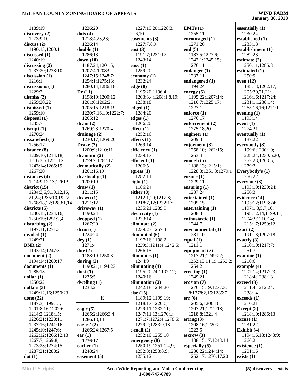1189:19 **discovery (2)** 1273:9,10 **discuss (2)** 1190:13;1200:11 **discussed (1)** 1240:19 **discussing (2)** 1237:20;1238:10 **discussion (1)** 1216:1 **discussions (1)** 1229:2 **dismiss (2)** 1259:20,22 **dismissed (1)** 1259:10 **disposal (1)** 1235:7 **disrupt (1)** 1270:24 **dissatisfied (1)** 1256:17 **distance (8)** 1209:10;1214:18; 1216:3,6;1221:12; 1243:14;1265:19; 1267:20 **distances (4)** 1214:9,12,13;1261:9 **district (15)** 1234:3,6,9,10,12,16, 21,24;1235:10,19,22; 1268:18,22;1283:1,14 **districts (5)** 1230:18;1234:16; 1250:19;1251:2,4 **disturbing (2)** 1197:11;1271:3 **divided (1)** 1249:21 **DNR (2)** 1193:14;1247:3 **document (2)** 1194:14;1200:17 **documents (1)** 1285:18 **dollar (1)** 1250:22 **dollars (3)** 1249:12,16;1250:23 **done (22)** 1187:3;1199:15; 1201:8,16;1202:6; 1214:2;1218:15; 1226:21;1228:11; 1237:16;1241:16; 1245:10;1247:6; 1262:12;1266:12,13; 1267:7;1269:8; 1273:23;1274:15; 1287:21;1288:2

 1226:20 **dots (4)** 1213:4,23,23; 1226:14 **double (1)** 1286:13 **down (10)** 1187:24;1201:5; 1207:4;1208:9; 1247:15;1248:7; 1254:1;1275:13; 1280:14;1286:18 **Dr (11)** 1198:19;1200:12; 1201:6;1202:2; 1205:15;1218:19; 1220:7,16,19;1222:7; 1265:12 **drain (2)** 1269:23;1270:4 **drainage (2)** 1230:17;1269:20 **Drake (2)** 1200:9;1210:11 **dramatic (2)** 1259:7;1262:17 **dramatically (2)** 1261:16,19 **drastically (1)** 1200:19 **draw (1)** 1211:15 **drawn (1)** 1211:12 **driveway (1)** 1190:24 **dropped (1)** 1267:20 **drum (1)** 1224:24 **dry (1)** 1271:4 **due (2)** 1188:19;1250:3 **during (2)** 1190:21;1194:23 **dust (1)** 1235:5 **dwelling (1)** 1234:2 **E eagle (5)** 1265:2;1266:3,4; 1286:13,14 **eagles' (2)** 1266:24;1267:5 **ear (1)** 1236:17 **earlier (1)** 1248:24 **easement (5)** 1227:19,20;1228:3, 6,10 **easements (3)** 1227:7,8,9 **east (3)** 1191:7;1231:17; 1243:14 **easy (1)** 1259:20 **economy (1)** 1232:24 **edge (8)** 1195:20;1196:4; 1203:3,4;1208:1,8,19; 1238:18 **edged (1)** 1284:20 **edges (1)** 1206:20 **effect (1)** 1252:16 **effects (1)** 1269:14 **efficiency (1)** 1239:17 **efficient (1)** 1206:5 **egress (1)** 1282:11 **eight (1)** 1186:24 **either (8)** 1212:1,20;1217:8; 1218:7,12;1232:17; 1235:21;1239:9 **electricity (1)** 1233:14 **eliminate (2)** 1239:23;1257:4 **eliminated (6)** 1197:16;1198:2; 1239:3;1241:4;1242:5; 1266:15 **eliminates (1)** 1244:9 **eliminating (4)** 1195:20,24;1197:12; 1240:16 **elimination (2)** 1242:18;1244:20 **else (15)** 1189:12;1199:19; 1218:17;1220:6; 1229:11;1232:11; 1247:11,13;1270:1; 1271:7;1272:4;1278:5; 1279:2;1283:9,18 **e-mail (2)** 1252:10;1255:10 **emergency (8)** 1250:19;1251:1,4,9; 1252:8;1253:8,9; 1255:12

**EMTs (1)** 1255:11 **encouraged (1)** 1271:20 **end (5)** 1187:5;1227:6; 1242:1;1245:15; 1276:11 **endanger (1)** 1237:11 **endangered (1)** 1194:24 **energy (5)** 1195:22;1207:14; 1210:7;1225:17; 1227:1 **enforce (1)** 1276:17 **enforcement (2)** 1275:18,20 **engineer (1)** 1209:3 **enjoyment (3)** 1258:10;1262:15; 1263:4 **enough (5)** 1188:13;1215:1; 1228:3;1251:3;1279:1 **ensure (1)** 1229:11 **ensuring (1)** 1237:24 **entertained (1)** 1205:15 **entertaining (1)** 1208:3 **enthusiastic (1)** 1244:7 **environmental (1)** 1281:10 **equal (1)** 1211:1 **equipment (7)** 1217:21;1249:22; 1252:13,14,19;1253:2; 1254:2 **erecting (1)** 1249:21 **erosion (7)** 1276:15,19;1277:3, 8;1278:2,15;1285:7 **err (6)** 1205:6;1206:10; 1207:21;1212:18; 1218:8;1221:4 **erring (3)** 1208:16;1220:2; 1223:5 **escrow (3)** 1188:15,17;1248:14 **especially (5)** 1230:22;1244:14; 1252:17;1270:17,20

**essentially (1)** 1230:24 **established (1)** 1235:18 **establishment (1)** 1282:23 **estimate (2)** 1250:11;1286:3 **estimated (1)** 1250:9 **even (12)** 1188:13;1202:17; 1205:20,21,21; 1216:16;1217:24; 1231:1;1238:14; 1265:16,16;1271:1 **evening (1)** 1193:14 **event (1)** 1274:21 **eventually (1)** 1187:22 **everybody (8)** 1199:6;1200:10; 1228:24;1230:6,20; 1252:23;1268:5; 1279:2 **Everybody's (1)** 1256:22 **everyone (3)** 1193:19;1230:24; 1256:3 **evidence (14)** 1195:12;1196:24; 1197:1,3,5,7,10; 1198:12,14;1199:11; 1204:3;1210:14; 1215:17;1259:12 **exact (2)** 1191:13;1207:18 **exactly (3)** 1210:10;1217:7; 1251:7 **examine (1)** 1210:6 **example (4)** 1207:14;1217:23; 1218:4;1238:18 **exceed (3)** 1211:4;1212:24; 1238:14 **exceeds (1)** 1210:21 **Except (2)** 1218:19;1286:13 **excuse (1)** 1231:22 **Exhibit (4)** 1194:16,18;1243:9; 1266:2 **existence (1)** 1201:16 **exists (1)**

**dot (1)**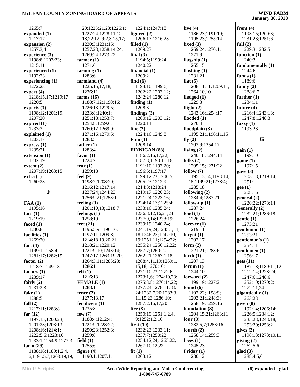| 1265:7                      | 20;1225:21,23;1226:1;<br>1227:24;1228:11,12, | 1224:1;1247:18<br>figured $(2)$        | five $(4)$<br>1186:23;1191:19; | front $(4)$                 |
|-----------------------------|----------------------------------------------|----------------------------------------|--------------------------------|-----------------------------|
| expanded (1)<br>1217:17     |                                              |                                        |                                | 1193:15;1200:3;             |
|                             | 18, 22; 1229: 2, 3, 15, 17;                  | 1206:17;1216:23<br>filled $(1)$        | 1195:23;1255:14                | 1231:23;1251:6              |
| expansion $(2)$<br>1257:3,4 | 1230:3;1231:15;<br>1257:23;1258:14,24;       | 1269:23                                | fixed $(3)$<br>1269:24;1270:1; | full $(2)$<br>1229:3;1232:5 |
| experience (3)              | 1269:24;1273:22                              | final $(3)$                            | 1271:9                         | function $(1)$              |
| 1198:8;1203:23;             | farmer $(1)$                                 | 1194:5;1199:24;                        | flagship $(1)$                 | 1240:3                      |
| 1215:11                     | 1271:6                                       | 1240:22                                | 1265:15                        | fundamentally (1)           |
| experienced (1)             | farming $(1)$                                | financial $(1)$                        | flashing $(1)$                 | 1244:6                      |
| 1192:23                     | 1283:6                                       | 1209:2                                 | 1231:21                        | funds $(1)$                 |
| experiencing $(1)$          | farmland (4)                                 | find $(6)$                             | flat $(5)$                     | 1189:6                      |
| 1272:23                     | 1225:15,17,18;                               | 1194:10;1199:6;                        | 1208:11,11;1209:11;            | funny $(2)$                 |
| expert $(4)$                | 1226:11                                      | 1202:22;1203:12;                       | 1264:10,10                     | 1288:6,7                    |
| 1218:15,17;1219:17;         | farms $(16)$                                 | 1242:24;1280:12                        | fledged $(1)$                  | further $(1)$               |
| 1220:5                      | 1188:7,12;1190:16;                           | finding $(1)$                          | 1229:3                         | 1234:11                     |
| experts $(3)$               | 1226:13;1229:5;                              | 1208:3                                 | flight $(2)$                   | future $(4)$                |
| 1198:12;1201:19;            | 1233:8;1240:1;                               | findings $(3)$                         | 1243:16;1254:17                | 1216:4;1243:18;             |
| 1207:20                     | 1251:18;1253:7;                              | 1200:12;1203:12;                       | flooded $(1)$                  | 1247:8;1248:3               |
| expired $(1)$               | 1254:8;1259:6;                               | 1220:11                                | 1270:4                         | fuzzy $(1)$                 |
| 1233:2                      | 1260:12;1269:9;                              | fine $(2)$                             | floodplain $(3)$               | 1193:23                     |
| explained (1)               | 1271:16;1279:5;                              | 1224:16;1249:8                         | 1195:21;1196:11,15             |                             |
| 1203:17                     | 1283:5                                       | Finn $(1)$                             | fly $(2)$                      | G                           |
| express(1)                  | father $(1)$                                 | 1208:14                                | 1203:9;1254:17                 |                             |
| 1235:21                     | 1283:4                                       | <b>FINNIGAN (88)</b>                   | flying $(2)$                   | gain(1)                     |
| extension (1)               | favor $(1)$                                  | 1186:2,16,17,22;                       | 1240:18;1244:14                | 1199:10                     |
| 1232:19                     | 1224:7                                       | 1187:8;1190:11,16;                     | folks $(2)$                    | game(1)                     |
| extent(2)                   | fear $(1)$                                   | 1191:10;1193:20;                       | 1205:15;1271:22                | 1197:15                     |
| 1207:19;1263:15             | 1259:18                                      | 1196:5;1197:17;                        | follow $(7)$                   | gave(3)                     |
| extra(1)                    | feel $(9)$                                   | 1199:12,23;1200:5;                     | 1195:13,14;1198:14,            | 1203:18;1219:14;            |
| 1260:23                     | 1198:7;1208:20;                              | 1205:23;1212:9;                        | 15;1199:21;1238:4;             | 1251:1                      |
|                             | 1216:12;1217:14;                             | 1214:3;1218:24;                        | 1285:18                        | gee(1)                      |
| F                           | 1237:24;1244:23;                             | 1219:17;1220:23;                       | following $(2)$                | 1208:16                     |
|                             | 1256:9,21;1258:1                             | 1221:24;1223:16;                       | 1234:4;1237:21                 | general(2)                  |
| FAA(1)                      | feeling $(3)$                                | 1224:14,17;1225:4;                     | follow-up $(1)$                | 1220:22;1273:14             |
| 1195:16                     | 1201:10,13;1218:7                            | 1233:16;1235:24;                       | 1287:24                        | Generally (2)               |
| face $(1)$<br>1219:19       | feelings $(1)$<br>1258:19                    | 1236:8, 12, 16, 21, 24;                | food $(1)$<br>1226:24          | 1232:21;1286:18             |
| faced $(1)$                 | feet $(21)$                                  | 1237:9,14;1238:19;<br>1239:19;1240:24; | forever $(1)$                  | gentle(1)<br>1275:21        |
| 1230:8                      | 1195:5,9;1196:16;                            | 1241:19,24;1245:1,11,                  | 1219:11                        | gentleman (1)               |
| facilities (1)              | 1197:11;1209:8;                              | 18;1246:23;1247:10,                    | forgot $(1)$                   | 1253:21                     |
| 1269:20                     | 1214:18,19,20,21;                            | 19;1251:11;1254:22;                    | 1202:17                        | gentleman's (1)             |
| fact $(4)$                  | 1218:21;1220:12;                             | 1255:24;1256:12,22;                    | form $(2)$                     | 1254:11                     |
| 1199:1;1258:4;              | 1221:9,10;1243:14;                           | 1257:7;1260:20;                        | 1221:21;1283:6                 | gentlemen $(1)$             |
| 1281:17;1282:15             | 1247:17;1263:19,20;                          | 1262:21;1267:1,18;                     | forth $(1)$                    | 1256:17                     |
| factor $(2)$                | 1264:3,11;1285:23;                           | 1268:4,11,19;1269:1,                   | 1207:13                        | gets(11)                    |
| 1218:7;1249:18              | 1286:1                                       | 15,18;1270:10;                         | forum $(1)$                    | 1187:18;1189:11,12;         |
| factors $(1)$               | felt $(1)$                                   | 1271:10,23;1272:6;                     | 1244:10                        | 1212:14;1228:24;            |
| 1239:17                     | 1216:13                                      | 1273:1,6;1274:10,23;                   | forward $(2)$                  | 1247:6;1248:6;              |
| fairly $(2)$                | <b>FEMALE</b> (1)                            | 1275:3,8;1276:14,22;                   | 1199:19;1227:2                 | 1252:10;1270:2;             |
| 1231:2,3                    | 1288:1                                       | 1277:24;1278:11,18,                    | found $(6)$                    | 1272:11,24                  |
| fake $(1)$                  | fence $(2)$                                  | 24;1282:7,20;1283:3,                   | 1192:22;1198:9;                | gigantically (1)            |
| 1288:5                      | 1277:13,17                                   | 11,15,23;1286:10;                      | 1203:21;1248:3;                | 1263:23                     |
| fall $(2)$                  | fertilizers $(1)$                            | 1287:2,16,17,20                        | 1258:19;1259:16                | given $(8)$                 |
| 1217:11;1283:8              | 1235:8                                       | fire $(8)$                             | foundation $(3)$               | 1192:14;1206:14;            |
| far $(12)$                  | few $(7)$                                    | 1250:19;1251:1,2,4,                    | 1204:15,21;1263:11             | 1226:5;1234:12;             |
| 1197:15;1200:23;            | 1188:4;1212:4;                               | 9;1252:1,2,16                          | four $(3)$                     | 1235:23;1243:18;            |
| 1201:23;1203:13;            | 1221:9;1228:22;                              | first $(10)$                           | 1232:5,7;1258:16               | 1253:20;1258:2              |
| 1208:16;1214:1;             | 1250:23;1252:3;                              | 1232:23;1233:11;                       | fourth $(2)$                   | gives $(3)$                 |
| 1222:5,6;1223:10;           | 1259:8                                       | 1237:7;1250:22;                        | 1258:14;1259:3                 | 1198:13;1273:10,11          |
| 1233:1;1254:9;1277:3        | field $(1)$                                  | 1254:12,24;1265:22;                    | frees $(1)$                    | giving $(2)$                |
| farm $(29)$                 | 1255:6                                       | 1267:10,12,22                          | 1245:23                        | 1262:5,6                    |
| 1188:16;1189:1,2,4,         | figure $(4)$                                 | fit(1)                                 | Friday $(1)$                   | $\text{glad}(3)$            |
| 6;1191:5,7;1203:19,19,      | 1190:1;1207:1;                               | 1203:12                                | 1230:12                        | 1288:4,5,6                  |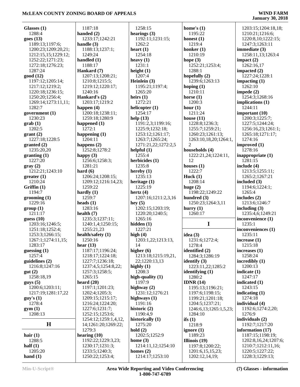| Glasses $(1)$                 | 1187:18                           | 1258:15                        | home's $(1)$                       | 1203:15;1204:18,18;                |
|-------------------------------|-----------------------------------|--------------------------------|------------------------------------|------------------------------------|
| 1288:4                        | handed $(2)$                      | hearings $(3)$                 | 1195:22                            | 1210:21;1216:6;                    |
| goes $(13)$                   | 1233:17;1242:21                   | 1192:11;1231:15;               | honest $(1)$                       | 1220:8,10;1222:15;                 |
| 1189:13;1197:6;               | handle $(3)$                      | 1262:2                         | 1219:4                             | 1247:3;1263:11                     |
| 1200:23;1209:20,21;           | 1188:13;1237:1;                   | heart $(1)$                    | honker $(1)$                       | immediate (3)                      |
| 1212:15,15;1229:12;           | 1249:24                           | 1254:18                        | 1210:19                            | 1258:11,13;1263:4                  |
| 1252:22;1271:23;              | handled $(1)$                     | heavy $(1)$                    | hope $(3)$                         | impact $(2)$                       |
| 1272:18;1276:23;              | 1188:17                           | 1231:1                         | 1252:21;1253:4;                    | 1262:16,17                         |
| 1287:24                       | Hankard (7)                       | height $(1)$                   | 1288:1                             | impacted $(2)$                     |
| good (12)                     | 1207:13;1208:21;                  | 1207:4                         | hopefully $(2)$                    | 1227:24;1228:1                     |
| 1197:12;1205:14;              | 1210:8;1215:5;                    | Heinlein $(3)$                 | 1239:6;1263:13                     | impacting $(1)$                    |
| 1217:12;1219:2;               | 1219:12;1220:17;                  | 1195:21;1197:4;                | hoping $(1)$                       | 1262:10                            |
| 1220:18;1236:15;              | 1240:16                           | 1265:20                        | 1210:11                            | impede $(2)$                       |
| 1250:20;1256:4;               | Hankard's (2)                     | heirs $(1)$                    | horse $(1)$                        | 1254:3;1268:16                     |
| 1269:14;1273:11,11;           | 1203:17;1219:2                    | 1272:21                        | 1200:3                             | implications (1)                   |
| 1282:7                        | happen $(4)$                      | helicopter (1)                 | hour $(1)$                         | 1244:11                            |
| government $(1)$              | 1200:18;1238:11;                  | 1254:17                        | 1211:24                            | important $(10)$                   |
| 1230:23                       | 1259:18;1280:9                    | help $(13)$                    | house $(11)$                       | 1200:3;1225:7;                     |
| $grab(1)$                     | happened (1)                      | 1191:2,3;1199:16;              | 1228:8;1236:3;                     | 1227:5;1244:24;                    |
| 1202:5                        | 1272:1                            | 1225:9;1232:18;                | 1255:7;1259:21;                    | 1256:16,23;1261:1;                 |
| grant(2)                      | happening $(1)$                   | 1253:12;1261:17;               | 1260:23;1261:13;                   | 1265:18;1271:17;                   |
| 1227:18;1228:5                | 1204:11                           | 1263:7;1265:24;                | 1263:10,18,20;1264:1,              | 1274:16                            |
|                               |                                   | 1271:21,22;1272:2,5            | $\overline{2}$                     | improved (1)                       |
| granted (2)                   | happens $(2)$                     |                                |                                    |                                    |
| 1235:20,20                    | 1252:8;1278:2                     | helpful $(1)$                  | households (4)                     | 1278:16                            |
| granting(1)                   | happy $(3)$                       | 1255:4                         | 1222:21,24;1224:11,                | inappropriate (1)                  |
| 1227:20                       | 1256:6;1258:3;                    | herbicides (1)                 | 12                                 | 1281:15                            |
| gray(2)                       | 1281:21                           | 1235:8                         | houses $(1)$                       | include $(4)$                      |
| 1212:21;1243:10               | hard $(6)$                        | hereby $(1)$                   | 1222:7                             | 1213:5;1255:11;                    |
| greater(1)                    | 1206:24;1208:15;                  | 1235:13                        | Huck $(1)$                         | 1265:2;1267:21                     |
| 1210:24                       | 1209:12;1216:14,23;               | heritage $(1)$                 | 1208:14                            | included (3)                       |
| Griffin(1)                    | 1259:22                           | 1225:19                        | huge $(2)$                         | 1194:6;1224:1;                     |
| 1194:7                        | hardly $(1)$                      | hertz $(4)$                    | 1198:22;1249:22                    | 1265:4                             |
| $\rm{grooming}$ (1)           | 1259:7                            | 1207:16;1211:2,3,16            | hundred $(3)$                      | includes (2)                       |
| 1229:16                       | heads $(1)$                       | hey $(5)$                      | 1250:23;1264:3,11                  | 1213:6;1246:7                      |
| group(1)                      | 1283:16                           | 1202:15;1203:19;               | hurry $(1)$                        | including $(3)$                    |
| 1211:17                       | health $(7)$                      | 1220:20;1240:5;                | 1260:17                            | 1235:4,6;1249:21                   |
| guess $(10)$                  | 1235:3;1237:11;                   | 1265:16                        |                                    | inconvenience (1)                  |
| 1203:16;1246:5;               | 1240:1,4;1250:15;                 | hidden $(1)$                   | $\mathbf I$                        | 1235:1                             |
| 1251:18;1252:4;               | 1255:21,23                        | 1227:21                        |                                    |                                    |
| 1253:3;1266:15;               |                                   |                                |                                    | inconveniences (1)                 |
|                               | health/safety (1)                 | high $(4)$                     | idea $(3)$                         | 1235:11                            |
|                               |                                   |                                |                                    | increase $(1)$                     |
| 1267:1;1274:11,15;<br>1283:17 | 1250:16                           | 1203:1,22;1213:13,<br>14       | 1231:6;1272:4;                     |                                    |
|                               | hear $(13)$                       | higher $(6)$                   | 1278:4                             | 1215:18                            |
| guessing $(1)$<br>1257:4      | 1187:17;1196:24;                  |                                | identified (2)                     | increases $(1)$<br>1258:24         |
|                               | 1218:17;1224:18;                  | 1213:18;1215:19,21,            | 1284:3;1286:19                     |                                    |
| guidelines $(2)$              | 1227:7;1236:18;                   | 22;1220:13,13                  | identify $(3)$                     | incredibly $(1)$                   |
| 1216:8;1247:16                | 1237:4,5;1254:8,22;               | highly $(1)$                   | 1223:11,22;1285:2                  | 1200:13                            |
| gut(2)                        | 1257:3;1258:5;                    | 1208:3                         | identifying (1)                    | indicate $(1)$                     |
| 1258:18,19                    | 1265:15                           | high-quality $(1)$             | 1280:2                             | 1247:17                            |
| guys(5)                       | heard $(20)$                      | 1197:9                         | IDNR $(14)$                        | indicated (1)                      |
| 1200:6;1203:11;               | 1197:1;1201:23;                   | highway $(2)$                  | 1195:13;1196:21;                   | 1243:15                            |
| 1217:19;1281:17,22            | 1202:4;1205:3;                    | 1231:12;1276:21                | 1197:6;1198:15;                    | indicating $(1)$                   |
| guy's(1)                      | 1209:15;1215:17;                  | highways (1)                   | 1199:21;1201:18;                   | 1274:18                            |
| 1278:4                        | 1216:24;1224:20;                  | 1191:16                        | 1204:5;1237:21;                    | individual (4)                     |
| gym(1)                        | 1227:6;1231:7;                    | historic (2)                   | 1246:6, 13; 1265: 1, 5, 23;        | 1192:6;1274:2,20;                  |
| 1208:13                       | 1252:15;1253:6;                   | 1190:4,9                       | 1284:10                            | 1276:9                             |
|                               | 1254:12;1259:1,4,12,              | historically (1)               | ifs $(1)$                          | individuals (2)                    |
| $\mathbf H$                   | 14;1261:20;1269:22;               | 1275:20                        | 1218:9                             | 1192:7;1217:20                     |
|                               | 1279:3                            | hold(2)                        | ignore $(1)$                       | information $(17)$                 |
| hair $(1)$                    | hearing $(10)$                    | 1202:5;1252:9                  | 1189:23                            | 1187:15;1198:19;                   |
| 1288:5                        | 1192:22;1229:3,23;                | home $(3)$                     | Illinois $(19)$                    | 1202:8,16,24;1207:6;               |
| half $(1)$                    | 1230:17;1231:3;                   | 1214:11,12;1254:10             | 1197:8;1200:22;                    | 1210:7;1212:11,16;                 |
| 1205:20<br>hand $(1)$         | 1233:5;1240:3;<br>1250:22;1253:4; | homes $(2)$<br>1214:17;1253:10 | 1201:6,15,15,23;<br>1202:12,14,19; | 1220:5;1227:22;<br>1228:3;1229:13; |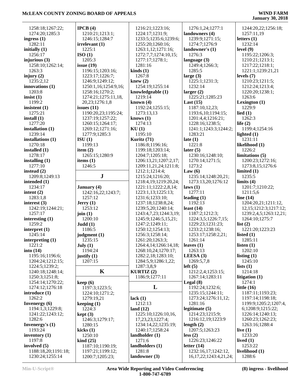|                                        | IPCB(4)                             | 1216:21;1223:16;                | 1276:1,24;1277:1                                    | 1244:20,22;1256:18;        |
|----------------------------------------|-------------------------------------|---------------------------------|-----------------------------------------------------|----------------------------|
| 1258:18;1267:22;<br>1274:20;1285:3     | 1210:21;1213:1;                     | 1224:17;1231:9;                 | landowners (4)                                      | 1257:11,19                 |
| ingress $(1)$                          | 1246:15;1284:7                      | 1233:5;1235:6;1239:6;           | 1239:9;1271:15;                                     | letters $(1)$              |
| 1282:11                                | irrelevant(1)                       | 1255:20;1260:16;                | 1274:7;1276:9                                       | 1232:14                    |
| initially $(1)$                        | 1225:1                              | 1263:1,12;1271:16;              | landowner's (1)                                     | level $(9)$                |
| 1256:17                                | ISO(1)                              | 1272:7,7;1274:10,15;            | 1276:3                                              | 1195:22;1206:3;            |
| injurious $(3)$                        | 1205:3                              | 1277:17;1278:1;                 | language $(3)$                                      | 1210:21;1213:1;            |
| 1258:10;1262:14;                       | issue $(19)$                        | 1281:16                         | 1249:4;1266:3;                                      | 1217:22;1218:1;            |
| 1263:3                                 | 1196:15;1203:16;                    | $\boldsymbol{\text{kinds}}$ (1) | 1285:5                                              | 1221:1;1239:21,21          |
| injury $(2)$                           | 1223:17;1226:7;                     | 1267:8                          | large $(3)$                                         | levels $(7)$               |
| 1235:2,12                              | 1246:9;1249:12;                     | knew $(2)$                      | 1225:1;1231:3;                                      | 1210:23;1211:5;            |
| innovations $(1)$                      | 1250:1,16;1254:9,16;                | 1254:19;1255:14                 | 1232:14                                             | 1212:24;1213:4;            |
| 1203:8                                 | 1258:16;1270:2;                     | knowledgeable (1)               | larger $(2)$                                        | 1220:20;1238:1;            |
| insist $(1)$                           | 1274:21;1275:11,18,                 | 1219:14                         | 1225:21;1285:23                                     | 1263:6                     |
| 1199:2                                 | 20,23;1276:1,8                      | known $(4)$                     | Last $(15)$                                         | Lexington $(1)$            |
| insistent $(1)$                        | issues $(11)$                       | 1192:24;1255:15;                | 1187:10,12,23;                                      | 1229:9                     |
| 1275:21                                | 1190:20,23;1195:24;                 | 1273:13,13                      | 1193:6,10;1194:15;                                  | lied $(1)$                 |
| install $(1)$                          | 1237:19;1257:22;                    | knows $(1)$                     | 1201:4,4;1216:21;                                   | 1262:3                     |
| 1277:20                                | 1260:15;1264:17;                    | 1274:13                         | 1228:16;1238:5;                                     | life $(2)$                 |
| installation $(1)$                     | 1269:12;1271:16;                    | KU(1)                           | 1241:1;1243:3;1244:2;                               | 1199:4;1254:16             |
| 1239:14                                | 1277:9;1285:3                       | 1195:10                         | 1283:21                                             | lighted $(1)$              |
| installations $(1)$                    | ISU(1)                              | Kuritz (71)                     | late $(1)$                                          | 1231:11                    |
| 1270:18                                | 1199:13                             | 1186:8;1196:16;                 | 1221:8                                              | likelihood (1)             |
| installed (1)                          | item $(2)$                          | 1199:18;1203:14;                | later $(5)$                                         | 1226:2                     |
| 1278:17                                | 1265:15;1280:9                      | 1204:7;1205:18;                 | 1230:16;1248:10;                                    | limitations $(5)$          |
| installing $(1)$                       | items $(1)$                         | 1206:13,21;1207:2,17;           | 1270:14;1271:5;                                     | 1200:23;1272:16;           |
| 1277:10                                | 1246:5                              | 1209:11,21,24;1211:8;           | 1273:2                                              | 1273:8,15;1276:6           |
| instead $(2)$                          |                                     | 1212:1;1214:4;                  | Law $(6)$                                           | limited $(1)$              |
| 1209:8;1249:13                         | ${\bf J}$                           | 1215:24;1216:20;                | 1235:14;1248:20,21;                                 | 1235:5                     |
| intended $(1)$                         |                                     | 1218:4,19;1219:20,24;           | 1273:13,20;1276:12                                  | limits $(4)$               |
| 1234:17                                | <b>January</b> (4)                  | 1221:11;1222:2,8,14;            | laws(1)                                             | 1201:7;1210:22;            |
| intent $(2)$                           | 1242:16,22;1243:7;                  | 1223:1,13;1225:13;              | 1277:11                                             | 1211:5,6                   |
| 1283:1,8                               | 1257:12                             | 1231:6;1233:10;                 | leading $(1)$                                       | line $(14)$                |
| interest $(3)$                         | Jerry(1)                            | 1237:18;1238:8,24;              | 1192:13                                             | 1204:20,21;1211:12,        |
|                                        |                                     |                                 |                                                     |                            |
| 1242:19;1244:21;                       | 1253:12                             | 1239:5,20;1240:14;              | least $(14)$                                        | 12, 15; 1212: 3; 1217: 12; |
| 1257:17                                | join $(1)$                          | 1243:4,7,23;1244:3,19;          | 1187:2;1212:3;                                      | 1239:2,4,5;1263:12,21;     |
| interesting $(1)$                      | 1200:10                             | 1245:9;1246:5,15,21;            | 1224:3,5;1226:7,15;                                 | 1264:10;1275:7             |
| 1259:2                                 | Judd(1)                             | 1247:2;1249:11;                 | 1229:23;1231:23;                                    | list $(2)$                 |
| interpret $(1)$                        | 1186:5                              | 1250:12;1254:13;                | 1233:2;1238:16;                                     | 1221:20;1223:23            |
| 1245:14                                | judgment (1)                        | 1256:3;1258:14;                 | 1253:17;1258:2,21;                                  | listed $(1)$               |
| interpreting $(1)$                     | 1235:15                             | 1261:20;1263:3;                 | 1261:14                                             | 1285:11                    |
| 1221:2                                 | July (1)                            | 1264:4,14;1266:14,18;           | leaves $(1)$                                        | listen $(1)$               |
| into $(14)$                            | 1194:24                             | 1268:10,24;1270:17;             | 1263:13                                             | 1202:10                    |
| 1195:16;1196:6;                        | justify $(1)$                       | 1282:2,18;1283:10;              | LEESA $(3)$                                         | listing $(1)$              |
| 1204:24;1212:15;                       | 1207:15                             | 1284:5,9;1286:1,22;             | 1269:5,7,8                                          | 1245:10                    |
| 1224:5;1239:2;                         |                                     | 1287:3,8,9                      | left(5)                                             | lists $(1)$                |
| 1240:18;1248:14;                       | $\mathbf K$                         | <b>KURTIZ</b> (2)               | 1212:2,4;1253:15;                                   | 1214:18                    |
| 1250:3;1251:8;                         |                                     | 1186:9;1277:11                  | 1267:14;1283:11                                     | litigation $(1)$           |
| 1254:14;1270:22;                       | keep(6)                             |                                 | Legal $(8)$                                         | 1274:1                     |
| 1274:12;1276:18                        | 1197:3;1223:5;                      | L                               | 1192:24;1232:6;                                     | little $(16)$              |
| introduce (1)                          | 1224:10;1271:2;                     |                                 | 1235:15;1244:11;                                    | 1187:11;1193:23;           |
| 1262:2                                 | 1279:19,21                          | lack(1)                         | 1273:24;1276:11,12;                                 | 1197:14;1198:18;           |
| Invenergy $(6)$                        | keeping $(1)$                       | 1212:13                         | 1281:16                                             | 1199:9;1205:2;1207:4,      |
| 1194:1,3;1229:8;                       | 1224:3                              | land $(12)$                     | legitimate $(5)$                                    | 6;1208:9;1215:22;          |
| 1241:22;1243:12;                       | kept(3)                             | 1225:10;1226:10,16,             | 1214:23;1215:9;                                     | 1226:14;1240:13;           |
| 1282:6                                 | 1246:3;1279:17;                     | 17,23,23;1227:4;                | 1216:12,19;1223:9                                   | 1260:23;1262:23;           |
| Invenergy's $(1)$                      | 1280:15                             | 1234:14,22;1235:19;             | length $(2)$                                        | 1263:16;1288:4             |
| 1193:24                                | kicks $(1)$                         | 1240:17;1258:24                 | 1207:5;1263:23                                      | live $(1)$                 |
| inventory $(1)$                        | 1250:10                             | landholder (1)                  | less(2)                                             | 1233:20                    |
| 1197:8                                 | $\operatorname{kind}(25)$           | 1271:6                          | 1226:23;1246:22                                     | lived $(1)$                |
| involved (5)                           | 1187:10;1190:19;                    | landholders (1)                 | letter $(14)$                                       | 1253:22                    |
| 1188:18,20;1191:18;<br>1230:24;1255:14 | 1197:21;1199:12;<br>1200:7;1205:23; | 1281:8<br>landowner (3)         | 1232:16,17;1242:12,<br>16, 17, 22; 1243; 4, 21, 24; | livelihood (1)<br>1288:6   |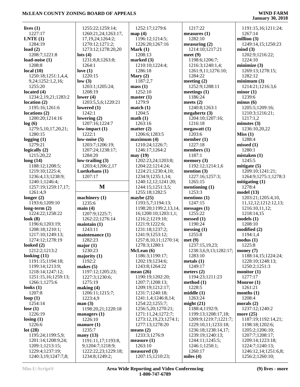# **McLEAN COUNTY ZONING BOARD OF APPEALS**

| lives $(1)$          | 1255:22;1259:14;     | 1252:17;1279:6        | 1217:22                | 1191:15,16;1211:24;       |
|----------------------|----------------------|-----------------------|------------------------|---------------------------|
| 1227:17              | 1260:21,24;1263:17,  | map(4)                | measures $(1)$         | 1267:14                   |
| LNTE(1)              | 17, 19, 24; 1264: 2; | 1196:12;1214:5;       | 1282:10                | million $(3)$             |
| 1284:19              | 1270:12;1271:2;      | 1226:20;1267:16       | measuring $(2)$        | 1249:14,15;1250:23        |
| load $(2)$           | 1273:12;1278:20,20   | Mark $(1)$            | 1214:10;1217:21        | mind(3)                   |
| 1208:7;1221:8        | lots $(4)$           | 1208:13               | meet $(9)$             | 1202:9;1216:22;           |
| load-noise (1)       | 1231:8,8;1263:8;     | marked $(3)$          | 1198:6;1206:7;         | 1224:10                   |
| 1208:8               | 1264:1               | 1210:10;1224:4;       | 1216:3;1240:1,4;       | minimize $(3)$            |
| local $(10)$         | love $(1)$           | 1286:18               | 1261:9,11;1276:10;     | 1269:13;1278:15;          |
| 1250:18;1251:1,4,4,  | 1220:15              | Mary $(2)$            | 1284:22                | 1282:12                   |
| 9,24;1252:1,2,16;    | low(3)               | 1187:2,7              | meeting $(2)$          | minimum(3)                |
| 1255:20              | 1203:1;1205:24;      | mass(1)               | 1252:9;1288:11         | 1214:21;1216:3,6          |
| located $(4)$        | 1208:19              | 1252:10               | meetings $(1)$         | minor(1)                  |
| 1234:2,19,21;1283:2  | lower $(4)$          | master(1)             | 1186:24                | 1239:6                    |
| location(2)          | 1203:5,5,6;1220:21   | 1279:9                | meets $(2)$            | minus(6)                  |
| 1195:16;1261:6       | lowered $(1)$        | match(1)              | 1240:8;1263:1          | 1205:5;1209:16;           |
| locations $(2)$      | 1242:1               | 1204:5                | megahertz $(3)$        | 1210:3;1216:21;           |
| 1200:20;1214:16      | lowering $(2)$       | math(1)               | 1204:10;1207:16;       | 1217:1,2                  |
| log(6)               | 1207:16;1224:7       | 1263:16               | 1216:18                | minutes $(3)$             |
| 1279:5,10,17,20,21;  | low-impact $(1)$     | matter $(2)$          | megawatt(1)            | 1236:10,20,22             |
| 1280:15              | 1222:1               | 1206:6;1283:5         | 1203:6                 | Miss(1)                   |
| logging $(1)$        | low-noise $(5)$      | maximum (4)           | member $(1)$           | 1288:4                    |
| 1279:21              | 1203:7;1206:19;      | 1210:24;1226:7;       | 1227:18                | missed $(1)$              |
| logically $(2)$      | 1207:24;1238:17;     | 1246:17;1264:2        | members $(1)$          | 1280:1                    |
| 1215:20,22           | 1284:20              | may (19)              | 1187:1                 | mistaken(1)               |
| long(14)             | low-trailing $(3)$   | 1202:23,24;1203:8;    | memory $(3)$           | 1245:5                    |
| 1188:12;1208:5;      | 1203:4;1206:2,17     | 1204:22;1214:24;      | 1192:12;1214:1,6       | mitigate (5)              |
| 1219:10;1225:4;      | Luetkehans (1)       | 1224:21;1230:4,10;    | mention $(3)$          | 1209:10;1241:21;          |
|                      | 1207:17              |                       |                        |                           |
| 1236:4,13;1238:9;    |                      | 1234:9;1235:1,14;     | 1227:16;1257:3;        | 1264:9;1275:1;1278:3      |
| 1240:1;1246:4;       | M                    | 1240:12,12;1241:20;   | 1265:15                | mitigating $(1)$          |
| 1257:19;1259:17,17;  |                      | 1244:15;1251:3,5;     | mentioning $(1)$       | 1278:4                    |
| 1261:4,9             |                      | 1255:18;1282:5        | 1253:3                 | model(13)                 |
| longer $(2)$         | machinery $(1)$      | maybe $(25)$          | mentions $(1)$         | 1203:21;1205:4,10,        |
| 1193:6;1209:10       | 1235:6               | 1193:5,7;1194:13;     | 1247:15                | 11, 12, 12; 1212: 12, 13; |
| long-term $(2)$      | main(4)              | 1198:20;1199:2,13,14, | messages(1)            | 1216:10,11,12;            |
| 1224:22;1258:22      | 1207:9;1225:7;       | 16;1200:10;1203:1,1;  | 1255:22                | 1218:14,15                |
| look $(8)$           | 1262:22;1276:14      | 1216:2;1219:10;       | messed $(1)$           | models(1)                 |
| 1196:6;1203:19;      | maintain(1)          | 1221:9;1222:6;        | 1190:24                | 1208:10                   |
| 1208:18;1210:1;      | 1243:11              | 1231:18;1237:2;       | $\text{messing} (1)$   | modified(2)               |
| 1217:10;1249:13;     | maintenance (1)      | 1241:9;1253:12;       | 1255:8                 | 1194:1,4                  |
| 1274:12;1278:19      | 1282:23              | 1257:8,10,11;1270:14; | met(9)                 | modus(1)                  |
| looked $(2)$         | major(1)             | 1278:3;1280:1         | 1237:15,19,23;         | 1225:8                    |
| 1212:2;1213:2        | 1230:23              | McLean (6)            | 1238:3,6,9,13;1282:17; | money $(7)$               |
| looking $(11)$       | majority $(1)$       | 1186:3;1190:17;       | 1283:10                | 1188:14,15;1224:24;       |
| 1191:15;1194:18;     | 1192:2               | 1202:19;1234:6;       | metals $(1)$           | 1228:10;1248:13;          |
| 1199:14;1213:9;      | makes $(5)$          | 1243:8;1264:22        | 1249:17                | 1250:2;1251:3             |
| 1218:14;1247:12;     | 1197:12;1205:23;     | mean $(26)$           | meters $(2)$           | monitor $(1)$             |
| 1251:15,16;1259:13;  | 1227:3;1230:6;       | 1190:19;1202:20;      | 1194:23;1211:23        | 1277:17                   |
| 1266:1;1275:6        | 1275:19              | 1207:7;1208:13;       | method (1)             | Monroe (1)                |
| looks $(1)$          | making $(4)$         | 1209:19;1212:17;      | 1228:5                 | 1261:21                   |
| 1207:8               | 1206:11;1215:7;      | 1231:7;1240:18;       | middle(1)              | months $(1)$              |
| loop $(1)$           | 1223:4,9             | 1241:1,4;1246:8,14;   | 1263:24                | 1208:4                    |
| 1254:14              | man(3)               | 1254:22;1255:7;       | might $(21)$           | morals $(2)$              |
| lose $(1)$           | 1198:20,21;1220:18   | 1256:5,20;1270:21;    | 1188:4;1192:9;         | 1237:12;1240:2            |
| 1226:19              | managers $(1)$       | 1271:11,24;1272:7;    | 1199:13;1208:17,18;    | more $(25)$               |
| $\text{losing } (1)$ | 1226:10              | 1273:12,19,23;1274:1; | 1209:9;1219:7;1221:7;  | 1187:19;1192:14,21;       |
| 1226:6               | manure $(1)$         | 1277:13;1278:20       | 1229:10,11;1233:18;    | 1198:18;1202:6;           |
| lot(28)              | 1235:7               | means $(2)$           | 1236:18;1238:14,17;    | 1205:2;1206:10;           |
| 1195:24;1199:5,9;    | many $(13)$          | 1233:3;1276:9         | 1239:19;1240:13;       | 1207:7;1208:17;           |
| 1201:14;1208:9,24;   | 1191:11,17;1193:8,   | measure(1)            | 1244:11;1245:5;        | 1209:14;1223:18;          |
| 1209:1;1213:15;      | 9;1204:7;1218:9;     | 1263:10               | 1246:1;1250:1;         | 1224:7;1240:13;           |
| 1229:4;1237:19;      | 1222:22,23;1229:18;  | measured $(3)$        | 1260:17                | 1246:12,14;1251:6,8;      |
| 1240:3,19;1247:7,8;  | 1234:8;1249:2;       | 1207:15;1210:23;      | miles $(4)$            | 1256:2;1260:10;           |
|                      |                      |                       |                        |                           |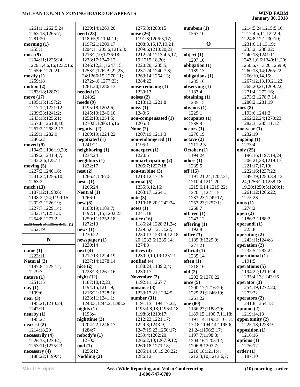| 1261:1;1262:5,24;                | 1239:14;1269:20        | 1275:8;1283:15          | numbers $(1)$              | 1214:5,24;1215:5,16;   |
|----------------------------------|------------------------|-------------------------|----------------------------|------------------------|
| 1263:13;1265:7;                  | need(28)               | noise $(26)$            | 1267:10                    | 1217:4,5,11;1222:9;    |
| 1281:20                          | 1189:5,9;1194:11;      | 1191:8;1206:3,17;       | $\mathbf 0$                | 1224:8,12;1230:10;     |
| morning $(1)$                    | 1197:21;1200:17;       | 1208:8, 15, 17, 19, 24; |                            | 1231:6,11,13,19;       |
| 1255:1                           | 1204:1;1205:6;1215:8;  | 1209:6;1210:20,23;      |                            | 1233:2;1238:22;        |
| most(9)                          | 1216:2,10;1236:18;     | 1212:24;1213:4,5,17,    | object $(1)$               | 1240:18;1241:11;       |
| 1204:11;1225:24;                 | 1238:17;1240:12;       | 19;1215:18,20;          | 1207:10                    | 1242:1,6,6;1249:11,20; |
| 1226:1,4,6,16;1232:16;           | 1246:12,21;1247:15;    | 1220:20;1235:5;         | obligation (1)             | 1256:6,7,13,20;1259:9; |
| 1255:6;1270:21                   | 1253:2;1262:9,22,23,   | 1237:24;1240:7,8;       | 1189:13                    | 1260:13,14;1265:22;    |
| mostly(1)                        | 24;1266:15;1270:11;    | 1263:14;1264:13;        | obligations (1)            | 1266:10,14,15;         |
| 1259:18                          | 1272:4,6;1277:23;      | 1284:22                 | 1235:16                    | 1267:12,13,19,21,22;   |
| motion $(2)$                     | 1281:20;1286:13        | noise-reducing (1)      | observing (1)              | 1268:20,21;1269:22;    |
| 1283:18;1287:2                   | needed $(1)$           | 1239:13                 | 1187:4                     | 1271:4;1272:16;        |
| move $(17)$                      | 1248:2                 | noises $(2)$            | obtaining (1)              | 1273:2;1278:7,14;      |
| 1195:15;1197:2;                  | needs(9)               | 1213:13;1221:8          | 1235:15                    | 1280:2;1281:19         |
| 1217:12;1221:12;                 | 1195:18;1202:6;        | noisy(1)                | obvious (1)                | ones $(8)$             |
| 1239:23;1241:2;                  | 1245:10;1246:10;       | 1240:6                  | 1229:1                     | 1193:6;1241:2;         |
| 1243:13;1256:1;                  | 1252:13;1254:5;        | non-compensated (1)     | occupants(1)               | 1262:22,24;1270:23;    |
| 1257:8;1261:8,10;                | 1270:8;1286:15,16      | 1205:8                  | 1235:9                     | 1282:3;1285:11,12      |
| 1267:2;1268:2,12;                | negative(2)            | None $(2)$              | occurs(1)                  | one-year $(1)$         |
|                                  | 1209:19;1224:22        | 1207:19;1211:3          | 1276:19                    | 1232:19                |
| 1269:1;1282:9;                   |                        |                         |                            |                        |
| 1286:22                          | negotiated (1)         | non-endangered (1)      | octave(2)                  | ongoing $(1)$          |
| moved $(9)$                      | 1241:21                | 1195:1                  | 1211:2,3                   | 1273:4                 |
| 1194:2;1196:19,20;               | neighbouring(1)        | nonexpert $(1)$         | October (1)                | only $(25)$            |
| 1239:2;1241:4,7;                 | 1234:24                | 1220:5                  | 1194:24                    | 1196:16;1197:19,24;    |
| 1242:2,6;1257:1                  | neighbors (1)          | nonparticipating (2)    | odors(1)                   | 1206:21,23;1219:17;    |
| moving $(5)$                     | 1232:17                | 1205:7;1227:18          | 1235:5                     | 1221:17,17,19;         |
| 1227:2;1240:16;                  | nest(2)                | non-turbine $(3)$       | off(15)                    | 1222:16;1237:22;       |
| 1241:22;1256:10;                 | 1266:4;1267:5          | 1213:12,17,19           | 1191:21,24;1202:21;        | 1249:19;1250:3,4,12,   |
| 1263:2                           | nests(1)               | normal $(5)$            | 1210:4;1211:20;            | 24;1256:20;1258:18,    |
| much $(13)$                      | 1266:24                | 1235:3,12,16;           | 1215:6,14;1219:22;         | 19,20;1259:5;1260:1;   |
| 1187:12;1193:6;                  | Neutral (1)            | 1263:17;1264:1          | 1220:1;1221:15;            | 1261:12;1266:22;       |
| 1198:22,24;1199:15;              | 1266:1                 | note $(3)$              | 1233:23;1249:17;           | 1275:23                |
| 1202:2;1226:19;                  | new(8)                 | 1210:18,20;1242:24      | 1253:23;1257:1;            | onus $(1)$             |
| 1227:7;1229:14;                  | 1188:19;1189:7;        | notes(1)                | 1268:7                     | 1274:2                 |
| 1232:14;1251:3;                  | 1192:11,15;1202:23;    | 1241:18                 | offered (1)                | open $(2)$             |
| 1254:8;1277:2                    | 1250:11;1252:18;       | notice $(16)$           | 1243:12                    | 1186:3;1188:2          |
|                                  | 1272:13                | 1186:24;1228:21,24;     |                            | operandi (1)           |
| multi-hundred-million-dollar (1) |                        |                         | offering $(1)$             |                        |
| 1252:19                          | news(1)                | 1229:5,6,12,13,22;      | 1192:8                     | 1225:8                 |
|                                  | 1230:22                | 1230:13;1231:4,12,18,   | office $(3)$               | operating $(2)$        |
| ${\bf N}$                        | newspaper (1)          | 20;1232:6;1235:14;      | 1189:3;1229:9;             | 1243:11;1244:8         |
|                                  | 1230:14                | 1274:8                  | 1271:21                    | operation $(2)$        |
| name $(1)$                       | next(4)                | notices $(4)$           | official $(1)$             | 1235:5;1282:24         |
| 1223:11                          | 1212:13;1224:19;       | 1230:9,10,19;1231:1     | 1235:14                    | operational (1)        |
| Natural (3)                      | 1237:14;1278:14        | notified (4)            | often(1)                   | 1191:5                 |
| 1197:8;1225:12;                  | nice(2)                | 1188:24;1189:2,4;       | 1218:16                    | operations (5)         |
| 1279:7                           | 1228:23;1267:16        | 1230:17                 | old(2)                     | 1194:22;1210:24;       |
| nature $(1)$                     | night $(12)$           | November (2)            | 1203:5;1270:22             | 1235:4,13;1243:16      |
| 1251:15                          | 1187:10,12,23;         | 1192:11;1267:7          | once $(5)$                 | operator $(3)$         |
| nay $(1)$                        | 1194:15;1211:9;        | nuisance $(3)$          | 1200:17;1216:20;           | 1254:19;1272:20;       |
| 1199:6                           | 1216:21;1228:16;       | 1233:17,21;1234:5       | 1229:21;1246:19;           | 1273:22                |
| near $(3)$                       | 1233:11;1241:1;        | number $(31)$           | 1261:22                    | operators $(2)$        |
| 1195:21;1210:24;                 | 1243:3;1244:2;1288:2   | 1191:13;1194:17,22;     | one (80)                   | 1241:8;1254:13         |
| 1243:11                          |                        |                         | 1186:23;1188:20;           |                        |
|                                  | nights $(1)$<br>1193:4 | 1195:4,8,18;1196:4,18;  |                            | opinion $(2)$          |
| nearby (1)                       |                        | 1198:3;1210:17;         | 1189:15;1190:7,11,18;      | 1219:14,18             |
| 1195:22                          | nighttime (3)          | 1212:23;1221:17;        | 1191:14;1193:5,10,13,      | opportunity (2)        |
| nearest(2)                       | 1204:22;1246:17;       | 1229:8;1243:9;          | 17, 18; 1194: 14; 1195: 6, | 1225:18;1228:9         |
| 1214:18,20                       | 1284:7                 | 1247:19,23;1250:17;     | 21,24;1196:3,17;           | opposition (1)         |
| necessarily (4)                  | nobody's (1)           | 1259:4;1262:20;         | 1197:7;1198:3;             | 1216:16                |
| 1226:15;1230:4;                  | 1270:3                 | 1266:2,10;1267:9,12;    | 1204:16;1205:12;           | options $(1)$          |
| 1253:11;1275:23                  | $\textbf{nod}(1)$      | 1269:18;1271:18;        | 1206:8;1207:7;             | 1276:12                |
| necessary(4)                     | 1256:12                | 1285:14,16,19,20,22;    | 1210:18;1211:4;            | order(1)               |
| 1188:22;1199:4;                  | Nodding $(2)$          | 1286:12                 | 1212:3,10;1213:6,7;        | 1187:10                |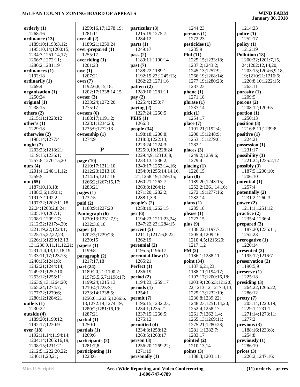| orderly $(1)$             | 1259:16,17;1278:19;           | particular (3)                         | 1244:23                             | 1214:23                                  |
|---------------------------|-------------------------------|----------------------------------------|-------------------------------------|------------------------------------------|
| 1268:16                   | 1281:11                       | 1215:19;1275:7;                        | persons(1)                          | police(1)                                |
| ordinance (13)            | overall (2)                   | 1284:12                                | 1272:23                             | 1252:17                                  |
| 1189:10;1193:3,12;        | 1189:21;1250:24               | parts(1)                               | pesticides (1)                      | policy(1)                                |
| 1195:10,14;1200:15;       | over-prepared (1)             | 1249:17                                | 1235:9                              | 1212:19                                  |
| 1234:7;1251:14,17;        | 1255:17                       | pass $(2)$                             | Phil $(11)$                         | Pollution (18)                           |
| 1266:7;1272:11;           | overriding $(1)$              | 1189:11;1190:14                        | 1225:15;1233:18;                    | 1200:22;1201:7,15,                       |
| 1280:2;1281:19            | 1201:23                       | past (7)                               | 1237:2;1243:2;                      | 24;1202:12,14,20;                        |
| ordinances (1)<br>1192:18 | owe(1)<br>1207:21             | 1188:22;1189:1;                        | 1245:13;1257:9;<br>1266:19;1268:14; | 1203:15;1204:6,9,18,                     |
| ordinarily (1)            | own(7)                        | 1192:19,23;1245:13;<br>1262:23;1271:16 | 1277:19;1280:23;                    | 19;1210:21;1216:6;<br>1220:8,10;1222:15; |
| 1269:4                    | 1192:6,8,15,18;               | pattern $(2)$                          | 1287:23                             | 1263:11                                  |
| organization (1)          | 1202:17;1238:14,15            | 1280:10;1281:11                        | phone(1)                            | porosity (1)                             |
| 1250:24                   | owner $(3)$                   | pay $(2)$                              | 1271:18                             | 1209:5                                   |
| original $(1)$            | 1233:24;1272:20;              | 1225:4;1250:7                          | phrase(1)                           | porous $(2)$                             |
| 1238:15                   | 1275:17                       | paying $(2)$                           | 1237:14                             | 1208:12;1209:5                           |
| others $(2)$              | owners $(6)$                  | 1227:24;1250:5                         | pick $(1)$                          | portion $(1)$                            |
| 1215:11;1223:12           | 1188:17;1191:2;               | PEIS(1)                                | 1254:17                             | 1250:13                                  |
| other's $(1)$             | 1228:1;1234:23;               | 1266:3                                 | place(7)                            | position $(3)$                           |
| 1229:18                   | 1235:9;1272:13                | people $(34)$                          | 1191:21;1192:4;                     | 1216:8,11;1239:8                         |
| otherwise (2)             | ownership (1)                 | 1198:18;1200:8;                        | 1200:15;1248:9;                     | positive $(1)$                           |
| 1198:14;1277:4            | 1274:9                        | 1218:8;1222:13;                        | 1253:15;1279:6;                     | 1224:21                                  |
| ought $(7)$               |                               | 1223:24;1224:3;                        | 1282:1                              | possession (1)                           |
| 1203:23;1218:21;          | ${\bf P}$                     | 1225:9,10;1228:24;                     | places $(3)$                        | 1231:17                                  |
| 1219:15;1236:1;           |                               | 1229:4,9;1231:6,8;                     | 1249:2;1259:6;                      | possibility $(3)$                        |
| 1257:8;1270:15,20         | page $(10)$                   | 1233:13;1236:2;                        | 1279:4                              | 1221:24;1235:2,12                        |
| ours $(4)$                | 1210:17;1211:10;              | 1240:17;1253:14,16;                    | placing $(1)$                       | possibly $(3)$                           |
| 1201:4;1248:11,12;        | 1212:23;1213:10;              | 1254:9;1255:14,14,16,                  | 1226:15                             | 1187:5;1200:10;                          |
| 1259:5                    | 1214:15;1217:16;              | 21;1258:19;1259:15;                    | plan(8)                             | 1206:10                                  |
| out $(65)$                | 1266:2;1267:15,17;            | 1260:21;1262:7;                        | 1189:20;1243:15;                    | potential $(1)$                          |
| 1187:10,13,18;            | 1283:21                       | 1263:8;1264:1;                         | 1252:2;1261:14,16;                  | 1257:4                                   |
| 1188:3,6;1190:1;          | pages $(1)$                   | 1271:20;1282:2;                        | 1272:19;1277:16;                    | potentially (2)                          |
| 1191:7;1192:2;            | 1232:5                        | 1288:1,3,9                             | 1282:14                             | 1231:2;1260:3                            |
| 1197:22;1202:11,18,       | paid(2)                       | people's $(2)$                         | plans $(1)$                         | power $(2)$                              |
| 22, 24; 1203: 2, 8, 24;   | 1188:9;1227:20                | 1258:19;1262:15                        | 1285:18                             | 1211:1;1251:12                           |
| 1205:10;1207:1;           | Pantograph (6)                | per(6)                                 | please(1)                           | practice $(2)$                           |
| 1208:1;1209:17;           | 1230:13;1231:7,9;             | 1194:23;1211:23,24;                    | 1227:15                             | 1235:4;1236:4                            |
| 1212:22;1217:4,20;        | 1232:3,6,16                   | 1247:22,23;1284:15                     | plus $(9)$                          | prepared $(3)$                           |
| 1221:19,22;1224:1;        | paper $(3)$                   | percent(5)                             | 1186:22;1197:7;                     | 1187:20;1235:11;                         |
| 1225:15,22,22,23;         | 1202:3;1229:23;               | 1211:1;1217:6,8,22;                    | 1205:4;1209:16;                     | 1252:23                                  |
| 1226:13;1229:12,13,       | 1230:15                       | 1262:19                                | 1210:4,5;1216:20;                   | prerogative (1)                          |
| 13;1230:9,11,11,12,21;    | papers $(1)$                  | perennial (2)                          | 1217:1,2                            | 1220:14                                  |
| 1231:1,4,13,17,18,19;     | 1199:8                        | 1195:5;1196:17                         | PM(2)                               | presented $(2)$                          |
| 1233:11,17;1237:3;        | paragnh(2)                    | perennial-flow $(1)$                   | 1186:1;1288:11                      | 1195:12;1216:7                           |
| 1240:15;1241:8;           | 1217:17,18                    | 1265:21                                | point $(34)$                        | preservation (2)                         |
| 1242:21;1244:14;          | part $(24)$                   | Perfect (1)                            | 1187:6,21,23;                       | 1190:5,9                                 |
| 1249:21;1252:10;          | 1189:20,21;1190:7;            | 1236:19                                | 1188:11;1194:17;                    | preserve(1)                              |
| 1253:12;1255:11;          | 1197:5,5,6,7;1198:17;         | period(2)                              | 1197:17;1200:16,18;                 | 1225:18                                  |
| 1263:9,13;1264:20;        | 1199:24;1215:13;              | 1194:23;1259:17                        | 1203:9;1206:3;1212:6,               | presiding (3)                            |
| 1265:24;1274:7;           | 1219:4;1225:3;                | periods(1)                             | 22;1213:12;1217:3,13;               | 1264:22;1266:22;                         |
| 1277:22;1279:6;           | 1233:14;1238:5;               | 1254:1                                 | 1225:13;1232:10;                    | 1286:12                                  |
| 1280:12;1284:21           | 1256:6;1263:5;1266:6,         | permit(7)                              | 1236:8;1239:22;                     | pretty(7)                                |
| outlets $(1)$             | 13;1272:14;1274:19;           | 1196:15;1232:23;                       | 1248:23;1251:14,20;                 | 1205:14;1220:19;                         |
| 1230:22<br>outside (4)    | 1280:2;1281:18,19;<br>1287:21 | 1234:1;1235:21;<br>1237:15;1266:5;     | 1252:4;1258:17;<br>1261:7;1262:1,4; | 1229:1;1231:1;<br>1271:14;1273:11;       |
| 1189:20;1190:12;          | partial (1)                   | 1275:12                                | 1265:13;1269:11;                    | 1277:2                                   |
| 1192:17;1220:9            | 1250:1                        | permitted (4)                          | 1275:21;1280:23;                    | previous(3)                              |
| over $(18)$               | partials $(1)$                | 1234:8;1258:12;                        | 1281:1;1282:7;                      | 1188:16;1233:8;                          |
| 1192:11,14;1194:14;       | 1269:6                        | 1263:5;1268:17                         | 1283:17                             | 1254:8                                   |
| 1204:14;1205:16,19;       | participants (2)              | person(3)                              | pointed $(2)$                       | previously $(1)$                         |
| 1208:15;1211:21;          | 1281:7,8                      | 1256:20;1269:22;                       | 1210:13,14                          | 1286:19                                  |
| 1212:5;1222:20,22;        | participating (1)             | 1271:19                                | points $(3)$                        | prices $(3)$                             |
| 1246:11,20,21;            | 1228:6                        | personally (1)                         | 1188:3;1203:11;                     | 1226:2;1247:16;                          |
|                           |                               |                                        |                                     |                                          |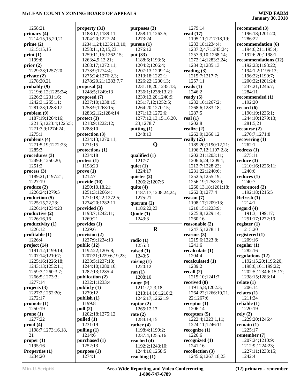| 1258:21               | property $(31)$        | purposes $(3)$       | 1279:14             |                                                                                                                                                                                                                                                                                                                                                                                                                                                                                                                                                                                                                                                                                                                                                                                                                                                                                   |  |
|-----------------------|------------------------|----------------------|---------------------|-----------------------------------------------------------------------------------------------------------------------------------------------------------------------------------------------------------------------------------------------------------------------------------------------------------------------------------------------------------------------------------------------------------------------------------------------------------------------------------------------------------------------------------------------------------------------------------------------------------------------------------------------------------------------------------------------------------------------------------------------------------------------------------------------------------------------------------------------------------------------------------|--|
| primary $(4)$         | 1188:17;1189:11;       | 1258:11;1263:5;      | read $(17)$         |                                                                                                                                                                                                                                                                                                                                                                                                                                                                                                                                                                                                                                                                                                                                                                                                                                                                                   |  |
|                       |                        |                      |                     |                                                                                                                                                                                                                                                                                                                                                                                                                                                                                                                                                                                                                                                                                                                                                                                                                                                                                   |  |
| 1214:15,15,20,21      | 1204:20;1227:24;       | 1273:24              | 1195:11;1217:18,19; |                                                                                                                                                                                                                                                                                                                                                                                                                                                                                                                                                                                                                                                                                                                                                                                                                                                                                   |  |
| prime $(2)$           | 1234:1,24;1235:1,3,10; | pursue(1)            | 1233:18;1234:4;     |                                                                                                                                                                                                                                                                                                                                                                                                                                                                                                                                                                                                                                                                                                                                                                                                                                                                                   |  |
| 1215:15,15            | 1258:11,12,15,23;      | 1276:12              | 1237:2,4,7;1245:24; |                                                                                                                                                                                                                                                                                                                                                                                                                                                                                                                                                                                                                                                                                                                                                                                                                                                                                   |  |
| print(1)              | 1259:11,15;1262:15;    | put (33)             | 1257:9,10;1268:14;  |                                                                                                                                                                                                                                                                                                                                                                                                                                                                                                                                                                                                                                                                                                                                                                                                                                                                                   |  |
| 1199:8                | 1263:4,9,12,21;        | 1188:6;1193:5;       | 1272:14;1283:3,24;  |                                                                                                                                                                                                                                                                                                                                                                                                                                                                                                                                                                                                                                                                                                                                                                                                                                                                                   |  |
|                       |                        |                      |                     |                                                                                                                                                                                                                                                                                                                                                                                                                                                                                                                                                                                                                                                                                                                                                                                                                                                                                   |  |
| prior(2)              | 1268:17;1272:11;       | 1204:2;1206:4;       | 1284:2;1285:13      |                                                                                                                                                                                                                                                                                                                                                                                                                                                                                                                                                                                                                                                                                                                                                                                                                                                                                   |  |
| 1229:23;1257:20       | 1273:9;1274:4;         | 1207:13;1209:14;     | reading $(3)$       |                                                                                                                                                                                                                                                                                                                                                                                                                                                                                                                                                                                                                                                                                                                                                                                                                                                                                   |  |
| private(2)            | 1275:24;1276:2,3;      | 1213:18;1222:1;      | 1215:7;1217:7;      |                                                                                                                                                                                                                                                                                                                                                                                                                                                                                                                                                                                                                                                                                                                                                                                                                                                                                   |  |
| 1278:20,21            | 1278:20,21;1283:7,7    | 1226:22;1230:13;     | 1257:11             |                                                                                                                                                                                                                                                                                                                                                                                                                                                                                                                                                                                                                                                                                                                                                                                                                                                                                   |  |
| probably (9)          | proposal $(2)$         | 1231:18,20;1235:13;  | reads $(1)$         |                                                                                                                                                                                                                                                                                                                                                                                                                                                                                                                                                                                                                                                                                                                                                                                                                                                                                   |  |
|                       |                        |                      |                     |                                                                                                                                                                                                                                                                                                                                                                                                                                                                                                                                                                                                                                                                                                                                                                                                                                                                                   |  |
| 1219:6,12;1225:24;    | 1248:5;1249:13         | 1236:1;1238:13,21;   | 1246:2              |                                                                                                                                                                                                                                                                                                                                                                                                                                                                                                                                                                                                                                                                                                                                                                                                                                                                                   |  |
| 1226:3;1231:16;       | proposed (7)           | 1239:13,20;1240:9;   | ready $(5)$         |                                                                                                                                                                                                                                                                                                                                                                                                                                                                                                                                                                                                                                                                                                                                                                                                                                                                                   |  |
| 1242:3;1255:11;       | 1237:10;1238:15;       | 1251:7,12;1252:5;    | 1232:10;1267:2;     |                                                                                                                                                                                                                                                                                                                                                                                                                                                                                                                                                                                                                                                                                                                                                                                                                                                                                   |  |
| 1281:23;1283:17       | 1258:9;1268:15;        | 1264:20;1270:15;     | 1268:6;1283:18;     |                                                                                                                                                                                                                                                                                                                                                                                                                                                                                                                                                                                                                                                                                                                                                                                                                                                                                   |  |
| problem (9)           | 1283:2,12;1284:14      | 1271:13;1272:6;      | 1287:5              |                                                                                                                                                                                                                                                                                                                                                                                                                                                                                                                                                                                                                                                                                                                                                                                                                                                                                   |  |
|                       |                        |                      |                     |                                                                                                                                                                                                                                                                                                                                                                                                                                                                                                                                                                                                                                                                                                                                                                                                                                                                                   |  |
| 1187:19;1204:16;      | $\text{protect (3)}$   | 1277:12,13,15,16,20, | real $(1)$          |                                                                                                                                                                                                                                                                                                                                                                                                                                                                                                                                                                                                                                                                                                                                                                                                                                                                                   |  |
| 1221:5;1223:4;1225:5; | 1218:9;1222:12;        | 23;1278:7            | 1202:8              |                                                                                                                                                                                                                                                                                                                                                                                                                                                                                                                                                                                                                                                                                                                                                                                                                                                                                   |  |
| 1271:3,9;1274:24;     | 1288:10                | putting $(1)$        | realize $(2)$       | recourse $(2)$                                                                                                                                                                                                                                                                                                                                                                                                                                                                                                                                                                                                                                                                                                                                                                                                                                                                    |  |
| 1275:1                | protection $(3)$       | 1248:13              | 1262:9;1266:12      |                                                                                                                                                                                                                                                                                                                                                                                                                                                                                                                                                                                                                                                                                                                                                                                                                                                                                   |  |
| problems (4)          | 1234:13;1270:11;       |                      | really $(25)$       |                                                                                                                                                                                                                                                                                                                                                                                                                                                                                                                                                                                                                                                                                                                                                                                                                                                                                   |  |
|                       |                        |                      |                     |                                                                                                                                                                                                                                                                                                                                                                                                                                                                                                                                                                                                                                                                                                                                                                                                                                                                                   |  |
| 1271:5,19;1272:23;    | 1271:15                | Q                    | 1189:20;1190:12,21; |                                                                                                                                                                                                                                                                                                                                                                                                                                                                                                                                                                                                                                                                                                                                                                                                                                                                                   |  |
| 1285:3                | protections (1)        |                      | 1196:7,12;1197:2,8; |                                                                                                                                                                                                                                                                                                                                                                                                                                                                                                                                                                                                                                                                                                                                                                                                                                                                                   |  |
| procedures (3)        | 1234:18                | qualified (1)        | 1202:21;1203:11;    |                                                                                                                                                                                                                                                                                                                                                                                                                                                                                                                                                                                                                                                                                                                                                                                                                                                                                   |  |
| 1249:6;1250:20;       | protest(1)             | 1217:7               | 1206:6,24;1209:1;   |                                                                                                                                                                                                                                                                                                                                                                                                                                                                                                                                                                                                                                                                                                                                                                                                                                                                                   |  |
| 1251:2                | 1198:23                | quiet $(1)$          | 1212:7;1228:23;     |                                                                                                                                                                                                                                                                                                                                                                                                                                                                                                                                                                                                                                                                                                                                                                                                                                                                                   |  |
| process(3)            | prove(1)               | 1224:17              | 1231:22;1240:6;     |                                                                                                                                                                                                                                                                                                                                                                                                                                                                                                                                                                                                                                                                                                                                                                                                                                                                                   |  |
|                       |                        |                      |                     |                                                                                                                                                                                                                                                                                                                                                                                                                                                                                                                                                                                                                                                                                                                                                                                                                                                                                   |  |
| 1189:21;1197:21;      | 1212:7                 | quieter $(2)$        | 1252:5;1255:19;     |                                                                                                                                                                                                                                                                                                                                                                                                                                                                                                                                                                                                                                                                                                                                                                                                                                                                                   |  |
| 1227:19               | provide(10)            | 1206:2;1207:6        | 1256:19;1258:20;    |                                                                                                                                                                                                                                                                                                                                                                                                                                                                                                                                                                                                                                                                                                                                                                                                                                                                                   |  |
| produce (2)           | 1250:10,18,21;         | quite $(4)$          | 1260:13,18;1261:18; |                                                                                                                                                                                                                                                                                                                                                                                                                                                                                                                                                                                                                                                                                                                                                                                                                                                                                   |  |
| 1226:24;1279:5        | 1251:3;1266:4;         | 1187:17;1208:24,24;  | 1262:3;1277:4       |                                                                                                                                                                                                                                                                                                                                                                                                                                                                                                                                                                                                                                                                                                                                                                                                                                                                                   |  |
| production (5)        | 1271:18,22;1272:5;     | 1275:21              | reason (7)          |                                                                                                                                                                                                                                                                                                                                                                                                                                                                                                                                                                                                                                                                                                                                                                                                                                                                                   |  |
|                       |                        |                      |                     |                                                                                                                                                                                                                                                                                                                                                                                                                                                                                                                                                                                                                                                                                                                                                                                                                                                                                   |  |
| 1225:15,22,23;        | 1274:20;1282:11        | quorum (2)           | 1198:17;1209:13;    |                                                                                                                                                                                                                                                                                                                                                                                                                                                                                                                                                                                                                                                                                                                                                                                                                                                                                   |  |
| 1226:14;1234:23       | provided $(3)$         | 1186:22,23           | 1210:15;1223:9;     |                                                                                                                                                                                                                                                                                                                                                                                                                                                                                                                                                                                                                                                                                                                                                                                                                                                                                   |  |
| productive (2)        | 1198:7;1242:11;        | $\text{Quote} (1)$   | 1225:8;1229:14;     |                                                                                                                                                                                                                                                                                                                                                                                                                                                                                                                                                                                                                                                                                                                                                                                                                                                                                   |  |
| 1226:16,16            | 1269:21                | 1243:3               | 1260:16             |                                                                                                                                                                                                                                                                                                                                                                                                                                                                                                                                                                                                                                                                                                                                                                                                                                                                                   |  |
| productivity (1)      | provides (1)           |                      | reasonable (2)      |                                                                                                                                                                                                                                                                                                                                                                                                                                                                                                                                                                                                                                                                                                                                                                                                                                                                                   |  |
|                       |                        | $\mathbf R$          |                     |                                                                                                                                                                                                                                                                                                                                                                                                                                                                                                                                                                                                                                                                                                                                                                                                                                                                                   |  |
| 1226:12               | 1229:6                 |                      | 1247:5;1278:11      |                                                                                                                                                                                                                                                                                                                                                                                                                                                                                                                                                                                                                                                                                                                                                                                                                                                                                   |  |
| profitable(1)         | provision (2)          |                      | reasons $(3)$       |                                                                                                                                                                                                                                                                                                                                                                                                                                                                                                                                                                                                                                                                                                                                                                                                                                                                                   |  |
| 1226:4                | 1227:9;1234:13         | radio(1)             | 1215:6;1223:8;      |                                                                                                                                                                                                                                                                                                                                                                                                                                                                                                                                                                                                                                                                                                                                                                                                                                                                                   |  |
| project (14)          | public $(12)$          | 1255:3               | 1241:6              |                                                                                                                                                                                                                                                                                                                                                                                                                                                                                                                                                                                                                                                                                                                                                                                                                                                                                   |  |
| 1191:12;1199:14;      | 1192:22;1205:8;        | raised $(1)$         | recalculate (1)     |                                                                                                                                                                                                                                                                                                                                                                                                                                                                                                                                                                                                                                                                                                                                                                                                                                                                                   |  |
| 1207:14;1210:7;       | 1207:21;1229:6,19,23;  | 1240:5               | 1204:4              |                                                                                                                                                                                                                                                                                                                                                                                                                                                                                                                                                                                                                                                                                                                                                                                                                                                                                   |  |
|                       |                        |                      |                     |                                                                                                                                                                                                                                                                                                                                                                                                                                                                                                                                                                                                                                                                                                                                                                                                                                                                                   |  |
| 1225:16;1226:18;      | 1233:5;1237:13;        | raising $(1)$        | recalculated (1)    |                                                                                                                                                                                                                                                                                                                                                                                                                                                                                                                                                                                                                                                                                                                                                                                                                                                                                   |  |
| 1243:13;1252:11;      | 1244:10;1280:16;       | 1220:12              | 1239:2              |                                                                                                                                                                                                                                                                                                                                                                                                                                                                                                                                                                                                                                                                                                                                                                                                                                                                                   |  |
| 1259:3;1260:3,7;      | 1282:13;1285:4         | ran $(1)$            | recall $(2)$        | 1202:5;1234:6,15,17;                                                                                                                                                                                                                                                                                                                                                                                                                                                                                                                                                                                                                                                                                                                                                                                                                                                              |  |
| 1266:5;1273:3;        | publication $(2)$      | 1208:10              | 1215:10;1241:7      |                                                                                                                                                                                                                                                                                                                                                                                                                                                                                                                                                                                                                                                                                                                                                                                                                                                                                   |  |
| 1277:14               | 1232:1;1233:4          | range $(9)$          | received (8)        |                                                                                                                                                                                                                                                                                                                                                                                                                                                                                                                                                                                                                                                                                                                                                                                                                                                                                   |  |
|                       | publick (1)            |                      | 1191:5,8;1202:3;    |                                                                                                                                                                                                                                                                                                                                                                                                                                                                                                                                                                                                                                                                                                                                                                                                                                                                                   |  |
| projects(3)           |                        | 1211:2,2,3,18;       |                     |                                                                                                                                                                                                                                                                                                                                                                                                                                                                                                                                                                                                                                                                                                                                                                                                                                                                                   |  |
| 1227:2;1252:20;       | 1279:12                | 1213:14,16;1218:2;   | 1264:22;1266:19,21, | recommend $(3)$<br>1196:18;1201:20;<br>1286:22<br>recommendation (6)<br>1194:6,21;1195:4;<br>1197:6,20;1198:1<br>recommendations (12)<br>1192:23;1193:22;<br>1194:1,2;1195:13;<br>1196:22;1199:7;<br>1200:22;1201:24;<br>1237:21;1246:7;<br>1284:11<br>recommended (1)<br>1192:20<br>record $(6)$<br>1190:19;1236:1;<br>1244:10;1279:13;<br>1281:5,21<br>1270:7;1271:8<br>recovering $(1)$<br>1262:1<br>redress $(1)$<br>1275:11<br>reduce $(3)$<br>1210:16;1226:11;<br>1240:6<br>reduces $(1)$<br>1240:7<br>referenced (2)<br>1192:18;1215:5<br>Refresh (1)<br>1214:1<br>regard $(4)$<br>1191:3;1199:17;<br>1251:17;1272:19<br>register $(1)$<br>1215:20<br>registered $(1)$<br>1209:16<br>regular $(1)$<br>1282:16<br>regulations (12)<br>1192:15,20;1196:20;<br>1198:6,16;1199:22;<br>1238:15;1283:14<br>relate $(1)$<br>1206:14<br>relates $(1)$<br>1211:24<br>reliable $(1)$ |  |
| 1272:17               | public(1)              | 1246:17;1262:19      | 22;1267:6           |                                                                                                                                                                                                                                                                                                                                                                                                                                                                                                                                                                                                                                                                                                                                                                                                                                                                                   |  |
| promote(1)            | 1199:8                 | raptor $(2)$         | receptor $(1)$      |                                                                                                                                                                                                                                                                                                                                                                                                                                                                                                                                                                                                                                                                                                                                                                                                                                                                                   |  |
| 1250:19               | pull (2)               | 1265:12,17           | 1206:14             | 1220:19                                                                                                                                                                                                                                                                                                                                                                                                                                                                                                                                                                                                                                                                                                                                                                                                                                                                           |  |
| prone(1)              | 1202:18;1275:12        | rate $(2)$           | receptors $(5)$     | rely $(2)$                                                                                                                                                                                                                                                                                                                                                                                                                                                                                                                                                                                                                                                                                                                                                                                                                                                                        |  |
|                       |                        |                      |                     |                                                                                                                                                                                                                                                                                                                                                                                                                                                                                                                                                                                                                                                                                                                                                                                                                                                                                   |  |
| 1277:22               | pulled $(1)$           | 1284:14,15           | 1222:4;1223:1,11;   | 1229:20;1246:4                                                                                                                                                                                                                                                                                                                                                                                                                                                                                                                                                                                                                                                                                                                                                                                                                                                                    |  |
| proof (4)             | 1231:19                | rather $(4)$         | 1224:11;1246:11     | remain $(1)$                                                                                                                                                                                                                                                                                                                                                                                                                                                                                                                                                                                                                                                                                                                                                                                                                                                                      |  |
| 1198:7;1273:16,18,    | pulling $(1)$          | 1198:4;1199:2;       | recognize $(1)$     | 1225:17                                                                                                                                                                                                                                                                                                                                                                                                                                                                                                                                                                                                                                                                                                                                                                                                                                                                           |  |
| 21                    | 1214:6                 | 1237:4;1255:16       | 1226:6              | remember $(7)$                                                                                                                                                                                                                                                                                                                                                                                                                                                                                                                                                                                                                                                                                                                                                                                                                                                                    |  |
| proper <sub>(1)</sub> | purchased (1)          | reached $(4)$        | recognized $(1)$    | 1207:24;1210:9;                                                                                                                                                                                                                                                                                                                                                                                                                                                                                                                                                                                                                                                                                                                                                                                                                                                                   |  |
|                       |                        |                      |                     |                                                                                                                                                                                                                                                                                                                                                                                                                                                                                                                                                                                                                                                                                                                                                                                                                                                                                   |  |
| 1195:16               | 1252:13                | 1192:2;1243:10;      | 1241:16             | 1212:9;1224:23;                                                                                                                                                                                                                                                                                                                                                                                                                                                                                                                                                                                                                                                                                                                                                                                                                                                                   |  |
| Properties (1)        | purpose (1)            | 1244:16;1258:5       | recollection (3)    | 1227:11;1233:15;                                                                                                                                                                                                                                                                                                                                                                                                                                                                                                                                                                                                                                                                                                                                                                                                                                                                  |  |
| 1234:20               | 1274:1                 | reaching $(1)$       | 1245:6;1267:18,23   | 1242:4                                                                                                                                                                                                                                                                                                                                                                                                                                                                                                                                                                                                                                                                                                                                                                                                                                                                            |  |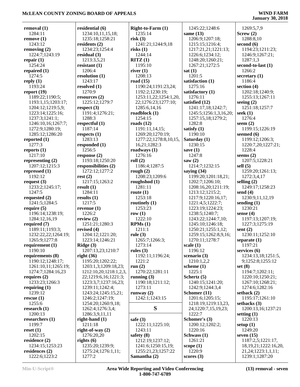| removal (1)         | residential (6)        | Right-to-Farm (1)     | 1245:22;1248:6         | 1269:5,7,9                |
|---------------------|------------------------|-----------------------|------------------------|---------------------------|
| 1284:11             | 1234:10,11,15,18;      | 1235:14               | same $(13)$            | Screw(2)                  |
| remove(1)           | 1235:18;1258:21        | risk(3)               | 1206:9;1207:18;        | 1288:8,10                 |
| 1243:12             | residents $(2)$        | 1241:21;1244:9,18     | 1215:15;1216:4;        | second $(6)$              |
| removing $(2)$      | 1234:23;1254:4         | risks(1)              | 1217:21,21;1221:13;    | 1194:23;1211:23;          |
| 1224:7:1243:19      | residual $(3)$         | 1244:14               | 1226:6;1234:12;        | 1246:9;1267:21;           |
| repair $(1)$        | 1213:3,5,21            | RITZ(1)               | 1248:20;1260:21;       | 1287:1,3                  |
| 1254:24             | resistant $(1)$        | 1195:10               | 1267:21;1272:5         | second-to-last (1)        |
| repaired $(1)$      | 1206:4                 | river $(1)$           | sat(1)                 | 1266:2                    |
| 1274:5              | resolution (1)         | 1208:13               | 1201:5                 | secretary $(1)$           |
| reply $(1)$         | 1243:17                | road $(15)$           | satisfaction (1)       | 1186:4                    |
| 1193:24             | resolved $(1)$         | 1190:24;1191:23,24;   | 1275:16                | section $(4)$             |
| report $(19)$       | 1270:9                 | 1192:2;1230:19;       | satisfactory (1)       | 1202:18;1240:9;           |
| 1189:22;1190:5;     | resources $(2)$        | 1253:11,22;1254:1,20, | 1276:11                | 1255:13;1267:11           |
| 1193:1,15;1203:17;  | 1225:12;1279:7         | 22;1276:23;1277:10;   | satisfied (12)         | seeing $(2)$              |
|                     |                        | 1285:6,14,16          |                        |                           |
| 1204:12;1219:5,9;   | respect $(3)$          |                       | 1241:17,18;1242:7;     | 1251:18;1257:7            |
| 1223:14;1225:16;    | 1191:4;1276:21;        | roadblock $(1)$       | 1245:5;1256:1,3,16,20; | seek $(1)$                |
| 1237:3;1241:1;      | 1288:3                 | 1254:15               | 1257:15,18;1279:2;     | 1276:4                    |
| 1246:10,16;1267:7;  | respectful $(1)$       | roads $(12)$          | 1282:8                 | seem $(2)$                |
| 1272:9;1280:19;     | 1187:14                | 1191:11,14,15;        | satisfy $(1)$          | 1199:15;1226:19           |
| 1285:12;1286:20     | respects $(1)$         | 1269:20;1270:19;      | 1190:10                | seemed $(6)$              |
| reported $(1)$      | 1283:13                | 1277:22;1278:8,10,15, | Saturday (1)           | 1199:12;1206:3;           |
| 1277:3              | responded (1)          | 16,21;1282:3          | 1230:15                | 1220:7,20;1227:21;        |
| reports $(1)$       | 1256:5                 | roadways $(1)$        | save $(1)$             | 1228:4                    |
| 1217:10             | response $(2)$         | 1276:16               | 1247:8                 | seems $(2)$               |
| representing $(2)$  | 1193:18;1250:20        | roll(2)               | saw $(2)$              | 1207:5;1228:21            |
| 1207:12;1215:3      | responsibilities (2)   | 1186:4;1287:5         | 1214:7;1232:15         | sell $(5)$                |
| repressed $(1)$     | 1272:12;1277:2         | rough $(2)$           | saying $(34)$          | 1259:20;1261:13;          |
| 1192:12             | rest(2)                | 1208:23;1209:6        | 1199:20;1201:18,21;    | 1272:3,4,17               |
| request $(3)$       | 1217:15;1263:2         | roughshod $(1)$       | 1202:7;1206:10;        | selling $(2)$             |
| 1233:2;1245:17;     | result $(1)$           | 1281:11               | 1208:16,20;1211:19;    | 1249:17;1258:23           |
| 1247:5              | 1284:11                | route $(1)$           | 1213:12;1215:2;        | send $(4)$                |
| requested $(2)$     | results $(1)$          | 1253:18               | 1217:9;1220:16,17;     | 1230:9,11,12,19           |
| 1241:5;1284:5       | 1217:5                 | routinely $(1)$       | 1221:4,5;1222:7;       | sending $(1)$             |
| require $(5)$       | revenue $(1)$          | 1253:23               | 1223:19;1224:23;       | 1230:21                   |
| 1196:14;1238:19;    | 1226:2                 | row $(1)$             | 1238:5;1240:7;         | sense $(4)$               |
| 1284:12,16,19       | review $(2)$           | 1222:10               | 1243:22;1244:7,10;     | 1197:13;1207:19;          |
| required $(7)$      | 1251:21;1280:3         | RPMs(1)               | 1245:10;1246:18;       | 1227:3;1275:19            |
| 1189:11;1193:3;     | revised $(4)$          | 1211:1                | 1250:21;1255:1,12;     | sent $(2)$                |
| 1232:22,22;1264:19; | 1204:12;1221:20;       | rule $(3)$            | 1259:15;1262:8,9,16;   | 1230:11;1252:10           |
| 1265:9;1277:8       | 1223:14;1246:21        | 1265:7;1266:3;        | 1270:11;1278:7         | separate (1)              |
| requirement $(1)$   | Ridge $(3)$            | 1273:14               | scale(1)               | 1197:21                   |
| 1190:10             | 1207:13,23;1210:7      | rules $(3)$           | 1196:12                | services $(6)$            |
| requirements (8)    | right $(36)$           | 1192:11;1196:24;      | scenario $(3)$         | 1234:13,18;1251:5,        |
| 1190:12;1248:17;    | 1195:20;1202:22;       | 1221:2                | 1210:1,2,2             | 9;1252:8;1255:12          |
| 1261:10,11;1265:19; | 1203:1,3;1209:18,23;   | run $(2)$             | scheme $(1)$           | set(8)                    |
| 1274:7;1284:16,23   | 1212:10,20;1218:1,2,3, | 1270:22;1281:11       | 1225:1                 | 1194:7;1202:11;           |
| requires $(2)$      | 22;1219:6,16;1221:3;   | running $(3)$         | Schertz (5)            | 1220:10;1250:21;          |
| 1233:23;1266:3      | 1223:3,7;1237:16,23;   | 1190:18;1211:12;      | 1240:15;1241:20;       | 1267:10;1268:21;          |
| requiring $(1)$     | 1239:11;1242:4;        | 1273:11               | 1242:9;1244:3,4        | 1274:6;1282:16            |
| 1239:12             | 1243:24;1245:15,21;    | runway $(2)$          | Schomer (11)           | setback $(2)$             |
| rescue(1)           | 1246:2;1247:19;        | 1242:1;1243:15        | 1201:6;1205:15;        | 1195:17;1261:10           |
| 1255:6              | 1254:20;1260:9,18;     |                       | 1218:19;1219:13,23,    | setbacks $(3)$            |
| research $(1)$      | 1262:4;1276:3,4;       | S                     | 24;1220:7,15,19,23;    | 1200:13,16;1237:21        |
| 1200:13             | 1286:3,9,11,11         |                       | 1222:7                 | setting $(1)$             |
| researchers $(1)$   | right-hand $(1)$       | safe $(3)$            | Schomer's (3)          | 1220:13                   |
| 1199:7              | 1211:18                | 1222:11;1225:10;      | 1200:12;1202:2;        | setup $(1)$               |
| reset $(1)$         | right-of-way $(2)$     | 1243:11               | 1220:16                | 1249:20                   |
| 1202:15             | 1276:20,20             | safety $(8)$          | Schwass (1)            | seven $(15)$              |
| residence $(2)$     | rights $(6)$           | 1212:19;1237:12;      | 1261:21                | 1187:2,5;1221:17,         |
| 1234:15;1253:23     | 1235:20;1239:9;        | 1241:6;1250:15,19;    | scope $(1)$            | 18, 19, 21; 1222: 16, 20, |
| residences $(2)$    | 1275:24;1276:1,11;     | 1255:21,23;1257:22    | 1220:9                 | 21, 24; 1223: 1, 1, 11;   |
| 1222:6;1223:2       | 1277:2                 | Samantha (2)          | scores $(3)$           | 1239:1;1287:20            |
|                     |                        |                       |                        |                           |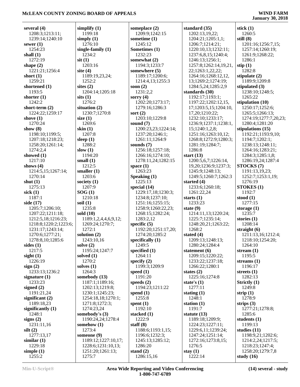| several $(4)$              | simplify $(1)$                   | someplace $(2)$                     | standard (35)                                | stick $(1)$                         |
|----------------------------|----------------------------------|-------------------------------------|----------------------------------------------|-------------------------------------|
| 1208:3;1213:11;            | 1199:18                          | 1209:9;1242:15                      | 1202:13,19,22;                               | 1260:5                              |
| 1239:14;1240:10            | simply $(1)$                     | sometime (1)                        | 1204:21;1205:1,1;                            | still $(8)$                         |
| sewer $(1)$                | 1276:10                          | 1245:12                             | 1206:7;1214:21;                              | 1201:16;1256:7,15;                  |
| 1254:23                    | single-family $(1)$              | Sometimes (1)                       | 1220:10,13;1232:11;                          | 1257:14;1260:19;                    |
| shall $(1)$                | 1234:2                           | 1232:23                             | 1237:6,8,15;1240:4;                          | 1261:9;1268:22;                     |
| 1272:19                    | $s$ it $(1)$                     | somewhat (2)                        | 1246:13;1256:1;                              | 1286:1                              |
| shape $(2)$                | 1203:16                          | 1194:3;1233:7                       | 1257:8;1262:14,19,21,                        | $\text{stip}(1)$                    |
| 1221:21;1256:4             | site $(4)$                       | somewhere (5)                       | 22;1263:1,22,22;                             | 1282:8                              |
| short $(1)$                | 1189:19,23,24;                   | 1189:17;1200:6;                     | 1264:16;1268:12,12,                          | stipulate $(2)$                     |
| 1259:21                    | 1252:2                           | 1214:4,13;1255:3                    | 13;1269:2;1274:19;                           | 1189:9;1209:8                       |
| shortened (1)              | sites $(2)$                      | soon $(2)$                          | 1284:5,24;1285:2,9                           | stipulated (3)                      |
| 1193:5                     | 1204:14;1205:18                  | 1231:2,2                            | standards (30)                               | 1238:10;1248:5;                     |
| shorter $(1)$<br>1242:2    | sits(1)<br>1276:2                | sorry $(4)$                         | 1192:17;1193:1;                              | 1265:22                             |
| short-term $(2)$           | situation $(2)$                  | 1202:20;1273:17;<br>1279:16;1286:3  | 1197:22;1202:12,15,<br>17;1203:5,15;1204:10, | stipulation (10)<br>1250:17;1252:6; |
| 1224:22;1259:17            | 1230:7;1270:8                    | sort $(2)$                          | 17, 20; 1210: 22;                            | 1265:5;1266:13;                     |
| shove $(1)$                | size $(1)$                       | 1203:10;1229:8                      | 1232:10;1233:17;                             | 1274:19;1277:7,20,23;               |
| 1270:24                    | 1269:6                           | sound $(7)$                         | 1236:9;1237:1;1238:1,                        | 1280:4;1281:20                      |
| show $(8)$                 | skin $(1)$                       | 1200:23,23;1224:14;                 | 15;1240:1,2,8;                               | stipulations $(15)$                 |
| 1198:10;1199:5;            | 1207:8                           | 1237:20;1246:1;                     | 1251:16;1263:10,12;                          | 1192:21;1193:9,10;                  |
| 1207:18;1218:23;           | sleep $(1)$                      | 1261:11;1264:9                      | 1268:8;1272:9;1280:3;                        | 1194:7;1202:1;                      |
| 1258:20;1261:14;           | 1288:2                           | sounds $(7)$                        | 1281:19;1284:7;                              | 1238:13;1248:11;                    |
| 1274:2,4                   | slow $(1)$                       | 1256:18;1257:18;                    | 1286:8                                       | 1264:16;1283:21;                    |
| showed $(1)$               | 1194:20                          | 1266:16;1274:10;                    | start $(13)$                                 | 1284:3;1285:1,8;                    |
| 1217:10                    | small $(1)$                      | 1278:11,24;1282:15                  | 1200:5,6,7;1226:14,                          | 1286:19,24;1287:4                   |
| shows $(4)$                | 1212:5                           | space $(1)$                         | 19,20;1236:9;1237:3;                         | STOCKS (7)                          |
| 1214:5,15;1267:14;         | smaller $(1)$                    | 1263:23                             | 1245:9;1248:13;                              | 1191:13,19,23;                      |
| 1270:14                    | 1203:6                           | Speaking (1)                        | 1249:5;1260:7;1262:3                         | 1252:7;1253:1,19;                   |
| shut $(1)$                 | society $(1)$                    | 1225:13                             | started $(4)$                                | 1276:19                             |
| 1275:13                    | 1207:9                           | special (14)                        | 1233:6;1260:18;                              | STOKES (1)                          |
| sick $(1)$                 | SOG(1)                           | 1229:17,18;1230:3;                  | 1261:22,24                                   | 1192:7                              |
| 1187:1<br>side (17)        | 1210:18<br>soil $(1)$            | 1234:8;1237:10;<br>1251:16;1255:15; | starts $(1)$<br>1233:23                      | stood $(1)$<br>1277:15              |
| 1205:7;1206:10;            | 1235:8                           | 1258:9;1260:22,23;                  | state $(9)$                                  | storage $(1)$                       |
| 1207:22;1211:18;           | sold $(10)$                      | 1268:15;1282:24;                    | 1214:11,13;1220:24;                          | 1235:7                              |
| 1212:5,18;1216:23;         | 1189:1,2,4,4,6,9,12;             | 1283:2,12                           | 1225:7;1235:14;                              | stories $(1)$                       |
| 1218:8;1220:2;1223:6;      | 1269:24;1270:7;                  | specific $(5)$                      | 1248:20,21;1263:22;                          | 1208:14                             |
| 1231:17;1243:14;           | 1272:1                           | 1192:20;1251:17,20;                 | 1268:2                                       | straight $(6)$                      |
| 1270:6;1277:21;            | solution $(2)$                   | 1274:20;1285:2                      | stated $(4)$                                 | 1211:13,16;1212:4;                  |
| 1278:8,10;1285:6           | 1243:10,16                       | specifically (1)                    | 1209:13;1248:13;                             | 1218:10;1254:20;                    |
| sides $(1)$                | solve $(2)$                      | 1249:5                              | 1280:24;1284:4                               | 1264:10                             |
| 1217:5                     | 1195:24;1247:7                   | specified $(1)$                     | statement $(6)$                              | stream $(1)$                        |
| sight $(1)$                | solved $(1)$                     | 1264:11                             | 1209:15;1220:22;                             | 1195:5                              |
| 1226:19                    | 1270:2                           | specify $(2)$                       | 1233:22;1237:18;                             | streams $(1)$                       |
| sign(2)                    | solves $(1)$                     | 1199:3;1209:9                       | 1266:22;1280:1                               | 1196:17                             |
| 1233:13;1236:2             | 1264:3                           | speed $(1)$                         | states $(2)$                                 | streets $(1)$                       |
| signature $(1)$<br>1233:23 | somebody (13)<br>1187:1;1189:16; | 1191:20                             | 1225:16;1274:8                               | 1282:13                             |
| signed $(2)$               | 1202:13;1219:8;                  | speeds $(2)$<br>1194:23;1211:22     | state's $(1)$<br>1277:11                     | Strictly $(1)$<br>1249:8            |
| 1191:21,24                 | 1230:1;1245:23;                  | spend $(1)$                         | stating $(1)$                                | strip $(1)$                         |
| significant $(2)$          | 1254:18,18;1270:1;               | 1255:8                              | 1248:1                                       | 1278:9                              |
| 1189:18.23                 | 1271:8;1272:3;                   | spent $(1)$                         | station $(1)$                                | strips $(3)$                        |
| significantly $(1)$        | 1274:23,24                       | 1192:10                             | 1191:7                                       | 1277:21;1278:8;                     |
| 1248:1                     | somebody's (3)                   | stacked $(1)$                       | statute $(13)$                               | 1285:6                              |
| signs $(2)$                | 1190:24,24;1278:4                | 1222:9                              | 1189:18;1209:9;                              | students $(1)$                      |
| 1231:11,16                 | somehow $(1)$                    | staff $(8)$                         | 1224:23;1227:11;                             | 1199:13                             |
| silt(2)                    | 1273:4                           | 1188:6;1193:1,15;                   | 1229:6,11;1239:24;                           | studies $(11)$                      |
| 1277:13,17                 | someone (9)                      | 1196:6;1232:3;                      | 1247:24;1251:14;                             | 1198:9,21;1202:6;                   |
| similar $(1)$              | 1189:12;1227:10,17;              | 1245:13;1285:12;                    | 1272:16;1273:8,15;                           | 1214:2,24;1217:5;                   |
| 1229:18                    | 1228:6;1231:10,13;               | 1286:20                             | 1276:5                                       | 1218:23;1247:4;                     |
| simple $(1)$               | 1251:20;1261:13;                 | stand $(2)$                         | stay $(1)$                                   | 1258:20;1279:7,8                    |
| 1255:2                     | 1275:7                           | 1286:15,16                          | 1222:14                                      | study $(16)$                        |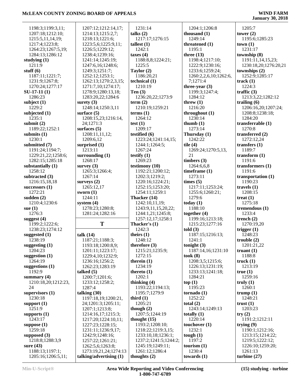| 1198:3;1199:3,11;                     | 1207:12;1212:14,17;                              | 1231:14                            | 1204:1;1206:8           | 1205:7                    |
|---------------------------------------|--------------------------------------------------|------------------------------------|-------------------------|---------------------------|
| 1207:18;1212:10;                      | 1214:13;1215:2,7;                                | talks $(2)$                        | thousand $(1)$          | tower $(2)$               |
| 1215:5,11,14,19;                      | 1218:13;1221:6;                                  | 1217:17;1276:15                    | 1249:14                 | 1195:6;1285:23            |
| 1217:4;1223:8;                        | 1223:5,6;1225:9,11;                              | tallest $(1)$                      | threatened (1)          | town(1)                   |
| 1264:23;1267:5,19;                    | 1226:5;1229:12;                                  | 1242:1                             | 1195:1                  | 1231:17                   |
| 1284:13:1286:12                       | 1238:4;1239:16;                                  | taxes $(4)$                        | three $(13)$            | township (8)              |
| studying $(1)$                        | 1241:14;1245:19;                                 | 1188:8,8;1224:21;                  | 1198:4;1217:10;         | 1191:11,14,15,23;         |
| 1211:9                                | 1247:6,16;1248:6;                                | 1225:5                             | 1222:9;1230:16;         | 1230:18,20;1276:20,21     |
| stuff $(6)$                           | 1249:3;1251:7;                                   | Taylor (2)                         | 1233:6;1259:24;         | townships $(2)$           |
| 1187:11;1221:7;                       | 1252:12;1253:1;                                  | 1186:20,21                         | 1260:2,2,6,10;1262:6,   | 1252:9;1285:17            |
| 1231:9;1267:8;                        | 1262:13;1270:2,3,15;                             | technical (1)                      | 7;1271:4                | track $(1)$               |
| 1270:24;1277:17                       | 1271:7,10;1274:17;                               | 1210:19                            | three-year $(3)$        | 1224:3                    |
| $SU-17-11(1)$                         | 1278:9;1280:13,18;                               | Ten $(3)$                          | 1199:3;1247:4;          | traffic $(3)$             |
| 1286:23                               | 1283:20,22;1284:6                                | 1236:20,22;1273:9                  | 1284:12                 | 1213:3,22;1282:12         |
| subject $(1)$                         | surety $(3)$                                     | term $(2)$                         | threw $(1)$             | trailing $(6)$            |
| 1229:2                                | 1248:14;1250:3,11                                | 1210:19;1259:21                    | 1216:20                 | 1206:16,20;1207:24;       |
| subjected (1)                         | surface $(5)$                                    | terms <sub>(1)</sub>               | throughout $(1)$        | 1208:8;1238:18;           |
| 1235:1                                | 1208:15,23;1216:14,                              | 1264:12                            | 1230:14                 | 1284:20                   |
| submit $(2)$                          | 24;1271:3                                        | test $(1)$                         | thumb $(1)$             | transferrable (1)         |
| 1189:22;1252:1                        |                                                  | 1209:17                            | 1273:14                 | 1270:8                    |
|                                       | surfaces $(5)$                                   |                                    |                         |                           |
| submits $(1)$                         | 1208:11,11,12;                                   | testified (6)                      | Thursday (1)            | transferred (2)           |
| 1230:1                                | 1209:6,12                                        | 1223:24;1241:14,15;                | 1242:22                 | 1272:12,24                |
| submitted (7)                         | surprised $(1)$                                  | 1244:1;1264:5;                     | tile $(4)$              | transfers $(1)$           |
| 1191:24;1194:7;                       | 1213:11                                          | 1267:24                            | 1269:24;1270:5,13,      | 1189:7                    |
| 1229:21,22;1258:6;                    | surrounding $(1)$                                | testify $(1)$                      | 21                      | transform $(1)$           |
| 1282:15;1285:18                       | 1268:17                                          | 1269:23                            | timbers $(3)$           | 1191:6                    |
| substantially (1)                     | survey $(3)$                                     | testimony (10)                     | 1264:6,6,8              | transformers (1)          |
| 1258:12                               | 1265:3;1266:4;                                   | 1192:21;1200:12;                   | timeframe $(1)$         | 1191:6                    |
| subtracted (3)                        | 1267:14                                          | 1202:3;1219:2;                     | 1273:11                 | transportation (1)        |
| 1216:15,18,18                         | surveys $(2)$                                    | 1220:16;1224:21;                   | times (5)               | 1190:23                   |
| successors $(1)$                      | 1265:12,17                                       | 1252:15;1253:20;                   | 1217:11;1253:24;        | travels $(1)$             |
| 1272:21                               | sworn $(1)$                                      | 1254:11;1259:1                     | 1255:6;1260:21;         | 1208:15                   |
|                                       |                                                  |                                    |                         |                           |
| sudden $(2)$                          | 1244:11                                          | Thacker (14)                       | 1279:6                  | treat $(1)$               |
| 1210:4;1230:6                         | system $(4)$                                     | 1242:10,11,19;                     | today $(1)$             | 1275:18                   |
| sue $(1)$                             | 1278:23;1280:8;                                  | 1243:9,11,15,20,22;                | 1188:10                 | tremendous $(1)$          |
| 1276:3                                | 1281:24;1282:16                                  | 1244:1,21;1245:8;                  | together $(4)$          | 1233:4                    |
| suggest $(4)$                         |                                                  | 1257:12,17;1258:1                  | 1199:16;1213:18;        | trench $(2)$              |
| 1199:2;1222:6;                        | T                                                | Thacker's (1)                      | 1215:23;1277:16         | 1270:19,20                |
| 1238:23;1274:12                       |                                                  | 1242:3                             | told(3)                 | trigger $(1)$             |
| suggested $(1)$                       | talk $(14)$                                      | theirs $(1)$                       | 1187:15;1216:13;        | 1248:23                   |
| 1238:19                               | 1187:21:1188:3:                                  | 1248:12                            | 1241:1                  | trouble $(2)$             |
| suggesting $(1)$                      | 1193:18;1200:8,9;                                | therefore $(3)$                    | tonight $(3)$           | 1201:21,22                |
| 1204:23                               | 1201:11;1223:17;                                 | 1215:21;1235:9;                    | 1187:14,16;1231:10      | truant $(1)$              |
| suggestion $(1)$                      | 1229:4,10;1232:9;                                | 1272:15                            | took $(8)$              | 1188:8                    |
| 1264:19                               | 1236:16;1256:2;                                  | therein $(1)$                      | 1208:3,5;1215:6;        | truck $(1)$               |
| suggestions $(1)$                     | 1262:23;1283:19                                  | 1234:19                            | 1226:13;1231:19;        | 1213:19                   |
| 1192:9                                | talked $(5)$                                     | thereto $(1)$                      | 1233:13;1241:18;        | true(1)                   |
| summary $(4)$                         | 1200:7;1201:6;                                   | 1202:1                             | 1284:21                 | 1259:16                   |
|                                       |                                                  |                                    |                         |                           |
| 1210:18,20;1212:23,<br>24             | 1233:12;1258:2;                                  | thinking $(4)$<br>1193:22;1194:13; | top(1)<br>1195:23       | truly $(1)$<br>1260:1     |
|                                       | 1287:4                                           |                                    |                         |                           |
| supervisors $(1)$                     | talking $(30)$                                   | 1195:7;1279:9                      | tornado(1)              | trump $(1)$               |
| 1230:18                               | 1197:18,19;1200:21,                              | third $(1)$                        | 1252:22                 | 1248:21                   |
| support $(1)$                         | 24;1201:3;1205:11;                               | 1205:21                            | total $(2)$             | trust $(1)$               |
| 1251:9                                | 1207:1;1213:8;                                   | though $(2)$                       | 1243:14;1249:13         | 1203:23                   |
| supports $(1)$                        | 1214:16,17;1215:3;                               | 1207:5;1244:19                     | totally $(1)$           | try(2)                    |
| 1243:17                               | 1217:20;1224:10,11;                              | thought $(15)$                     | 1220:14                 | 1191:2;1212:11            |
| suppose $(1)$                         | 1227:23;1228:15;                                 | 1193:2;1208:10;                    | touchover (1)           | trying $(9)$              |
| 1259:18                               | 1231:11;1236:9,17;                               | 1218:22;1219:3,15;                 | 1232:1                  | 1190:1;1212:16;           |
| supposed $(3)$                        | 1242:9;1248:16;                                  | 1233:10,18;1236:1;                 | tough $(1)$             | 1213:15;1214:22;          |
| 1218:8;1288:3,9                       | 1257:22;1261:21;                                 | 1237:2;1241:5;1244:2;              | 1197:2                  | 1219:5;1222:12;           |
| sure $(43)$                           | 1262:5,6;1263:8;                                 | 1245:19;1249:11;                   | tourism $(1)$           | 1226:10;1259:20;          |
| 1188:13;1197:1;<br>1205:16;1206:5,11; | 1273:19,21,24;1274:13<br>talking/advertising (1) | 1261:12;1286:4<br>thoughts $(2)$   | 1230:4<br>towards $(1)$ | 1261:13<br>turbine $(27)$ |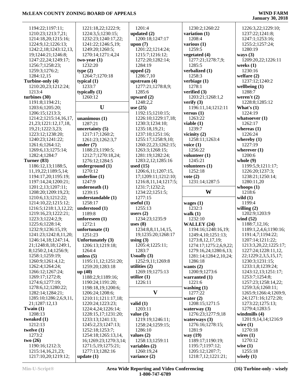| 1194:22;1197:11;                         | 1221:18,22;1222:9;              | 1201:4                       | 1230:2;1260:22                        | 1226:3,22;1229:10;      |
|------------------------------------------|---------------------------------|------------------------------|---------------------------------------|-------------------------|
| 1210:23;1213:7,21;                       | 1224:3,5;1230:15;               | updated $(2)$                | variation (1)                         | 1237:22;1241:8;         |
|                                          |                                 |                              |                                       |                         |
| 1214:18,20;1215:16;                      | 1232:23;1240:17,22;             | 1200:18;1247:17              | 1208:4                                | 1247:1;1253:16;         |
| 1224:9,12;1226:13;                       | 1241:22;1246:5,19;              | upon $(7)$                   | various $(1)$                         | 1255:2;1257:24;         |
| 1242:2,18;1243:12,13,                    | 1249:20;1260:5;                 | 1201:22;1214:24;             | 1259:5                                | 1280:19                 |
| 19;1244:21;1246:8;                       | 1270:14;1271:4,24               | 1215:7;1216:12;              | vegetated (4)                         | ways $(3)$              |
|                                          |                                 |                              |                                       |                         |
| 1247:22,24;1249:17;                      | $two-year(1)$                   | 1272:20;1282:14;             | 1277:21;1278:7,9;                     | 1209:20,22;1226:11      |
| 1256:7;1258:23;                          | 1232:20                         | 1284:19                      | 1285:5                                | weeks $(1)$             |
| 1259:3;1276:2;                           | type(2)                         | upped $(2)$                  | verbalized (1)                        | 1230:16                 |
| 1284:12,15                               | 1264:7;1270:18                  | 1286:7,10                    | 1258:3                                |                         |
|                                          |                                 |                              |                                       | welfare $(2)$           |
| Turbine-only (4)                         | typical $(1)$                   | upstream $(4)$               | verbiage (1)                          | 1237:12;1240:2          |
| 1210:20,23;1212:24;                      | 1233:7                          | 1277:21;1278:8,9;            | 1278:1                                | wellbeing $(1)$         |
| 1213:4                                   | typically $(1)$                 | 1285:6                       | verified $(3)$                        | 1288:7                  |
| turbines $(30)$                          | 1260:12                         | upward $(2)$                 | 1203:21;1268:1,2                      | weren't $(2)$           |
|                                          |                                 |                              |                                       |                         |
| 1191:8;1194:21;                          |                                 | 1248:2,2                     | verify $(3)$                          | 1228:8;1285:12          |
| 1203:6;1205:20;                          | U                               | use $(25)$                   | 1196:11,14;1212:11                    | What's $(1)$            |
| 1206:15;1213:3;                          |                                 | 1192:15;1210:15;             | versus $(1)$                          | 1224:19                 |
| 1214:2;1215:14,16,17,                    |                                 | 1226:10;1229:17,18;          | 1263:22                               | whatsoever $(1)$        |
|                                          | unanimous $(1)$                 |                              |                                       |                         |
| 21, 23; 1221: 12, 17, 18,                | 1287:21                         | 1230:3;1234:10;              | viable $(1)$                          | 1262:17                 |
| 19,21;1222:3,23;                         | uncertainty $(5)$               | 1235:18,19,21;               | 1239:7                                | whereas $(1)$           |
| 1223:12;1238:20;                         | 1217:17;1260:2;                 | 1237:10;1251:16;             | vicinity $(2)$                        | 1226:24                 |
|                                          | 1261:23;1262:3,7                |                              | 1258:11;1263:4                        | whereby $(1)$           |
| 1240:23;1241:22;                         |                                 | 1255:17;1258:9,10;           |                                       |                         |
| 1261:6;1264:12;                          | under $(7)$                     | 1260:22,23;1262:15;          | voice $(1)$                           | 1227:19                 |
| 1269:6,13;1275:14;                       | 1188:23;1190:5;                 | 1263:3;1268:15;              | 1256:22                               | wherever $(1)$          |
| 1282:4;1284:7                            | 1212:7;1270:18,24;              | 1281:19;1282:24;             | volunteer $(1)$                       | 1200:6                  |
| Turner (83)                              | 1276:12;1284:5                  | 1283:2,12;1285:16            | 1245:21                               | whole $(9)$             |
|                                          |                                 |                              |                                       |                         |
| 1186:12,13;1188:5,                       | underground (1)                 | used $(15)$                  | volunteers (1)                        | 1199:5,9;1211:17;       |
| 11, 19, 22; 1189: 5, 14;                 | 1270:12                         | 1206:6,11;1207:15,           | 1252:18                               | 1226:20;1237:3;         |
| 1194:17,20;1195:19;                      | underline $(1)$                 | 17;1209:11;1212:10;          | vote $(2)$                            | 1238:21;1250:14;        |
| 1197:14,24;1200:21;                      | 1247:9                          | 1216:8,11,14;1217:5;         | 1231:14;1287:5                        | 1280:11,20              |
| 1201:2,13;1207:11;                       | underneath (1)                  | 1231:7;1232:2;               |                                       | whoops $(1)$            |
|                                          |                                 |                              |                                       |                         |
|                                          |                                 |                              |                                       |                         |
| 1208:20;1209:19,23;                      | 1239:15                         | 1234:22;1251:5;              | W                                     | 1218:6                  |
| 1210:6,13;1212:22;                       | understandable (1)              | 1277:15                      |                                       | wild $(1)$              |
| 1214:10,22;1215:12;                      | 1258:17                         | useful $(1)$                 | wages $(1)$                           | 1199:4                  |
|                                          |                                 |                              |                                       |                         |
| 1216:5;1218:1,3,12,22;                   | understood (1)                  | 1255:13                      | 1232:3                                | willing $(2)$           |
| 1219:16,23;1222:21;                      | 1189:8                          | users $(2)$                  | walk $(1)$                            | 1202:9;1203:9           |
| 1223:3;1224:2,9;                         | unforeseen $(1)$                | 1234:23;1235:9               | 1232:10                               | wind $(52)$             |
| 1225:6;1228:14;                          | 1272:1                          | uses $(8)$                   | WALLEY (24)                           | 1188:7,12,16;           |
| 1232:9;1236:15,19;                       | unfortunate $(1)$               | 1234:8,8,11,14,15,           | 1194:16;1248:16,19;                   | 1189:1,2,4,6;1190:16;   |
|                                          |                                 |                              |                                       |                         |
| 1241:23;1242:8,11,20;                    | 1251:23                         | 19;1235:20;1268:17           | 1249:4,10;1251:13;                    | 1191:4,7;1194:22;       |
| 1246:14,18;1247:14,                      | <b>Unfortunately (3)</b>        | using $(3)$                  | 1273:8, 12, 17, 19;                   | 1207:14;1211:22;        |
| 21;1248:8,18;1249:1,                     | 1206:13;1219:18;                | 1205:4;1225:11;              | 1274:17;1275:2,6,9,22;                | 1213:3,20,22;1225:17;   |
| 8;1250:2,14;1256:9;                      | 1264:4                          | 1283:7                       | 1279:16,24;1280:6,13;                 | 1227:24;1228:11,12,     |
| 1258:1;1259:19;                          | unless $(5)$                    | Usually $(3)$                | 1281:14;1284:2,10,24;                 | 22;1229:2,3,5,15,17;    |
|                                          |                                 |                              |                                       |                         |
| 1260:9;1261:4,12;                        | 1195:11,12;1251:20;             | 1252:9,11;1269:8             | 1286:18                               | 1230:3;1231:15;         |
| 1262:4;1264:24;                          | 1259:20:1283:18                 | utilities $(2)$              | wants $(2)$                           | 1233:1,8;1239:24;       |
| 1266:12;1267:24;                         | up(40)                          | 1269:19:1275:13              | 1200:9;1273:6                         | 1243:12,13;1251:17;     |
| 1269:17;1272:8;                          | 1188:2,9;1189:16;               | utilize $(1)$                | warranted (1)                         | 1253:7;1254:8;          |
| 1274:6;1277:19;                          | 1190:24;1191:20;                | 1226:11                      | 1221:6                                | 1257:23;1258:14,22;     |
|                                          |                                 |                              |                                       |                         |
| 1278:6,12;1280:22;                       | 1198:18,19;1200:6;              |                              | washing $(1)$                         | 1259:3,6;1260:11;       |
| 1282:14;1284:21;                         | 1206:24;1208:6;                 | V                            | 1277:22                               | 1265:9;1266:4;1269:9,   |
| 1285:10;1286:2,6,9,11,                   | 1210:11;1211:17,18;             |                              | water $(2)$                           | 24;1271:16;1272:20;     |
| 21;1287:12,13                            | 1220:24;1223:23;                | valid $(1)$                  | 1208:15;1271:5                        | 1273:22;1275:13;        |
| Twain $(1)$                              | 1224:4,24;1226:14;              | 1203:11                      | waterway $(3)$                        | 1279:4;1283:5           |
|                                          |                                 |                              |                                       |                         |
| 1208:13                                  | 1228:15,17;1231:20;             | value $(5)$                  | 1276:23;1277:9,18                     | windmills $(4)$         |
| tweaked $(1)$                            | 1233:13;1241:13;                | 1219:19;1246:11;             | waterways $(3)$                       | 1201:9,14,14;1216:9     |
| 1212:13                                  | 1245:2,23;1247:13;              | 1258:24;1259:15;             | 1276:16;1278:15;                      | wire $(1)$              |
| twelve $(1)$                             | 1252:18;1253:7;                 | 1286:10                      | 1281:9                                | 1270:18                 |
| 1273:2                                   | 1254:18;1265:13,14,             | values $(2)$                 | way (19)                              | wires $(1)$             |
| two(26)                                  | 16;1269:23;1270:3,14;           | 1258:13;1259:11              | 1189:17;1190:19;                      | 1270:12                 |
|                                          |                                 |                              |                                       |                         |
| 1190:16;1212:3;                          | 1271:5,19;1275:21;              | variables $(2)$              | 1195:7;1197:12;                       | wise $(1)$              |
| 1215:14,16,21,23;<br>1217:10,20;1219:12; | 1277:13;1282:16<br>update $(1)$ | 1260:19,24<br>variance $(2)$ | 1205:12;1207:7;<br>1218:7,12;1221:21; | 1255:18<br>wisely $(1)$ |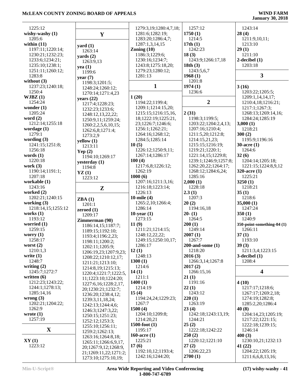| 1225:12            |                       | 1279:3,19;1280:4,7,18; | 1257:12               | 1243:14                    |
|--------------------|-----------------------|------------------------|-----------------------|----------------------------|
| wishy-washy $(1)$  | $\mathbf{Y}$          | 1281:6;1282:19;        | 1750(1)               | 28(4)                      |
| 1205:6             |                       | 1283:20;1286:4,7;      | 1214:5                | 1211:9,10,11;              |
| within $(11)$      | yard $(1)$            | 1287:1,3,14,15         | 17th(1)               | 1213:10                    |
| 1197:11;1220:14;   | 1263:14               | Zoning $(10)$          | 1242:23               | 29(1)                      |
| 1230:21;1232:23;   | $\textbf{yards}(2)$   | 1186:3;1229:6;         | 18(3)                 | 1211:10                    |
| 1233:6;1234:21;    | 1263:9,13             | 1230:16;1234:7;        | 1243:9;1266:17,18     | $2$ -decibel $(1)$         |
| 1235:10;1238:1;    | yea $(1)$             | 1243:8;1275:18,20;     | 18th(3)               | 1203:18                    |
| 1251:11;1260:12;   | 1199:6                | 1279:23;1280:12;       | 1243:5,6,7            |                            |
| 1283:8             | year $(7)$            | 1281:13                | 1968(1)               | $\mathbf{3}$               |
| without $(3)$      | 1198:3;1201:5;        |                        | 1201:8                |                            |
| 1237:23;1240:18;   | 1248:24;1260:12;      | $\mathbf{1}$           | 1974(1)               | 3(16)                      |
| 1250:4             | 1270:14;1271:4,23     |                        | 1236:6                | 1203:22;1205:5;            |
| WJBZ(1)            | years $(22)$          | 1(20)                  |                       | 1209:1,14,14,17;           |
| 1254:24            | 1217:4;1228:23;       | 1194:22;1199:4;        | $\boldsymbol{2}$      | 1210:4,18;1216:21;         |
| wonder $(1)$       | 1232:23;1233:6;       | 1209:1;1214:15,20;     |                       | 1217:1;1267:3;             |
| 1205:24            | 1248:12,13,22,22;     | 1215:15;1216:15,16,    | 2(31)                 | 1268:13;1269:14,16;        |
| word $(2)$         |                       | 18;1222:19;1225:21,    | 1198:3;1199:5;        | 1284:24;1285:19            |
| 1212:14;1255:18    | 1250:9,11;1259:24;    | 23;1226:7;1246:6;      | 1203:22;1204:2,4,13;  | 3,000(1)                   |
| wordage $(1)$      | 1260:2,2,5,6,10,15;   | 1256:1;1262:21;        | 1207:16;1210:4;       | 1218:21                    |
| 1279:1             | 1262:6,8;1271:4;      | 1264:16;1268:12;       | 1211:5,20;1212:8;     | 300(2)                     |
| wording $(3)$      | 1273:2,9              | 1284:5;1285:14         | 1214:15,21,23;        | 1195:9;1196:16             |
| 1241:15;1251:8;    | yellow(1)             | 10(5)                  | 1215:15;1216:19;      | $30$ -acre $(1)$           |
| 1256:18            | 1213:11               | 1226:12;1250:9,11;     | 1219:21;1220:1;       | 1264:6                     |
| words $(1)$        | Yep $(2)$             | 1267:14;1286:17        | 1221:14,15;1229:8;    | 32(6)                      |
| 1220:18            | 1194:10;1269:17       | 100(4)                 | 1239:1;1246:9;1257:8; | 1204:14;1205:18;           |
| work $(3)$         | yesterday (1)         |                        |                       |                            |
|                    | 1194:8                | 1217:6,8;1226:12;      | 1262:20,22;1264:17;   | 1221:15;1224:8,9,12        |
| 1190:14;1191:1;    | YZ(1)                 | 1262:19                | 1268:12;1284:6,24;    | 320-acre $(1)$             |
| 1207:18            | 1223:12               | 1000(6)                | 1285:16               | 1225:21                    |
| workable (1)       |                       | 1207:16;1211:3,16;     | 2,000(1)              | 3250(1)                    |
| 1243:16            | $\mathbf{Z}$          | 1216:18;1223:14;       | 1228:18               | 1218:21                    |
| worked $(2)$       |                       | 1226:13                | 2.3(1)                | 35(1)                      |
| 1202:21;1240:15    | ZBA(1)                | 10-mile $(4)$          | 1207:3                | 1218:6                     |
| working $(3)$      | 1201:1                | 1265:2,10;1266:4;      | 20(2)                 | 35,000(1)                  |
| 1218:14,15;1255:12 | zeroed $(1)$          | 1286:14                | 1194:16,18            | 1247:24                    |
| works $(1)$        | 1209:17               | 10-year $(1)$          | $20-(1)$              | 350(1)                     |
| 1193:12            | Zimmerman (90)        | 1273:15                | 1264:5                | 1240:9                     |
| worried $(1)$      | 1186:14,15;1187:7;    | 11(9)                  | 200(1)                | 350-point-something-04 (1) |
| 1259:15            | 1189:15;1192:10;      | 1211:21;1214:15;       | 1249:14               | 1266:11                    |
| worry $(1)$        | 1193:4;1196:2,23;     | 1248:12,22,22;         | 2007(1)               | 37(1)                      |
| 1258:17            | 1198:11;1200:2;       | 1249:15;1250:10,17;    | 1267:7                | 1193:10                    |
| worst $(2)$        | 1202:11;1205:9;       | 1286:17                | $200$ -and-some $(1)$ | 39(3)                      |
| 1210:1,3           | 1206:19,23;1207:9,23; | 12(1)                  | 1218:20               | 1211:3,4;1223:15           |
| write $(1)$        | 1208:22;1210:12,17;   | 1248:13                | 2016(3)               | $3$ -decibel $(1)$         |
| 1248:7             | 1211:21;1213:10;      | 1300(1)                | 1266:3,14;1267:8      | 1208:4                     |
| writing $(2)$      | 1214:8,19;1215:13;    | 1214:6                 | 2017(2)               |                            |
| 1245:7;1272:7      | 1220:4;1221:7;1222:5, | 14(1)                  | 1266:15,16            | $\overline{\mathbf{4}}$    |
| written $(6)$      | 11;1223:10;1224:20;   | 1211:1                 | 21(1)                 |                            |
| 1212:23;1243:22;   | 1227:6,16;1228:2,17,  | 1400(1)                | 1191:16               | 4(10)                      |
| 1244:1;1278:13;    | 20;1230:21;1232:7;    | 1214:19                | 22(1)                 | 1217:17;1218:6;            |
| 1285:14,16         | 1236:20;1238:4,12;    | 15(4)                  | 1243:12               | 1267:17;1269:2,18;         |
| wrong $(3)$        | 1239:3,11,18,24;      | 1194:24,24;1229:23;    | 220(1)                | 1274:19;1282:8;            |
| 1202:21;1204:22;   | 1242:13;1244:4,6;     | 1267:7                 | 1263:19               | 1285:2,20;1286:4           |
| 1262:9             | 1246:3;1247:3,22;     | 1500(4)                | 23(4)                 | 40(8)                      |
| wrote $(1)$        | 1250:15;1251:23;      | 1204:10;1209:8;        | 1242:18;1243:13,19;   | 1204:14,23;1205:19;        |
| 1257:19            | 1252:12;1253:3;       | 1214:20,21             | 1244:21               | 1217:22;1221:15;           |
|                    | 1255:10;1256:11;      | $1500$ -foot $(1)$     | 25(2)                 | 1222:18;1239:15;           |
| $\mathbf{X}$       | 1259:2;1262:13;       | 1195:17                | 1222:18;1242:22       | 1246:14                    |
|                    | 1263:16;1264:8,18;    | 160-acre $(1)$         | 250(2)                | 400(3)                     |
| XY(1)              | 1265:11;1266:6,9,17,  | 1225:21                | 1220:12;1221:10       | 1230:10,21;1232:13         |
| 1223:12            |                       | 17(6)                  | 27(2)                 | 41 (22)                    |
|                    | 20;1267:9,12;1268:9,  | 1192:10,12;1193:4;     | 1206:22,23            | 1204:22;1205:19;           |
|                    | 21;1269:11,22;1271:2; | 1242:16;1244:20;       | 2700(1)               | 1211:6,6,8,13,16;          |
|                    | 1273:10;1275:10,19;   |                        |                       |                            |